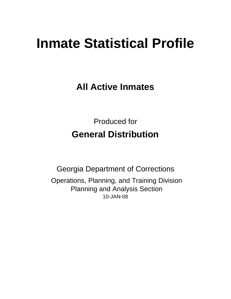# **Inmate Statistical Profile**

**All Active Inmates**

Produced for **General Distribution**

10-JAN-08 Georgia Department of Corrections Operations, Planning, and Training Division Planning and Analysis Section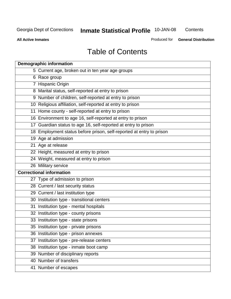**Contents** 

**All Active Inmates**

Produced for **General Distribution**

# Table of Contents

| <b>Demographic information</b>                                       |  |
|----------------------------------------------------------------------|--|
| 5 Current age, broken out in ten year age groups                     |  |
| 6 Race group                                                         |  |
| 7 Hispanic Origin                                                    |  |
| 8 Marital status, self-reported at entry to prison                   |  |
| 9 Number of children, self-reported at entry to prison               |  |
| 10 Religious affiliation, self-reported at entry to prison           |  |
| 11 Home county - self-reported at entry to prison                    |  |
| 16 Environment to age 16, self-reported at entry to prison           |  |
| 17 Guardian status to age 16, self-reported at entry to prison       |  |
| 18 Employment status before prison, self-reported at entry to prison |  |
| 19 Age at admission                                                  |  |
| 21 Age at release                                                    |  |
| 22 Height, measured at entry to prison                               |  |
| 24 Weight, measured at entry to prison                               |  |
| 26 Military service                                                  |  |
| <b>Correctional information</b>                                      |  |
| 27 Type of admission to prison                                       |  |
| 28 Current / last security status                                    |  |
| 29 Current / last institution type                                   |  |
| 30 Institution type - transitional centers                           |  |
| Institution type - mental hospitals<br>31                            |  |
| 32 Institution type - county prisons                                 |  |
| 33 Institution type - state prisons                                  |  |
| 35 Institution type - private prisons                                |  |
| 36 Institution type - prison annexes                                 |  |
| Institution type - pre-release centers<br>37                         |  |
| 38 Institution type - inmate boot camp                               |  |
| 39 Number of disciplinary reports                                    |  |
| 40 Number of transfers                                               |  |
| 41 Number of escapes                                                 |  |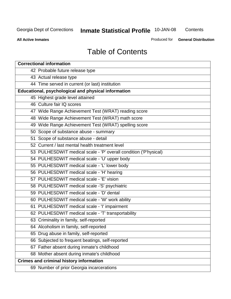**Contents** 

**All Active Inmates**

Produced for **General Distribution**

# Table of Contents

| <b>Correctional information</b>                                  |
|------------------------------------------------------------------|
| 42 Probable future release type                                  |
| 43 Actual release type                                           |
| 44 Time served in current (or last) institution                  |
| Educational, psychological and physical information              |
| 45 Highest grade level attained                                  |
| 46 Culture fair IQ scores                                        |
| 47 Wide Range Achievement Test (WRAT) reading score              |
| 48 Wide Range Achievement Test (WRAT) math score                 |
| 49 Wide Range Achievement Test (WRAT) spelling score             |
| 50 Scope of substance abuse - summary                            |
| 51 Scope of substance abuse - detail                             |
| 52 Current / last mental health treatment level                  |
| 53 PULHESDWIT medical scale - 'P' overall condition ('P'hysical) |
| 54 PULHESDWIT medical scale - 'U' upper body                     |
| 55 PULHESDWIT medical scale - 'L' lower body                     |
| 56 PULHESDWIT medical scale - 'H' hearing                        |
| 57 PULHESDWIT medical scale - 'E' vision                         |
| 58 PULHESDWIT medical scale -'S' psychiatric                     |
| 59 PULHESDWIT medical scale - 'D' dental                         |
| 60 PULHESDWIT medical scale - 'W' work ability                   |
| 61 PULHESDWIT medical scale - 'I' impairment                     |
| 62 PULHESDWIT medical scale - 'T' transportability               |
| 63 Criminality in family, self-reported                          |
| 64 Alcoholism in family, self-reported                           |
| 65 Drug abuse in family, self-reported                           |
| 66 Subjected to frequent beatings, self-reported                 |
| 67 Father absent during inmate's childhood                       |
| 68 Mother absent during inmate's childhood                       |
| <b>Crimes and criminal history information</b>                   |
| 69 Number of prior Georgia incarcerations                        |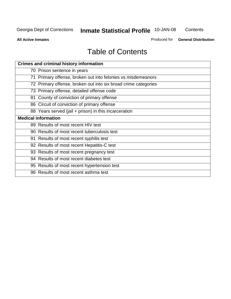**Contents** 

**All Active Inmates**

Produced for **General Distribution**

# Table of Contents

| <b>Crimes and criminal history information</b>                 |
|----------------------------------------------------------------|
| 70 Prison sentence in years                                    |
| 71 Primary offense, broken out into felonies vs misdemeanors   |
| 72 Primary offense, broken out into six broad crime categories |
| 73 Primary offense, detailed offense code                      |
| 81 County of conviction of primary offense                     |
| 86 Circuit of conviction of primary offense                    |
| 88 Years served (jail + prison) in this incarceration          |
| <b>Medical information</b>                                     |
| 89 Results of most recent HIV test                             |
| 90 Results of most recent tuberculosis test                    |
| 91 Results of most recent syphilis test                        |
| 92 Results of most recent Hepatitis-C test                     |
| 93 Results of most recent pregnancy test                       |
| 94 Results of most recent diabetes test                        |
| 95 Results of most recent hypertension test                    |
| 96 Results of most recent asthma test                          |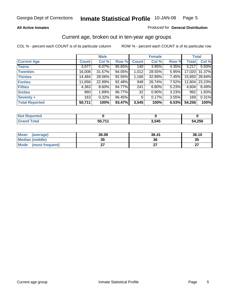#### **All Active Inmates**

#### Produced for **General Distribution**

#### Current age, broken out in ten-year age groups

|                       |              | <b>Male</b> |        |              | <b>Female</b> |       |              | <b>Total</b>  |
|-----------------------|--------------|-------------|--------|--------------|---------------|-------|--------------|---------------|
| <b>Current Age</b>    | <b>Count</b> | Col %       | Row %  | <b>Count</b> | Col %         | Row % | <b>Total</b> | Col %         |
| <b>Teens</b>          | 3,077        | 6.07%       | 95.65% | 140          | 3.95%         | 4.35% | 3,217        | 5.93%         |
| <b>Twenties</b>       | 16,008       | $31.57\%$   | 94.05% | 1,012        | 28.55%        | 5.95% | 17,020       | 31.37%        |
| <b>Thirties</b>       | 14,484       | 28.56%      | 92.55% | 1,166        | 32.89%        | 7.45% |              | 15,650 28.84% |
| <b>Forties</b>        | 11,656       | 22.99%      | 92.48% | 948          | 26.74%        | 7.52% | 12,604       | 23.23%        |
| <b>Fifties</b>        | 4,363        | $8.60\%$    | 94.77% | 241          | 6.80%         | 5.23% | 4,604        | 8.49%         |
| <b>Sixties</b>        | 960          | 1.89%       | 96.77% | 32           | 0.90%         | 3.23% | 992          | 1.83%         |
| Seventy +             | 163          | 0.32%       | 96.45% | 6            | 0.17%         | 3.55% | 169          | 0.31%         |
| <b>Total Reported</b> | 50,711       | 100%        | 93.47% | 3,545        | 100%          | 6.53% | 54,256       | 100%          |

| <b>Not Renor</b><br><b>Construction Construction</b><br>rted |       |       |        |
|--------------------------------------------------------------|-------|-------|--------|
| <b>Fotal</b>                                                 | 50,71 | 3,545 | 54,256 |

| <b>Mean</b><br>(average) | 36.08    | 36.41 | 36.10     |
|--------------------------|----------|-------|-----------|
| Median (middle)          | 25<br>vu | 36    | 35        |
| Mode<br>(most frequent)  |          |       | ^7<br>. . |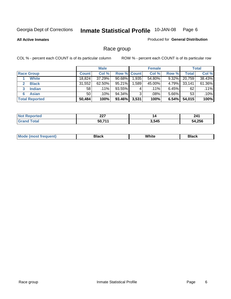#### **All Active Inmates**

#### Produced for **General Distribution**

### Race group

|                       |              | <b>Male</b> |             |       | <b>Female</b> |          |              | <b>Total</b> |
|-----------------------|--------------|-------------|-------------|-------|---------------|----------|--------------|--------------|
| <b>Race Group</b>     | <b>Count</b> | Col %       | Row % Count |       | Col %         | Row %    | <b>Total</b> | Col %        |
| <b>White</b>          | 18,824       | 37.29%      | $90.68\%$   | 1,935 | 54.80%        | 9.32%    | 20,759       | 38.43%       |
| <b>Black</b>          | 31,552       | 62.50%      | 95.21%      | .589  | 45.00%        | 4.79%    | 33,141       | 61.36%       |
| <b>Indian</b><br>3    | 58           | $.11\%$     | 93.55%      | 4     | $.11\%$       | $6.45\%$ | 62           | .11%         |
| <b>Asian</b>          | 50           | $.10\%$     | 94.34%      | 3     | .08%          | $5.66\%$ | 53           | .10%         |
| <b>Total Reported</b> | 50,484       | 100%        | 93.46%      | 3,531 | 100%          | 6.54%    | 54,015       | 100%         |

| 007            | 14           | 241 |
|----------------|--------------|-----|
| LL I           |              |     |
| EN 744<br>- 11 | 3 545<br>- - |     |

|  | $Mc$ | Black | White<br>$ -$ | 21904<br>DIACK |
|--|------|-------|---------------|----------------|
|--|------|-------|---------------|----------------|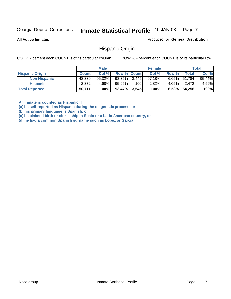**All Active Inmates**

Produced for **General Distribution**

#### Hispanic Origin

COL % - percent each COUNT is of its particular column ROW % - percent each COUNT is of its particular row

|                        |              | <b>Male</b> |                    |     | <b>Female</b> |          |                 | <b>Total</b> |
|------------------------|--------------|-------------|--------------------|-----|---------------|----------|-----------------|--------------|
| <b>Hispanic Origin</b> | <b>Count</b> | Col %       | <b>Row % Count</b> |     | Col %         | Row %    | Total           | Col %        |
| <b>Non Hispanic</b>    | 48,339       | $95.32\%$   | $93.35\%$ 3,445    |     | $97.18\%$     |          | $6.65\%$ 51,784 | 95.44%       |
| <b>Hispanic</b>        | 2,372        | 4.68%       | 95.95%             | 100 | 2.82%         | $4.05\%$ | 2.472           | 4.56%        |
| <b>Total Reported</b>  | 50,711       | 100%        | $93.47\%$ 3,545    |     | 100%          | $6.53\%$ | 54,256          | 100%         |

**An inmate is counted as Hispanic if** 

**(a) he self-reported as Hispanic during the diagnostic process, or** 

**(b) his primary language is Spanish, or** 

**(c) he claimed birth or citizenship in Spain or a Latin American country, or** 

**(d) he had a common Spanish surname such as Lopez or Garcia**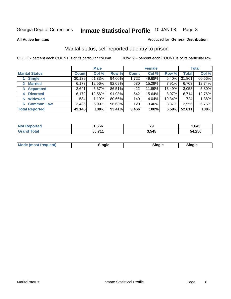**All Active Inmates**

#### Produced for **General Distribution**

### Marital status, self-reported at entry to prison

|                                    | <b>Male</b>  |           |        | <b>Female</b> |        |        | <b>Total</b> |        |
|------------------------------------|--------------|-----------|--------|---------------|--------|--------|--------------|--------|
| <b>Marital Status</b>              | <b>Count</b> | Col %     | Row %  | <b>Count</b>  | Col %  | Row %  | <b>Total</b> | Col %  |
| <b>Single</b>                      | 30,139       | $61.33\%$ | 94.60% | 1,722         | 49.68% | 5.40%  | 31,861       | 60.56% |
| <b>Married</b><br>$\mathbf{2}^-$   | 6,173        | 12.56%    | 92.09% | 530           | 15.29% | 7.91%  | 6,703        | 12.74% |
| <b>Separated</b><br>3 <sup>1</sup> | 2,641        | $5.37\%$  | 86.51% | 412           | 11.89% | 13.49% | 3,053        | 5.80%  |
| <b>Divorced</b><br>4               | 6,172        | 12.56%    | 91.93% | 542           | 15.64% | 8.07%  | 6,714        | 12.76% |
| <b>Widowed</b><br>5                | 584          | 1.19%     | 80.66% | 140           | 4.04%  | 19.34% | 724          | 1.38%  |
| <b>Common Law</b><br>6.            | 3,436        | 6.99%     | 96.63% | 120           | 3.46%  | 3.37%  | 3,556        | 6.76%  |
| <b>Total Reported</b>              | 49,145       | 100%      | 93.41% | 3,466         | 100%   | 6.59%  | 52,611       | 100%   |

| NO          | .566   | 70<br>। ଏ | .645         |
|-------------|--------|-----------|--------------|
| $5 - 6 - 1$ | 50.71' | 3,545     | 4,256<br>54. |

|  | Moc<br>: (most frequent) | ли |  | <b>Rinale</b> |
|--|--------------------------|----|--|---------------|
|--|--------------------------|----|--|---------------|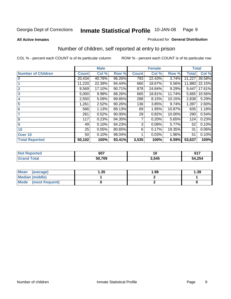#### **All Active Inmates**

#### Produced for **General Distribution**

### Number of children, self reported at entry to prison

|                           |              | <b>Male</b> |        |              | <b>Female</b> |        | <b>Total</b> |        |
|---------------------------|--------------|-------------|--------|--------------|---------------|--------|--------------|--------|
| <b>Number of Children</b> | <b>Count</b> | Col %       | Row %  | <b>Count</b> | Col %         | Row %  | <b>Total</b> | Col %  |
| $\bf{0}$                  | 20,434       | 40.78%      | 96.26% | 793          | 22.43%        | 3.74%  | 21,227       | 39.58% |
|                           | 11,220       | 22.39%      | 94.44% | 660          | 18.67%        | 5.56%  | 11,880       | 22.15% |
| $\overline{2}$            | 8,569        | 17.10%      | 90.71% | 878          | 24.84%        | 9.29%  | 9,447        | 17.61% |
| 3                         | 5,000        | 9.98%       | 88.26% | 665          | 18.81%        | 11.74% | 5,665        | 10.56% |
| 4                         | 2,550        | 5.09%       | 89.85% | 288          | 8.15%         | 10.15% | 2,838        | 5.29%  |
| 5                         | 1,261        | 2.52%       | 90.26% | 136          | 3.85%         | 9.74%  | 1,397        | 2.60%  |
| $6\phantom{a}$            | 566          | 1.13%       | 89.13% | 69           | 1.95%         | 10.87% | 635          | 1.18%  |
| 7                         | 261          | 0.52%       | 90.00% | 29           | 0.82%         | 10.00% | 290          | 0.54%  |
| 8                         | 117          | 0.23%       | 94.35% | 7            | 0.20%         | 5.65%  | 124          | 0.23%  |
| 9                         | 49           | 0.10%       | 94.23% | 3            | 0.08%         | 5.77%  | 52           | 0.10%  |
| 10                        | 25           | 0.05%       | 80.65% | 6            | 0.17%         | 19.35% | 31           | 0.06%  |
| Over 10                   | 50           | 0.10%       | 98.04% |              | 0.03%         | 1.96%  | 51           | 0.10%  |
| <b>Total Reported</b>     | 50,102       | 100%        | 93.41% | 3,535        | 100%          | 6.59%  | 53,637       | 100%   |

| . | 607                | $\sim$ | C47<br>, , , |
|---|--------------------|--------|--------------|
|   | こへ つへへ<br>-<br>้บะ | .545   | 4,254<br>״   |

| <b>Mean</b><br>(average) | .35 | 1.98 | .39 |
|--------------------------|-----|------|-----|
| <b>Median (middle)</b>   |     |      |     |
| Mode<br>(most frequent)  |     |      |     |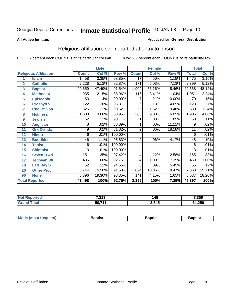**All Active Inmates**

#### Produced for **General Distribution**

### Religious affiliation, self-reported at entry to prison

|                  |                              |              | <b>Male</b> |         | <b>Female</b>    |        |        | <b>Total</b> |        |
|------------------|------------------------------|--------------|-------------|---------|------------------|--------|--------|--------------|--------|
|                  | <b>Religious Affiliation</b> | <b>Count</b> | Col %       | Row %   | <b>Count</b>     | Col %  | Row %  | <b>Total</b> | Col %  |
| 1                | <b>Islam</b>                 | 1,458        | 3.35%       | 98.85%  | $\overline{17}$  | .50%   | 1.15%  | 1,475        | 3.15%  |
| $\overline{2}$   | <b>Catholic</b>              | 2,228        | 5.12%       | 92.87%  | 171              | 5.03%  | 7.13%  | 2,399        | 5.12%  |
| 3                | <b>Baptist</b>               | 20,659       | 47.49%      | 91.54%  | 1,909            | 56.16% | 8.46%  | 22,568       | 48.12% |
| 4                | <b>Methodist</b>             | 935          | 2.15%       | 88.96%  | 116              | 3.41%  | 11.04% | 1,051        | 2.24%  |
| 5                | <b>EpiscopIn</b>             | 63           | .14%        | 90.00%  |                  | .21%   | 10.00% | 70           | .15%   |
| 6                | <b>Presbytrn</b>             | 122          | .28%        | 95.31%  | 6                | .18%   | 4.69%  | 128          | .27%   |
| 7                | <b>Chc Of God</b>            | 525          | 1.21%       | 90.52%  | 55               | 1.62%  | 9.48%  | 580          | 1.24%  |
| 8                | <b>Holiness</b>              | 1,600        | 3.68%       | 83.95%  | $\overline{306}$ | 9.00%  | 16.05% | 1,906        | 4.06%  |
| $\boldsymbol{9}$ | <b>Jewish</b>                | 52           | .12%        | 98.11%  |                  | .03%   | 1.89%  | 53           | .11%   |
| 10               | <b>Anglican</b>              | 8            | .02%        | 88.89%  |                  | .03%   | 11.11% | 9            | .02%   |
| 11               | <b>Grk Orthdx</b>            | 9            | .02%        | 81.82%  | $\overline{2}$   | .06%   | 18.18% | 11           | .02%   |
| 12               | <b>Hindu</b>                 | 6            | .01%        | 100.00% |                  |        |        | 6            | .01%   |
| 13               | <b>Buddhist</b>              | 46           | .11%        | 95.83%  | $\overline{2}$   | .06%   | 4.17%  | 48           | .10%   |
| 14               | <b>Taoist</b>                | 6            | .01%        | 100.00% |                  |        |        | 6            | .01%   |
| 15               | <b>Shintoist</b>             | 3            | .01%        | 100.00% |                  |        |        | 3            | .01%   |
| 16               | <b>Seven D Ad</b>            | 151          | .35%        | 97.42%  | 4                | .12%   | 2.58%  | 155          | .33%   |
| 17               | <b>Jehovah Wt</b>            | 435          | 1.00%       | 92.75%  | 34               | 1.00%  | 7.25%  | 469          | 1.00%  |
| 18               | <b>Latr Day S</b>            | 52           | .12%        | 94.55%  | 3                | .09%   | 5.45%  | 55           | .12%   |
| 20               | <b>Other Prot</b>            | 6,744        | 15.50%      | 91.53%  | 624              | 18.36% | 8.47%  | 7,368        | 15.71% |
| 96               | <b>None</b>                  | 8,396        | 19.30%      | 98.35%  | 141              | 4.15%  | 1.65%  | 8,537        | 18.20% |
|                  | <b>Total Reported</b>        | 43,498       | 100%        | 92.75%  | 3,399            | 100%   | 7.25%  | 46,897       | 100%   |

| 7.040<br>ں ، ے, | 146<br>$\sim$ | $^{\prime}$ .359 |
|-----------------|---------------|------------------|
| - - -<br>50     | 3.545         | .256             |

| Mode (most frequent)<br>Baptist<br>Baptist<br><b>Baptist</b> |
|--------------------------------------------------------------|
|--------------------------------------------------------------|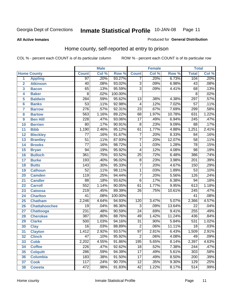#### **All Active Inmates**

### Produced for **General Distribution**

### Home county, self-reported at entry to prison

|                 |                      |                  | <b>Male</b> |         |                           | <b>Female</b> |        | <b>Total</b>     |                            |
|-----------------|----------------------|------------------|-------------|---------|---------------------------|---------------|--------|------------------|----------------------------|
|                 | <b>Home County</b>   | <b>Count</b>     | Col %       | Row %   | <b>Count</b>              | Col %         | Row %  | <b>Total</b>     | $\overline{\text{Col }^9}$ |
| 1               | <b>Appling</b>       | $\overline{97}$  | .20%        | 93.27%  | 7                         | .20%          | 6.73%  | 104              | .20%                       |
| $\overline{2}$  | <b>Atkinson</b>      | $\overline{40}$  | .08%        | 93.02%  | $\overline{3}$            | .09%          | 6.98%  | $\overline{43}$  | .08%                       |
| 3               | <b>Bacon</b>         | 65               | .13%        | 95.59%  | $\overline{\overline{3}}$ | .09%          | 4.41%  | 68               | .13%                       |
| 4               | <b>Baker</b>         | $\overline{8}$   | .02%        | 100.00% |                           |               |        | $\overline{8}$   | .02%                       |
| 5               | <b>Baldwin</b>       | 284              | .59%        | 95.62%  | $\overline{13}$           | .38%          | 4.38%  | 297              | .57%                       |
| $6\phantom{a}$  | <b>Banks</b>         | $\overline{53}$  | .11%        | 92.98%  | 4                         | .12%          | 7.02%  | $\overline{57}$  | .11%                       |
| $\overline{7}$  | <b>Barrow</b>        | $\overline{276}$ | .57%        | 92.31%  | $\overline{23}$           | .67%          | 7.69%  | 299              | .58%                       |
| 8               | <b>Bartow</b>        | 563              | 1.16%       | 89.22%  | 68                        | 1.97%         | 10.78% | 631              | 1.22%                      |
| 9               | <b>Ben Hill</b>      | $\overline{228}$ | .47%        | 93.06%  | $\overline{17}$           | .49%          | 6.94%  | $\overline{245}$ | .47%                       |
| 10              | <b>Berrien</b>       | $\overline{80}$  | .17%        | 90.91%  | $\overline{8}$            | .23%          | 9.09%  | $\overline{88}$  | .17%                       |
| 11              | <b>Bibb</b>          | 1,190            | 2.46%       | 95.12%  | 61                        | 1.77%         | 4.88%  | 1,251            | 2.41%                      |
| 12              | <b>Bleckley</b>      | $\overline{77}$  | .16%        | 91.67%  | $\overline{7}$            | .20%          | 8.33%  | 84               | .16%                       |
| $\overline{13}$ | <b>Brantley</b>      | $\overline{51}$  | .11%        | 87.93%  | $\overline{7}$            | .20%          | 12.07% | $\overline{58}$  | .11%                       |
| $\overline{14}$ | <b>Brooks</b>        | $\overline{77}$  | .16%        | 98.72%  | $\overline{1}$            | .03%          | 1.28%  | $\overline{78}$  | .15%                       |
| 15              | <b>Bryan</b>         | $\overline{94}$  | .19%        | 95.92%  | 4                         | .12%          | 4.08%  | $\overline{98}$  | .19%                       |
| 16              | <b>Bulloch</b>       | 361              | .75%        | 93.52%  | $\overline{25}$           | .72%          | 6.48%  | 386              | .74%                       |
| $\overline{17}$ | <b>Burke</b>         | 193              | .40%        | 96.02%  | $\overline{8}$            | .23%          | 3.98%  | $\overline{201}$ | .39%                       |
| 18              | <b>Butts</b>         | $\overline{143}$ | .30%        | 95.33%  | $\overline{7}$            | .20%          | 4.67%  | 150              | .29%                       |
| 19              | <b>Calhoun</b>       | $\overline{52}$  | .11%        | 98.11%  | $\mathbf{1}$              | .03%          | 1.89%  | $\overline{53}$  | .10%                       |
| 20              | <b>Camden</b>        | 119              | .25%        | 94.44%  | $\overline{7}$            | .20%          | 5.56%  | 126              | .24%                       |
| 21              | <b>Candler</b>       | $\overline{88}$  | .18%        | 93.62%  | $\overline{6}$            | .17%          | 6.38%  | $\overline{94}$  | .18%                       |
| $\overline{22}$ | <b>Carroll</b>       | $\overline{552}$ | 1.14%       | 90.05%  | $\overline{61}$           | 1.77%         | 9.95%  | $\overline{613}$ | 1.18%                      |
| 23              | <b>Catoosa</b>       | $\overline{219}$ | .45%        | 89.39%  | $\overline{26}$           | .75%          | 10.61% | $\overline{245}$ | .47%                       |
| 24              | <b>Charlton</b>      | $\overline{41}$  | .08%        | 100.00% |                           |               |        | $\overline{41}$  | .08%                       |
| 25              | <b>Chatham</b>       | 2,246            | 4.64%       | 94.93%  | 120                       | 3.47%         | 5.07%  | 2,366            | 4.57%                      |
| 26              | <b>Chattahoochee</b> | $\overline{19}$  | .04%        | 86.36%  | 3                         | .09%          | 13.64% | $\overline{22}$  | .04%                       |
| 27              | <b>Chattooga</b>     | $\overline{231}$ | .48%        | 90.59%  | $\overline{24}$           | .69%          | 9.41%  | 255              | .49%                       |
| 28              | <b>Cherokee</b>      | 387              | .80%        | 88.76%  | 49                        | 1.42%         | 11.24% | 436              | .84%                       |
| 29              | <b>Clarke</b>        | $\overline{500}$ | 1.03%       | 94.16%  | $\overline{31}$           | .90%          | 5.84%  | $\overline{531}$ | 1.02%                      |
| 30              | <b>Clay</b>          | $\overline{16}$  | .03%        | 88.89%  | $\overline{2}$            | .06%          | 11.11% | $\overline{18}$  | .03%                       |
| $\overline{31}$ | <b>Clayton</b>       | 1,412            | 2.92%       | 93.57%  | $\overline{97}$           | 2.81%         | 6.43%  | 1,509            | 2.91%                      |
| 32              | <b>Clinch</b>        | 47               | .10%        | 95.92%  | 2                         | .06%          | 4.08%  | 49               | .09%                       |
| 33              | <b>Cobb</b>          | 2,202            | 4.55%       | 91.86%  | 195                       | 5.65%         | 8.14%  | 2,397            | 4.63%                      |
| 34              | <b>Coffee</b>        | 226              | .47%        | 92.62%  | $\overline{18}$           | .52%          | 7.38%  | 244              | .47%                       |
| 35              | <b>Colquitt</b>      | $\overline{286}$ | .59%        | 94.39%  | $\overline{17}$           | .49%          | 5.61%  | $\overline{303}$ | .58%                       |
| 36              | <b>Columbia</b>      | 183              | .38%        | 91.50%  | $\overline{17}$           | .49%          | 8.50%  | $\overline{200}$ | .39%                       |
| 37              | <b>Cook</b>          | 117              | .24%        | 90.70%  | $\overline{12}$           | .35%          | 9.30%  | 129              | .25%                       |
| 38              | <b>Coweta</b>        | 472              | .98%        | 91.83%  | $\overline{42}$           | 1.22%         | 8.17%  | 514              | .99%                       |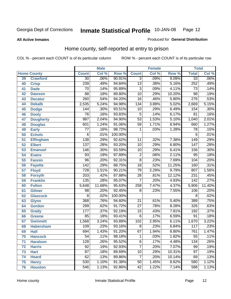**All Active Inmates**

#### Produced for **General Distribution**

### Home county, self-reported at entry to prison

|                 |                    |                  | <b>Male</b> |         |                 | <b>Female</b> |        | <b>Total</b>     |                            |
|-----------------|--------------------|------------------|-------------|---------|-----------------|---------------|--------|------------------|----------------------------|
|                 | <b>Home County</b> | <b>Count</b>     | Col %       | Row %   | <b>Count</b>    | Col %         | Row %  | <b>Total</b>     | $\overline{\text{Col }^9}$ |
| 39              | <b>Crawford</b>    | $\overline{30}$  | .06%        | 90.91%  | $\overline{3}$  | .09%          | 9.09%  | $\overline{33}$  | .06%                       |
| 40              | <b>Crisp</b>       | 239              | .49%        | 94.84%  | $\overline{13}$ | .38%          | 5.16%  | 252              | .49%                       |
| 41              | <b>Dade</b>        | 70               | .14%        | 95.89%  | $\overline{3}$  | .09%          | 4.11%  | 73               | .14%                       |
| 42              | <b>Dawson</b>      | $\overline{88}$  | .18%        | 89.80%  | $\overline{10}$ | .29%          | 10.20% | $\overline{98}$  | .19%                       |
| 43              | <b>Decatur</b>     | $\overline{260}$ | .54%        | 94.20%  | $\overline{16}$ | .46%          | 5.80%  | 276              | .53%                       |
| 44              | <b>Dekalb</b>      | 2,535            | 5.24%       | 94.98%  | 134             | 3.88%         | 5.02%  | 2,669            | 5.15%                      |
| 45              | <b>Dodge</b>       | 144              | .30%        | 93.51%  | 10              | .29%          | 6.49%  | 154              | .30%                       |
| 46              | <b>Dooly</b>       | $\overline{76}$  | .16%        | 93.83%  | 5               | .14%          | 6.17%  | $\overline{81}$  | .16%                       |
| 47              | <b>Dougherty</b>   | $\overline{987}$ | 2.04%       | 94.90%  | $\overline{53}$ | 1.53%         | 5.10%  | 1,040            | 2.01%                      |
| 48              | <b>Douglas</b>     | 601              | 1.24%       | 91.06%  | 59              | 1.71%         | 8.94%  | 660              | 1.27%                      |
| 49              | <b>Early</b>       | $\overline{77}$  | .16%        | 98.72%  | 1               | .03%          | 1.28%  | $\overline{78}$  | .15%                       |
| 50              | <b>Echols</b>      | 6                | .01%        | 100.00% |                 |               |        | 6                | .01%                       |
| $\overline{51}$ | <b>Effingham</b>   | 138              | .29%        | 92.62%  | $\overline{11}$ | .32%          | 7.38%  | 149              | .29%                       |
| 52              | <b>Elbert</b>      | 137              | .28%        | 93.20%  | $\overline{10}$ | .29%          | 6.80%  | $\overline{147}$ | .28%                       |
| 53              | <b>Emanuel</b>     | 146              | .30%        | 93.59%  | $\overline{10}$ | .29%          | 6.41%  | 156              | .30%                       |
| 54              | <b>Evans</b>       | 93               | .19%        | 97.89%  | $\overline{2}$  | .06%          | 2.11%  | $\overline{95}$  | .18%                       |
| 55              | <b>Fannin</b>      | $\overline{96}$  | .20%        | 92.31%  | $\overline{8}$  | .23%          | 7.69%  | 104              | .20%                       |
| 56              | <b>Fayette</b>     | $\overline{142}$ | .29%        | 88.75%  | $\overline{18}$ | .52%          | 11.25% | 160              | .31%                       |
| 57              | <b>Floyd</b>       | 728              | 1.51%       | 90.21%  | $\overline{79}$ | 2.29%         | 9.79%  | 807              | 1.56%                      |
| 58              | <b>Forsyth</b>     | $\overline{203}$ | .42%        | 87.88%  | $\overline{28}$ | .81%          | 12.12% | 231              | .45%                       |
| 59              | <b>Franklin</b>    | 135              | .28%        | 95.07%  | $\overline{7}$  | .20%          | 4.93%  | 142              | .27%                       |
| 60              | <b>Fulton</b>      | 5,648            | 11.68%      | 95.63%  | 258             | 7.47%         | 4.37%  | 5,906            | 11.40%                     |
| 61              | Gilmer             | 98               | .20%        | 92.45%  | 8               | .23%          | 7.55%  | 106              | .20%                       |
| 62              | <b>Glascock</b>    | $\overline{8}$   | .02%        | 100.00% |                 |               |        | $\overline{8}$   | .02%                       |
| 63              | <b>Glynn</b>       | 368              | .76%        | 94.60%  | $\overline{21}$ | .61%          | 5.40%  | 389              | .75%                       |
| 64              | <b>Gordon</b>      | 299              | .62%        | 91.72%  | $\overline{27}$ | .78%          | 8.28%  | 326              | .63%                       |
| 65              | <b>Grady</b>       | $\overline{177}$ | .37%        | 92.19%  | $\overline{15}$ | .43%          | 7.81%  | 192              | .37%                       |
| 66              | <b>Greene</b>      | 85               | .18%        | 93.41%  | 6               | .17%          | 6.59%  | $\overline{91}$  | .18%                       |
| 67              | <b>Gwinnett</b>    | 1,568            | 3.24%       | 93.89%  | 102             | 2.95%         | 6.11%  | 1,670            | 3.22%                      |
| 68              | <b>Habersham</b>   | 109              | .23%        | 93.16%  | $\overline{8}$  | .23%          | 6.84%  | 117              | .23%                       |
| 69              | <b>Hall</b>        | 694              | 1.43%       | 91.20%  | 67              | 1.94%         | 8.80%  | 761              | 1.47%                      |
| 70              | <b>Hancock</b>     | 54               | .11%        | 98.18%  | 1               | .03%          | 1.82%  | 55               | .11%                       |
| 71              | <b>Haralson</b>    | 128              | .26%        | 95.52%  | $\overline{6}$  | .17%          | 4.48%  | 134              | .26%                       |
| 72              | <b>Harris</b>      | 92               | .19%        | 92.93%  | 7               | .20%          | 7.07%  | 99               | .19%                       |
| 73              | <b>Hart</b>        | $\overline{87}$  | .18%        | 89.69%  | 10              | .29%          | 10.31% | $\overline{97}$  | .19%                       |
| 74              | <b>Heard</b>       | 62               | .13%        | 89.86%  | $\overline{7}$  | .20%          | 10.14% | 69               | .13%                       |
| 75              | <b>Henry</b>       | 530              | 1.10%       | 91.38%  | $\overline{50}$ | 1.45%         | 8.62%  | 580              | 1.12%                      |
| 76              | <b>Houston</b>     | $\overline{546}$ | 1.13%       | 92.86%  | $\overline{42}$ | 1.22%         | 7.14%  | 588              | 1.13%                      |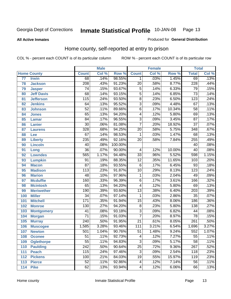#### **All Active Inmates**

#### Produced for **General Distribution**

### Home county, self-reported at entry to prison

|                 |                    |                  | <b>Male</b> |         |                           | <b>Female</b> |        | <b>Total</b>     |       |
|-----------------|--------------------|------------------|-------------|---------|---------------------------|---------------|--------|------------------|-------|
|                 | <b>Home County</b> | <b>Count</b>     | Col %       | Row %   | <b>Count</b>              | Col %         | Row %  | <b>Total</b>     | Col % |
| $\overline{77}$ | <b>Irwin</b>       | 68               | .14%        | 98.55%  | 1                         | .03%          | 1.45%  | 69               | .13%  |
| 78              | <b>Jackson</b>     | $\overline{208}$ | .43%        | 91.23%  | $\overline{20}$           | .58%          | 8.77%  | 228              | .44%  |
| 79              | <b>Jasper</b>      | $\overline{74}$  | .15%        | 93.67%  | 5                         | .14%          | 6.33%  | 79               | .15%  |
| 80              | <b>Jeff Davis</b>  | 68               | .14%        | 93.15%  | $\overline{5}$            | .14%          | 6.85%  | $\overline{73}$  | .14%  |
| 81              | <b>Jefferson</b>   | $\overline{115}$ | .24%        | 93.50%  | $\overline{8}$            | .23%          | 6.50%  | $\overline{123}$ | .24%  |
| 82              | <b>Jenkins</b>     | 64               | .13%        | 95.52%  | $\overline{3}$            | .09%          | 4.48%  | $\overline{67}$  | .13%  |
| 83              | <b>Johnson</b>     | $\overline{52}$  | .11%        | 89.66%  | $\overline{6}$            | .17%          | 10.34% | $\overline{58}$  | .11%  |
| 84              | <b>Jones</b>       | $\overline{65}$  | .13%        | 94.20%  | $\overline{4}$            | .12%          | 5.80%  | 69               | .13%  |
| 85              | <b>Lamar</b>       | $\overline{84}$  | .17%        | 96.55%  | $\overline{3}$            | .09%          | 3.45%  | $\overline{87}$  | .17%  |
| 86              | <b>Lanier</b>      | $\overline{30}$  | .06%        | 81.08%  | $\overline{7}$            | .20%          | 18.92% | $\overline{37}$  | .07%  |
| 87              | <b>Laurens</b>     | $\overline{328}$ | .68%        | 94.25%  | $\overline{20}$           | .58%          | 5.75%  | 348              | .67%  |
| 88              | <b>Lee</b>         | $\overline{67}$  | .14%        | 98.53%  | 1                         | .03%          | 1.47%  | 68               | .13%  |
| 89              | <b>Liberty</b>     | 235              | .49%        | 92.16%  | $\overline{20}$           | .58%          | 7.84%  | 255              | .49%  |
| 90              | <b>Lincoln</b>     | $\overline{40}$  | .08%        | 100.00% |                           |               |        | 40               | .08%  |
| 91              | Long               | $\overline{36}$  | .07%        | 90.00%  | 4                         | .12%          | 10.00% | $\overline{40}$  | .08%  |
| 92              | <b>Lowndes</b>     | $\overline{565}$ | 1.17%       | 94.48%  | $\overline{33}$           | .96%          | 5.52%  | 598              | 1.15% |
| 93              | <b>Lumpkin</b>     | $\overline{91}$  | .19%        | 88.35%  | $\overline{12}$           | .35%          | 11.65% | 103              | .20%  |
| 94              | <b>Macon</b>       | $\overline{87}$  | .18%        | 93.55%  | 6                         | .17%          | 6.45%  | $\overline{93}$  | .18%  |
| 95              | <b>Madison</b>     | 113              | .23%        | 91.87%  | $\overline{10}$           | .29%          | 8.13%  | $\overline{123}$ | .24%  |
| 96              | <b>Marion</b>      | 48               | .10%        | 97.96%  | $\mathbf 1$               | .03%          | 2.04%  | 49               | .09%  |
| 97              | <b>Mcduffie</b>    | 160              | .33%        | 96.39%  | $\overline{6}$            | .17%          | 3.61%  | 166              | .32%  |
| 98              | <b>Mcintosh</b>    | $\overline{65}$  | .13%        | 94.20%  | 4                         | .12%          | 5.80%  | 69               | .13%  |
| 99              | <b>Meriwether</b>  | 190              | .39%        | 93.60%  | $\overline{13}$           | .38%          | 6.40%  | $\overline{203}$ | .39%  |
| 100             | <b>Miller</b>      | $\overline{34}$  | .07%        | 97.14%  | $\mathbf{1}$              | .03%          | 2.86%  | $\overline{35}$  | .07%  |
| 101             | <b>Mitchell</b>    | 171              | .35%        | 91.94%  | $\overline{15}$           | .43%          | 8.06%  | 186              | .36%  |
| 102             | <b>Monroe</b>      | 130              | .27%        | 94.20%  | $\overline{8}$            | .23%          | 5.80%  | 138              | .27%  |
| 103             | <b>Montgomery</b>  | 41               | .08%        | 93.18%  | $\overline{3}$            | .09%          | 6.82%  | 44               | .08%  |
| 104             | <b>Morgan</b>      | $\overline{71}$  | .15%        | 91.03%  | $\overline{7}$            | .20%          | 8.97%  | $\overline{78}$  | .15%  |
| 105             | <b>Murray</b>      | $\overline{240}$ | .50%        | 91.95%  | $\overline{21}$           | .61%          | 8.05%  | $\overline{261}$ | .50%  |
| 106             | <b>Muscogee</b>    | 1,585            | 3.28%       | 93.46%  | $\overline{111}$          | 3.21%         | 6.54%  | 1,696            | 3.27% |
| 107             | <b>Newton</b>      | 501              | 1.04%       | 90.76%  | $\overline{51}$           | 1.48%         | 9.24%  | 552              | 1.07% |
| 108             | <b>Oconee</b>      | 51               | .11%        | 92.73%  | 4                         | .12%          | 7.27%  | 55               | .11%  |
| 109             | <b>Oglethorpe</b>  | $\overline{55}$  | .11%        | 94.83%  | $\overline{\overline{3}}$ | .09%          | 5.17%  | $\overline{58}$  | .11%  |
| 110             | <b>Paulding</b>    | $\overline{242}$ | .50%        | 90.64%  | $\overline{25}$           | .72%          | 9.36%  | $\overline{267}$ | .52%  |
| 111             | <b>Peach</b>       | 115              | .24%        | 97.46%  | $\overline{3}$            | .09%          | 2.54%  | 118              | .23%  |
| 112             | <b>Pickens</b>     | 100              | .21%        | 84.03%  | $\overline{19}$           | .55%          | 15.97% | 119              | .23%  |
| 113             | <b>Pierce</b>      | $\overline{52}$  | .11%        | 92.86%  | 4                         | .12%          | 7.14%  | 56               | .11%  |
| 114             | <b>Pike</b>        | $\overline{62}$  | .13%        | 93.94%  | 4                         | .12%          | 6.06%  | 66               | .13%  |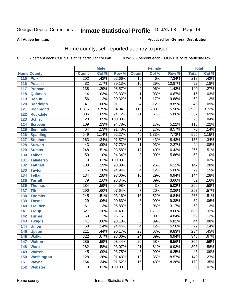**All Active Inmates**

#### Produced for **General Distribution**

### Home county, self-reported at entry to prison

|     |                    |                  | <b>Male</b> |         |                  | <b>Female</b> |        | <b>Total</b>     |                            |
|-----|--------------------|------------------|-------------|---------|------------------|---------------|--------|------------------|----------------------------|
|     | <b>Home County</b> | <b>Count</b>     | Col %       | Row %   | <b>Count</b>     | Col %         | Row %  | <b>Total</b>     | $\overline{\text{Col }^9}$ |
| 115 | <b>Polk</b>        | 202              | .42%        | 92.66%  | $\overline{16}$  | .46%          | 7.34%  | 218              | .42%                       |
| 116 | <b>Pulaski</b>     | $\overline{82}$  | .17%        | 89.13%  | 10               | .29%          | 10.87% | $\overline{92}$  | .18%                       |
| 117 | <b>Putnam</b>      | 138              | .29%        | 98.57%  | $\overline{2}$   | .06%          | 1.43%  | 140              | .27%                       |
| 118 | Quitman            | $\overline{14}$  | .03%        | 93.33%  | $\overline{1}$   | .03%          | 6.67%  | 15               | .03%                       |
| 119 | <b>Rabun</b>       | $\overline{56}$  | .12%        | 90.32%  | $\overline{6}$   | .17%          | 9.68%  | 62               | .12%                       |
| 120 | <b>Randolph</b>    | $\overline{41}$  | .08%        | 91.11%  | $\overline{4}$   | .12%          | 8.89%  | 45               | .09%                       |
| 121 | <b>Richmond</b>    | 1,815            | 3.75%       | 94.04%  | $\overline{115}$ | 3.33%         | 5.96%  | 1,930            | 3.72%                      |
| 122 | <b>Rockdale</b>    | 336              | .69%        | 94.12%  | $\overline{21}$  | .61%          | 5.88%  | 357              | .69%                       |
| 123 | <b>Schley</b>      | $\overline{23}$  | .05%        | 100.00% |                  |               |        | $\overline{23}$  | .04%                       |
| 124 | <b>Screven</b>     | 109              | .23%        | 94.78%  | 6                | .17%          | 5.22%  | 115              | .22%                       |
| 125 | <b>Seminole</b>    | 64               | .13%        | 91.43%  | $\overline{6}$   | .17%          | 8.57%  | 70               | .14%                       |
| 126 | <b>Spalding</b>    | 549              | 1.14%       | 92.27%  | 46               | 1.33%         | 7.73%  | 595              | 1.15%                      |
| 127 | <b>Stephens</b>    | 163              | .34%        | 91.57%  | $\overline{15}$  | .43%          | 8.43%  | 178              | .34%                       |
| 128 | <b>Stewart</b>     | 43               | .09%        | 97.73%  | 1                | .03%          | 2.27%  | 44               | .08%                       |
| 129 | <b>Sumter</b>      | $\overline{248}$ | .51%        | 93.58%  | $\overline{17}$  | .49%          | 6.42%  | 265              | .51%                       |
| 130 | <b>Talbot</b>      | $\overline{50}$  | .10%        | 94.34%  | $\overline{3}$   | .09%          | 5.66%  | $\overline{53}$  | .10%                       |
| 131 | <b>Taliaferro</b>  | $\overline{9}$   | .02%        | 100.00% |                  |               |        | 9                | .02%                       |
| 132 | <b>Tattnall</b>    | 138              | .29%        | 93.88%  | 9                | .26%          | 6.12%  | 147              | .28%                       |
| 133 | <b>Taylor</b>      | $\overline{75}$  | .16%        | 94.94%  | 4                | .12%          | 5.06%  | 79               | .15%                       |
| 134 | <b>Telfair</b>     | 134              | .28%        | 93.06%  | $\overline{10}$  | .29%          | 6.94%  | 144              | .28%                       |
| 135 | <b>Terrell</b>     | $\overline{79}$  | .16%        | 96.34%  | $\overline{3}$   | .09%          | 3.66%  | $\overline{82}$  | .16%                       |
| 136 | <b>Thomas</b>      | 284              | .59%        | 94.98%  | $\overline{15}$  | .43%          | 5.02%  | 299              | .58%                       |
| 137 | <b>Tift</b>        | 290              | .60%        | 97.64%  | $\overline{7}$   | .20%          | 2.36%  | $\overline{297}$ | .57%                       |
| 138 | <b>Toombs</b>      | $\overline{245}$ | .51%        | 93.16%  | $\overline{18}$  | .52%          | 6.84%  | $\overline{263}$ | .51%                       |
| 139 | <b>Towns</b>       | $\overline{29}$  | .06%        | 90.63%  | $\overline{3}$   | .09%          | 9.38%  | $\overline{32}$  | .06%                       |
| 140 | <b>Treutlen</b>    | 61               | .13%        | 96.83%  | $\overline{2}$   | .06%          | 3.17%  | 63               | .12%                       |
| 141 | <b>Troup</b>       | 627              | 1.30%       | 91.40%  | $\overline{59}$  | 1.71%         | 8.60%  | 686              | 1.32%                      |
| 142 | <b>Turner</b>      | $\overline{59}$  | .12%        | 95.16%  | $\overline{3}$   | .09%          | 4.84%  | 62               | .12%                       |
| 143 | <b>Twiggs</b>      | $\overline{41}$  | .08%        | 93.18%  | $\overline{3}$   | .09%          | 6.82%  | 44               | .08%                       |
| 144 | <b>Union</b>       | 68               | .14%        | 94.44%  | $\overline{4}$   | .12%          | 5.56%  | $\overline{72}$  | .14%                       |
| 145 | <b>Upson</b>       | $\overline{211}$ | .44%        | 90.17%  | $\overline{23}$  | .67%          | 9.83%  | 234              | .45%                       |
| 146 | <b>Walker</b>      | 322              | .67%        | 93.06%  | 24               | .69%          | 6.94%  | 346              | .67%                       |
| 147 | <b>Walton</b>      | 285              | .59%        | 93.44%  | $\overline{20}$  | .58%          | 6.56%  | 305              | .59%                       |
| 148 | <b>Ware</b>        | 282              | .58%        | 93.07%  | $\overline{21}$  | .61%          | 6.93%  | $\overline{303}$ | .58%                       |
| 149 | <b>Warren</b>      | 45               | .09%        | 93.75%  | $\overline{3}$   | .09%          | 6.25%  | 48               | .09%                       |
| 150 | <b>Washington</b>  | 128              | .26%        | 91.43%  | $\overline{12}$  | .35%          | 8.57%  | 140              | .27%                       |
| 151 | <b>Wayne</b>       | 164              | .34%        | 91.62%  | $\overline{15}$  | .43%          | 8.38%  | 179              | .35%                       |
| 152 | <b>Webster</b>     | $\overline{9}$   | .02%        | 100.00% |                  |               |        | $\overline{9}$   | .02%                       |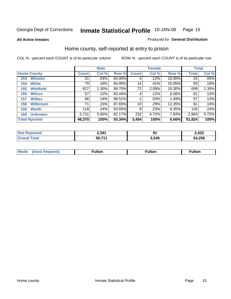**All Active Inmates**

#### Produced for **General Distribution**

### Home county, self-reported at entry to prison

|     |                      |              | <b>Male</b> |        |              | <b>Female</b> |        |              | <b>Total</b> |  |  |
|-----|----------------------|--------------|-------------|--------|--------------|---------------|--------|--------------|--------------|--|--|
|     | <b>Home County</b>   | <b>Count</b> | Col %       | Row %  | <b>Count</b> | Col %         | Row %  | <b>Total</b> | Col %        |  |  |
| 153 | <b>Wheeler</b>       | 21           | .04%        | 84.00% | 4            | .12%          | 16.00% | 25           | .05%         |  |  |
| 154 | <b>White</b>         | 79           | .16%        | 84.95% | 14           | .41%          | 15.05% | 93           | .18%         |  |  |
| 155 | <b>Whitfield</b>     | 627          | 1.30%       | 89.70% | 72           | 2.08%         | 10.30% | 699          | 1.35%        |  |  |
| 156 | <b>Wilcox</b>        | 57           | .12%        | 93.44% | 4            | .12%          | 6.56%  | 61           | .12%         |  |  |
| 157 | <b>Wilkes</b>        | 66           | .14%        | 98.51% |              | .03%          | 1.49%  | 67           | .13%         |  |  |
| 158 | <b>Wilkinson</b>     | 71           | .15%        | 87.65% | 10           | .29%          | 12.35% | 81           | .16%         |  |  |
| 159 | <b>Worth</b>         | 118          | .24%        | 93.65% | 8            | .23%          | 6.35%  | 126          | .24%         |  |  |
| 160 | <b>Unknown</b>       | 2,731        | 5.65%       | 92.17% | 232          | 6.72%         | 7.83%  | 2,963        | 5.72%        |  |  |
|     | <b>Total Rported</b> | 48,370       | 100%        | 93.34% | 3,454        | 100%          | 6.66%  | 51,824       | 100%         |  |  |

| oorted<br>NO:       | 2,34 <sup>4</sup> | m     | 2,432  |
|---------------------|-------------------|-------|--------|
| <b>otal</b><br>. Gr | $50,71^\circ$     | 545.د | 54,256 |

| <b>Mo</b><br>$\cdots$ | . . | -- 14 -- --<br>uiton |  |
|-----------------------|-----|----------------------|--|
|                       |     |                      |  |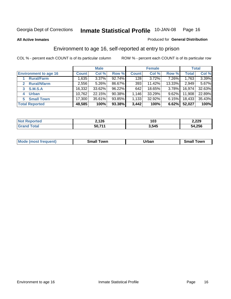#### **All Active Inmates**

#### Produced for **General Distribution**

### Environment to age 16, self-reported at entry to prison

|                                    | <b>Male</b>  |          | <b>Female</b> |              |        | <b>Total</b> |              |        |
|------------------------------------|--------------|----------|---------------|--------------|--------|--------------|--------------|--------|
| <b>Environment to age 16</b>       | <b>Count</b> | Col %    | Row %         | <b>Count</b> | Col %  | Row %        | <b>Total</b> | Col %  |
| <b>Rural/Farm</b>                  | 1,635        | $3.37\%$ | 92.74%        | 128          | 3.72%  | 7.26%        | 1,763        | 3.39%  |
| <b>Rural/Nfarm</b><br>$\mathbf{2}$ | 2,556        | 5.26%    | 86.67%        | 393          | 11.42% | 13.33%       | 2,949        | 5.67%  |
| <b>S.M.S.A</b><br>3                | 16,332       | 33.62%   | $96.22\%$     | 642          | 18.65% | $3.78\%$     | 16,974       | 32.63% |
| <b>Urban</b><br>4                  | 10,762       | 22.15%   | 90.38%        | .146         | 33.29% | $9.62\%$     | 11,908       | 22.89% |
| <b>Small Town</b><br>5.            | 17,300       | 35.61%   | 93.85%        | 1,133        | 32.92% | $6.15\%$     | 18,433       | 35.43% |
| <b>Total Reported</b>              | 48,585       | 100%     | 93.38%        | 3,442        | 100%   | 6.62%        | 52,027       | 100%   |

| Reported<br><b>Not</b> | 2,126  | 103   | 2,229  |
|------------------------|--------|-------|--------|
| <b>Total</b><br>Grand  | 50,711 | 3,545 | 54,256 |

| Mo<br>. . | . owr | <u>'''' ''</u><br>roa<br>_____ | .0W <sub>r</sub> |
|-----------|-------|--------------------------------|------------------|
|           |       |                                |                  |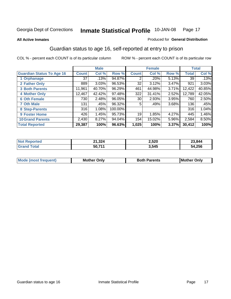#### **All Active Inmates**

#### Produced for **General Distribution**

### Guardian status to age 16, self-reported at entry to prison

|                                  |                 | <b>Male</b> |         |              | <b>Female</b> |       |              | <b>Total</b> |
|----------------------------------|-----------------|-------------|---------|--------------|---------------|-------|--------------|--------------|
| <b>Guardian Status To Age 16</b> | <b>Count</b>    | Col %       | Row %   | <b>Count</b> | Col %         | Row % | <b>Total</b> | Col %        |
| 1 Orphanage                      | 37 <sub>1</sub> | .13%        | 94.87%  | 2            | .20%          | 5.13% | 39           | .13%         |
| 2 Father Only                    | 889             | 3.03%       | 96.53%  | 32           | 3.12%         | 3.47% | 921          | 3.03%        |
| <b>3 Both Parents</b>            | 11,961          | 40.70%      | 96.29%  | 461          | 44.98%        | 3.71% | 12,422       | 40.85%       |
| <b>4 Mother Only</b>             | 12,467          | 42.42%      | 97.48%  | 322          | 31.41%        | 2.52% | 12,789       | 42.05%       |
| <b>6 Oth Female</b>              | 730             | 2.48%       | 96.05%  | 30           | 2.93%         | 3.95% | 760          | 2.50%        |
| <b>7 Oth Male</b>                | 131             | .45%        | 96.32%  | 5            | .49%          | 3.68% | 136          | .45%         |
| 8 Step-Parents                   | 316             | 1.08%       | 100.00% |              |               |       | 316          | 1.04%        |
| 9 Foster Home                    | 426             | 1.45%       | 95.73%  | 19           | 1.85%         | 4.27% | 445          | 1.46%        |
| <b>10 Grand Parents</b>          | 2,430           | 8.27%       | 94.04%  | 154          | 15.02%        | 5.96% | 2,584        | 8.50%        |
| <b>Total Reported</b>            | 29,387          | 100%        | 96.63%  | 1,025        | 100%          | 3.37% | 30,412       | 100%         |

| NO. | ົດ ດ<br>- 1<br>21,324 | 2,520 | 23,844      |
|-----|-----------------------|-------|-------------|
| Gr  | 50,71'                | 3,545 | 4,256<br>54 |

| Mode | Onlv<br>Mot | <b>Roth</b><br>Parents | <b>IMot</b><br>Onlv<br>∵hei |
|------|-------------|------------------------|-----------------------------|
|      |             |                        |                             |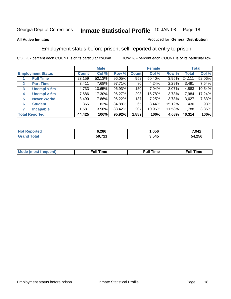#### **All Active Inmates**

#### Produced for **General Distribution**

### Employment status before prison, self-reported at entry to prison

|              |                          |              | <b>Male</b> |        |              | <b>Female</b> |          |              | <b>Total</b> |
|--------------|--------------------------|--------------|-------------|--------|--------------|---------------|----------|--------------|--------------|
|              | <b>Employment Status</b> | <b>Count</b> | Col %       | Row %  | <b>Count</b> | Col %         | Row %    | <b>Total</b> | Col %        |
|              | <b>Full Time</b>         | 23,159       | 52.13%      | 96.05% | 952          | 50.40%        | 3.95%    | 24,111       | 52.06%       |
| $\mathbf{2}$ | <b>Part Time</b>         | 3.411        | 7.68%       | 97.71% | 80 l         | 4.24%         | 2.29%    | 3,491        | 7.54%        |
| 3            | Unempl $<$ 6m            | 4,733        | 10.65%      | 96.93% | 150          | 7.94%         | 3.07%    | 4,883        | 10.54%       |
| 4            | Unempl > 6m              | 7,686        | 17.30%      | 96.27% | 298          | 15.78%        | 3.73%    | 7,984        | 17.24%       |
| 5            | <b>Never Workd</b>       | 3,490        | 7.86%       | 96.22% | 137          | 7.25%         | $3.78\%$ | 3,627        | 7.83%        |
| 6            | <b>Student</b>           | 365          | .82%        | 84.88% | 65           | 3.44%         | 15.12%   | 430          | .93%         |
|              | <b>Incapable</b>         | 1,581        | 3.56%       | 88.42% | 207          | 10.96%        | 11.58%   | 1,788        | 3.86%        |
|              | <b>Total Reported</b>    | 44,425       | 100%        | 95.92% | 1,889        | 100%          | 4.08%    | 46,314       | 100%         |

| 6,286  | $\mathbf{A}$<br>.b5b | 7,942       |
|--------|----------------------|-------------|
| 50 711 | 3.545                | .256<br>מרי |

| <b>M</b> ດ | the contract of the contract of the contract of the contract of the contract of the contract of the contract of | , ull i<br>ıme<br>the contract of the contract of the contract of the contract of the contract of the contract of the contract of | ïme<br>uı |
|------------|-----------------------------------------------------------------------------------------------------------------|-----------------------------------------------------------------------------------------------------------------------------------|-----------|
|            |                                                                                                                 |                                                                                                                                   |           |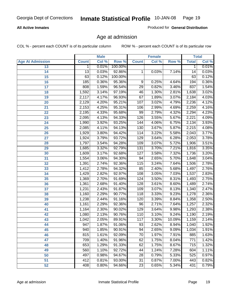#### **All Active Inmates**

Produced for **General Distribution**

### Age at admission

|                         |                 | <b>Male</b> |         |                 | <b>Female</b> |        |              | <b>Total</b> |
|-------------------------|-----------------|-------------|---------|-----------------|---------------|--------|--------------|--------------|
| <b>Age At Admission</b> | <b>Count</b>    | Col %       | Row %   | <b>Count</b>    | Col %         | Row %  | <b>Total</b> | Col %        |
| 13                      | 1               | 0.01%       | 100.00% |                 |               |        | 1            | 0.01%        |
| 14                      | $\overline{13}$ | 0.03%       | 92.86%  | 1               | 0.03%         | 7.14%  | 14           | 0.03%        |
| 15                      | 63              | 0.12%       | 100.00% |                 |               |        | 63           | 0.12%        |
| 16                      | 185             | 0.36%       | 95.36%  | 9               | 0.25%         | 4.64%  | 194          | 0.36%        |
| $\overline{17}$         | 808             | 1.59%       | 96.54%  | $\overline{29}$ | 0.82%         | 3.46%  | 837          | 1.54%        |
| 18                      | 1,592           | 3.14%       | 97.19%  | 46              | 1.30%         | 2.81%  | 1,638        | 3.02%        |
| 19                      | 2,117           | 4.17%       | 96.93%  | 67              | 1.89%         | 3.07%  | 2,184        | 4.03%        |
| 20                      | 2,129           | 4.20%       | 95.21%  | 107             | 3.02%         | 4.79%  | 2,236        | 4.12%        |
| 21                      | 2,153           | 4.25%       | 95.31%  | 106             | 2.99%         | 4.69%  | 2,259        | 4.16%        |
| 22                      | 2,195           | 4.33%       | 95.68%  | 99              | 2.79%         | 4.32%  | 2,294        | 4.23%        |
| 23                      | 2,095           | 4.13%       | 94.33%  | 126             | 3.55%         | 5.67%  | 2,221        | 4.09%        |
| 24                      | 1,990           | 3.92%       | 93.25%  | 144             | 4.06%         | 6.75%  | 2,134        | 3.93%        |
| $\overline{25}$         | 2,085           | 4.11%       | 94.13%  | 130             | 3.67%         | 5.87%  | 2,215        | 4.08%        |
| 26                      | 1,929           | 3.80%       | 94.42%  | 114             | 3.22%         | 5.58%  | 2,043        | 3.77%        |
| 27                      | 1,924           | 3.79%       | 93.72%  | 129             | 3.64%         | 6.28%  | 2,053        | 3.78%        |
| 28                      | 1,797           | 3.54%       | 94.28%  | 109             | 3.07%         | 5.72%  | 1,906        | 3.51%        |
| 29                      | 1,685           | 3.32%       | 92.79%  | 131             | 3.70%         | 7.21%  | 1,816        | 3.35%        |
| 30                      | 1,609           | 3.17%       | 92.68%  | 127             | 3.58%         | 7.32%  | 1,736        | 3.20%        |
| 31                      | 1,554           | 3.06%       | 94.30%  | 94              | 2.65%         | 5.70%  | 1,648        | 3.04%        |
| 32                      | 1,391           | 2.74%       | 92.36%  | 115             | 3.24%         | 7.64%  | 1,506        | 2.78%        |
| 33                      | 1,412           | 2.78%       | 94.32%  | 85              | 2.40%         | 5.68%  | 1,497        | 2.76%        |
| 34                      | 1,429           | 2.82%       | 92.97%  | 108             | 3.05%         | 7.03%  | 1,537        | 2.83%        |
| 35                      | 1,369           | 2.70%       | 91.69%  | 124             | 3.50%         | 8.31%  | 1,493        | 2.75%        |
| 36                      | 1,361           | 2.68%       | 91.40%  | 128             | 3.61%         | 8.60%  | 1,489        | 2.74%        |
| $\overline{37}$         | 1,231           | 2.43%       | 91.87%  | 109             | 3.07%         | 8.13%  | 1,340        | 2.47%        |
| 38                      | 1,160           | 2.29%       | 90.77%  | 118             | 3.33%         | 9.23%  | 1,278        | 2.36%        |
| 39                      | 1,238           | 2.44%       | 91.16%  | 120             | 3.39%         | 8.84%  | 1,358        | 2.50%        |
| 40                      | 1,161           | 2.29%       | 92.36%  | 96              | 2.71%         | 7.64%  | 1,257        | 2.32%        |
| 41                      | 1,164           | 2.30%       | 90.02%  | 129             | 3.64%         | 9.98%  | 1,293        | 2.38%        |
| 42                      | 1,080           | 2.13%       | 90.76%  | 110             | 3.10%         | 9.24%  | 1,190        | 2.19%        |
| 43                      | 1,042           | 2.05%       | 89.91%  | 117             | 3.30%         | 10.09% | 1,159        | 2.14%        |
| 44                      | 947             | 1.87%       | 91.06%  | 93              | 2.62%         | 8.94%  | 1,040        | 1.92%        |
| 45                      | 940             | 1.85%       | 90.91%  | 94              | 2.65%         | 9.09%  | 1,034        | 1.91%        |
| 46                      | 815             | 1.61%       | 92.09%  | $\overline{70}$ | 1.97%         | 7.91%  | 885          | 1.63%        |
| 47                      | 709             | 1.40%       | 91.96%  | 62              | 1.75%         | 8.04%  | 771          | 1.42%        |
| 48                      | 653             | 1.29%       | 91.33%  | 62              | 1.75%         | 8.67%  | 715          | 1.32%        |
| 49                      | 560             | 1.10%       | 92.72%  | 44              | 1.24%         | 7.28%  | 604          | 1.11%        |
| 50                      | 497             | 0.98%       | 94.67%  | $\overline{28}$ | 0.79%         | 5.33%  | 525          | 0.97%        |
| 51                      | 412             | 0.81%       | 93.00%  | $\overline{31}$ | 0.87%         | 7.00%  | 443          | 0.82%        |
| 52                      | 408             | 0.80%       | 94.66%  | $\overline{23}$ | 0.65%         | 5.34%  | 431          | 0.79%        |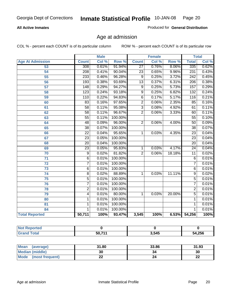#### **All Active Inmates**

Produced for **General Distribution**

### Age at admission

|                         | <b>Male</b>      |       | <b>Female</b> |                 |       | <b>Total</b> |                  |       |
|-------------------------|------------------|-------|---------------|-----------------|-------|--------------|------------------|-------|
| <b>Age At Admission</b> | <b>Count</b>     | Col % | Row %         | <b>Count</b>    | Col % | Row %        | <b>Total</b>     | Col % |
| 53                      | 308              | 0.61% | 91.94%        | $\overline{27}$ | 0.76% | 8.06%        | 335              | 0.62% |
| 54                      | $\overline{208}$ | 0.41% | 90.04%        | $\overline{23}$ | 0.65% | 9.96%        | 231              | 0.43% |
| $\overline{55}$         | 233              | 0.46% | 96.28%        | $\overline{9}$  | 0.25% | 3.72%        | $\overline{242}$ | 0.45% |
| 56                      | 193              | 0.38% | 93.69%        | $\overline{13}$ | 0.37% | 6.31%        | $\overline{206}$ | 0.38% |
| 57                      | $\overline{148}$ | 0.29% | 94.27%        | $\overline{9}$  | 0.25% | 5.73%        | 157              | 0.29% |
| 58                      | 123              | 0.24% | 93.18%        | $\overline{9}$  | 0.25% | 6.82%        | 132              | 0.24% |
| 59                      | 110              | 0.22% | 94.83%        | $\overline{6}$  | 0.17% | 5.17%        | 116              | 0.21% |
| 60                      | 83               | 0.16% | 97.65%        | $\overline{2}$  | 0.06% | 2.35%        | 85               | 0.16% |
| 61                      | $\overline{58}$  | 0.11% | 95.08%        | $\overline{3}$  | 0.08% | 4.92%        | 61               | 0.11% |
| 62                      | $\overline{58}$  | 0.11% | 96.67%        | $\overline{2}$  | 0.06% | 3.33%        | 60               | 0.11% |
| 63                      | $\overline{55}$  | 0.11% | 100.00%       |                 |       |              | $\overline{55}$  | 0.10% |
| 64                      | $\overline{48}$  | 0.09% | 96.00%        | $\overline{2}$  | 0.06% | 4.00%        | $\overline{50}$  | 0.09% |
| 65                      | $\overline{38}$  | 0.07% | 100.00%       |                 |       |              | $\overline{38}$  | 0.07% |
| 66                      | $\overline{22}$  | 0.04% | 95.65%        | 1               | 0.03% | 4.35%        | $\overline{23}$  | 0.04% |
| 67                      | $\overline{23}$  | 0.05% | 100.00%       |                 |       |              | $\overline{23}$  | 0.04% |
| 68                      | $\overline{20}$  | 0.04% | 100.00%       |                 |       |              | $\overline{20}$  | 0.04% |
| 69                      | $\overline{23}$  | 0.05% | 95.83%        | 1               | 0.03% | 4.17%        | $\overline{24}$  | 0.04% |
| 70                      | $\overline{9}$   | 0.02% | 81.82%        | $\overline{2}$  | 0.06% | 18.18%       | $\overline{11}$  | 0.02% |
| $\overline{71}$         | $\overline{6}$   | 0.01% | 100.00%       |                 |       |              | $\overline{6}$   | 0.01% |
| $\overline{72}$         | $\overline{7}$   | 0.01% | 100.00%       |                 |       |              | 7                | 0.01% |
| $\overline{73}$         | $\overline{6}$   | 0.01% | 100.00%       |                 |       |              | $\overline{6}$   | 0.01% |
| $\overline{74}$         | $\overline{8}$   | 0.02% | 88.89%        | 1               | 0.03% | 11.11%       | $\overline{9}$   | 0.02% |
| 75                      | 5                | 0.01% | 100.00%       |                 |       |              | $\overline{5}$   | 0.01% |
| 76                      | $\overline{7}$   | 0.01% | 100.00%       |                 |       |              | 7                | 0.01% |
| 78                      | $\overline{2}$   | 0.01% | 100.00%       |                 |       |              | $\overline{2}$   | 0.01% |
| 79                      | 4                | 0.01% | 80.00%        | 1               | 0.03% | 20.00%       | $\overline{5}$   | 0.01% |
| 80                      | 1                | 0.01% | 100.00%       |                 |       |              | 1                | 0.01% |
| $\overline{81}$         | $\mathbf{1}$     | 0.01% | 100.00%       |                 |       |              | 1                | 0.01% |
| 84                      | 1                | 0.01% | 100.00%       |                 |       |              | 1                | 0.01% |
| <b>Total Reported</b>   | 50,711           | 100%  | 93.47%        | 3,545           | 100%  | 6.53%        | 54,256           | 100%  |

| <b>Reported</b><br><b>NOT</b> |        |       |        |
|-------------------------------|--------|-------|--------|
| ™otar                         | 50 711 | 3,545 | 54,256 |

| Mean (average)       | 31.80 | 33.86 | 31.93    |
|----------------------|-------|-------|----------|
| Median (middle)      | 30    | 34    | 30       |
| Mode (most frequent) | ∸∸    |       | n-<br>LL |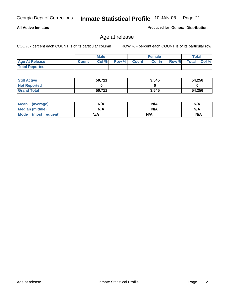#### **All Active Inmates**

Produced for **General Distribution**

### Age at release

|                       | <b>Male</b>  |      |       | <b>Female</b>  |       |       | <b>Total</b> |       |
|-----------------------|--------------|------|-------|----------------|-------|-------|--------------|-------|
| <b>Age At Release</b> | <b>Count</b> | Col% | Row % | <b>Count</b> Ⅰ | Col % | Row % | <b>Total</b> | Col % |
| <b>Total Reported</b> |              |      |       |                |       |       |              |       |

| <b>Still Active</b> | 50,711 | 3,545 | 54,256 |
|---------------------|--------|-------|--------|
| <b>Not Reported</b> |        |       |        |
| <b>Grand Total</b>  | 50,711 | 3,545 | 54,256 |

| Mean (average)       | N/A | N/A | N/A |
|----------------------|-----|-----|-----|
| Median (middle)      | N/A | N/A | N/A |
| Mode (most frequent) | N/A | N/A | N/A |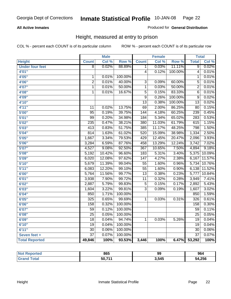#### **All Active Inmates**

#### Produced for **General Distribution**

### Height, measured at entry to prison

|                        |                  | <b>Male</b> |                  |                  | <b>Female</b> |                  | <b>Total</b>     |        |
|------------------------|------------------|-------------|------------------|------------------|---------------|------------------|------------------|--------|
| <b>Height</b>          | <b>Count</b>     | Col %       | Row <sup>%</sup> | <b>Count</b>     | Col %         | Row <sup>%</sup> | <b>Total</b>     | Col %  |
| <b>Under four feet</b> | $\overline{8}$   | 0.02%       | 88.89%           | 1                | 0.03%         | 11.11%           | $\overline{9}$   | 0.02%  |
| 4'01"                  |                  |             |                  | $\overline{4}$   | 0.12%         | 100.00%          | $\overline{4}$   | 0.01%  |
| 4'05''                 | 1                | 0.01%       | 100.00%          |                  |               |                  | $\mathbf{1}$     | 0.01%  |
| 4'06"                  | $\overline{2}$   | 0.01%       | 40.00%           | $\overline{3}$   | 0.09%         | 60.00%           | $\overline{5}$   | 0.01%  |
| 4'07"                  | 1                | 0.01%       | 50.00%           | $\mathbf 1$      | 0.03%         | 50.00%           | $\overline{2}$   | 0.01%  |
| 4'08"                  | 1                | 0.01%       | 16.67%           | $\overline{5}$   | 0.15%         | 83.33%           | $\overline{6}$   | 0.01%  |
| 4'09"                  |                  |             |                  | 9                | 0.26%         | 100.00%          | 9                | 0.02%  |
| 4'10"                  |                  |             |                  | $\overline{13}$  | 0.38%         | 100.00%          | $\overline{13}$  | 0.02%  |
| 4'11''                 | $\overline{11}$  | 0.02%       | 13.75%           | $\overline{69}$  | 2.00%         | 86.25%           | $\overline{80}$  | 0.15%  |
| 5'00''                 | $\overline{95}$  | 0.19%       | 39.75%           | 144              | 4.18%         | 60.25%           | 239              | 0.45%  |
| 5'01''                 | 99               | 0.20%       | 34.98%           | 184              | 5.34%         | 65.02%           | 283              | 0.53%  |
| 5'02''                 | 235              | 0.47%       | 38.21%           | 380              | 11.03%        | 61.79%           | 615              | 1.15%  |
| 5'03''                 | $\overline{413}$ | 0.83%       | 51.75%           | 385              | 11.17%        | 48.25%           | 798              | 1.50%  |
| 5'04''                 | 814              | 1.63%       | 61.02%           | 520              | 15.09%        | 38.98%           | 1,334            | 2.50%  |
| 5'05''                 | 1,667            | 3.34%       | 79.53%           | 429              | 12.45%        | 20.47%           | 2,096            | 3.93%  |
| 5'06''                 | 3,284            | 6.59%       | 87.76%           | 458              | 13.29%        | 12.24%           | 3,742            | 7.02%  |
| 5'07''                 | 4,527            | 9.08%       | 92.50%           | 367              | 10.65%        | 7.50%            | 4,894            | 9.18%  |
| 5'08''                 | 5,192            | 10.42%      | 96.60%           | $\overline{183}$ | 5.31%         | 3.40%            | 5,375            | 10.09% |
| 5'09''                 | 6,020            | 12.08%      | 97.62%           | $\overline{147}$ | 4.27%         | 2.38%            | 6,167            | 11.57% |
| 5'10''                 | 5,679            | 11.39%      | 99.04%           | $\overline{55}$  | 1.60%         | 0.96%            | 5,734            | 10.76% |
| 5'11''                 | 6,083            | 12.20%      | 99.10%           | $\overline{55}$  | 1.60%         | 0.90%            | 6,138            | 11.52% |
| 6'00''                 | 5,764            | 11.56%      | 99.77%           | $\overline{13}$  | 0.38%         | 0.23%            | 5,777            | 10.84% |
| 6'01''                 | 3,938            | 7.90%       | 99.72%           | $\overline{11}$  | 0.32%         | 0.28%            | 3,949            | 7.41%  |
| 6'02''                 | 2,887            | 5.79%       | 99.83%           | $\overline{5}$   | 0.15%         | 0.17%            | 2,892            | 5.43%  |
| 6'03''                 | 1,604            | 3.22%       | 99.81%           | $\overline{3}$   | 0.09%         | 0.19%            | 1,607            | 3.02%  |
| 6'04''                 | 850              | 1.71%       | 100.00%          |                  |               |                  | 850              | 1.59%  |
| 6'05''                 | 325              | 0.65%       | 99.69%           | 1                | 0.03%         | 0.31%            | $\overline{326}$ | 0.61%  |
| 6'06''                 | 158              | 0.32%       | 100.00%          |                  |               |                  | 158              | 0.30%  |
| 6'07''                 | 59               | 0.12%       | 100.00%          |                  |               |                  | 59               | 0.11%  |
| 6'08''                 | $\overline{25}$  | 0.05%       | 100.00%          |                  |               |                  | $\overline{25}$  | 0.05%  |
| 6'09''                 | $\overline{18}$  | 0.04%       | 94.74%           | $\mathbf{1}$     | 0.03%         | 5.26%            | $\overline{19}$  | 0.04%  |
| 6'10''                 | $\overline{19}$  | 0.04%       | 100.00%          |                  |               |                  | $\overline{19}$  | 0.04%  |
| 6'11''                 | $\overline{30}$  | 0.06%       | 100.00%          |                  |               |                  | $\overline{30}$  | 0.06%  |
| Seven feet +           | $\overline{37}$  | 0.07%       | 100.00%          |                  |               |                  | $\overline{37}$  | 0.07%  |
| <b>Total Reported</b>  | 49,846           | 100%        | 93.53%           | 3,446            | 100%          | 6.47%            | 53,292           | 100%   |

| ortec       | 865    | 99    | 964    |
|-------------|--------|-------|--------|
| <b>otal</b> | 50,71' | 3,545 | 54,256 |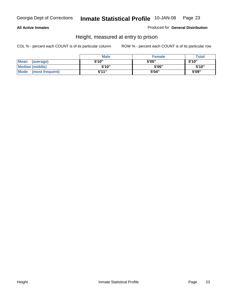#### **All Active Inmates**

Produced for **General Distribution**

### Height, measured at entry to prison

|                      | <b>Male</b> | <b>Female</b> | <b>Total</b> |
|----------------------|-------------|---------------|--------------|
| Mean (average)       | 5'10"       | 5'05"         | 5'10''       |
| Median (middle)      | 5'10''      | 5'05"         | 5'10''       |
| Mode (most frequent) | 5'11"       | 5'04"         | 5'09"        |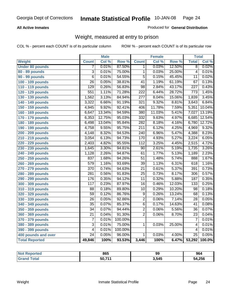#### **All Active Inmates**

#### Produced for **General Distribution**

### Weight, measured at entry to prison

|                        |                  | <b>Male</b> |         |                  | <b>Female</b> |        | <b>Total</b>     |                     |
|------------------------|------------------|-------------|---------|------------------|---------------|--------|------------------|---------------------|
| <b>Weight</b>          | <b>Count</b>     | Col %       | Row %   | <b>Count</b>     | Col %         | Row %  | <b>Total</b>     | Col %               |
| <b>Under 80 pounds</b> | 7                | 0.01%       | 87.50%  | 1.               | 0.03%         | 12.50% | $\overline{8}$   | 0.02%               |
| 80 - 89 pounds         | $\overline{3}$   | 0.01%       | 75.00%  | $\overline{1}$   | 0.03%         | 25.00% | $\overline{4}$   | 0.01%               |
| 90 - 99 pounds         | $\overline{6}$   | 0.01%       | 54.55%  | $\overline{5}$   | 0.15%         | 45.45% | $\overline{11}$  | 0.02%               |
| 100 - 109 pounds       | $\overline{26}$  | 0.05%       | 38.81%  | $\overline{41}$  | 1.19%         | 61.19% | $\overline{67}$  | 0.13%               |
| 110 - 119 pounds       | $\overline{129}$ | 0.26%       | 56.83%  | $\overline{98}$  | 2.84%         | 43.17% | $\overline{227}$ | 0.43%               |
| 120 - 129 pounds       | $\overline{551}$ | 1.11%       | 71.28%  | $\overline{222}$ | 6.44%         | 28.72% | 773              | 1.45%               |
| 130 - 139 pounds       | 1,562            | 3.13%       | 84.94%  | $\overline{277}$ | 8.04%         | 15.06% | 1,839            | 3.45%               |
| 140 - 149 pounds       | 3,322            | 6.66%       | 91.19%  | $\overline{321}$ | 9.32%         | 8.81%  | 3,643            | 6.84%               |
| 150 - 159 pounds       | 4,945            | 9.92%       | 92.41%  | 406              | 11.78%        | 7.59%  | 5,351            | 10.04%              |
| 160 - 169 pounds       | 6,647            | 13.34%      | 94.59%  | 380              | 11.03%        | 5.41%  | 7,027            | 13.19%              |
| 170 - 179 pounds       | 6,353            | 12.75%      | 95.03%  | 332              | 9.63%         | 4.97%  | 6,685            | 12.54%              |
| 180 - 189 pounds       | 6,498            | 13.04%      | 95.84%  | 282              | 8.18%         | 4.16%  | 6,780            | 12.72%              |
| 190 - 199 pounds       | 4,758            | 9.55%       | 95.75%  | $\overline{211}$ | 6.12%         | 4.25%  | 4,969            | 9.32%               |
| 200 - 209 pounds       | 4,148            | 8.32%       | 94.53%  | $\overline{240}$ | 6.96%         | 5.47%  | 4,388            | 8.23%               |
| 210 - 219 pounds       | 3,054            | 6.13%       | 94.73%  | 170              | 4.93%         | 5.27%  | 3,224            | 6.05%               |
| 220 - 229 pounds       | 2,403            | 4.82%       | 95.55%  | $\overline{112}$ | 3.25%         | 4.45%  | 2,515            | 4.72%               |
| 230 - 239 pounds       | 1,645            | 3.30%       | 94.81%  | $\overline{90}$  | 2.61%         | 5.19%  | 1,735            | 3.26%               |
| 240 - 249 pounds       | 1,128            | 2.26%       | 94.87%  | 61               | 1.77%         | 5.13%  | 1,189            | 2.23%               |
| 250 - 259 pounds       | 837              | 1.68%       | 94.26%  | $\overline{51}$  | 1.48%         | 5.74%  | 888              | 1.67%               |
| 260 - 269 pounds       | 579              | 1.16%       | 93.69%  | $\overline{39}$  | 1.13%         | 6.31%  | 618              | 1.16%               |
| 270 - 279 pounds       | $\overline{370}$ | 0.74%       | 94.63%  | $\overline{21}$  | 0.61%         | 5.37%  | 391              | $\overline{0.73\%}$ |
| 280 - 289 pounds       | $\overline{281}$ | 0.56%       | 91.83%  | $\overline{25}$  | 0.73%         | 8.17%  | 306              | 0.57%               |
| 290 - 299 pounds       | 176              | 0.35%       | 94.12%  | $\overline{11}$  | 0.32%         | 5.88%  | 187              | 0.35%               |
| 300 - 309 pounds       | 117              | 0.23%       | 87.97%  | $\overline{16}$  | 0.46%         | 12.03% | 133              | 0.25%               |
| 310 - 319 pounds       | 88               | 0.18%       | 89.80%  | 10               | 0.29%         | 10.20% | $\overline{98}$  | 0.18%               |
| 320 - 329 pounds       | $\overline{59}$  | 0.12%       | 86.76%  | $\overline{9}$   | 0.26%         | 13.24% | 68               | 0.13%               |
| 330 - 339 pounds       | 26               | 0.05%       | 92.86%  | $\overline{2}$   | 0.06%         | 7.14%  | 28               | 0.05%               |
| 340 - 349 pounds       | 35               | 0.07%       | 85.37%  | $\overline{6}$   | 0.17%         | 14.63% | 41               | 0.08%               |
| 350 - 359 pounds       | $\overline{34}$  | 0.07%       | 94.44%  | $\overline{2}$   | 0.06%         | 5.56%  | $\overline{36}$  | 0.07%               |
| 360 - 369 pounds       | $\overline{21}$  | 0.04%       | 91.30%  | $\overline{2}$   | 0.06%         | 8.70%  | $\overline{23}$  | 0.04%               |
| 370 - 379 pounds       | $\overline{7}$   | 0.01%       | 100.00% |                  |               |        | $\overline{7}$   | 0.01%               |
| 380 - 389 pounds       | $\overline{3}$   | 0.01%       | 75.00%  | 1                | 0.03%         | 25.00% | 4                | 0.01%               |
| 390 - 399 pounds       | 4                | 0.01%       | 100.00% |                  |               |        | 4                | 0.01%               |
| 400 pounds and over    | $\overline{24}$  | 0.05%       | 96.00%  | 1                | 0.03%         | 4.00%  | $\overline{25}$  | 0.05%               |
| <b>Total Reported</b>  | 49,846           | 100%        | 93.53%  | 3,446            | 100%          | 6.47%  | 53,292           | 100.0%              |

| Reported<br><b>NO)</b> | 865    | 99    | 964    |
|------------------------|--------|-------|--------|
| 'ota.                  | 50,711 | 3,545 | 54,256 |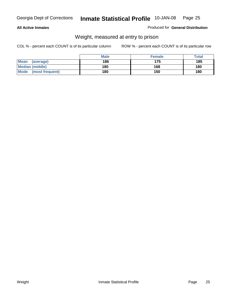#### **All Active Inmates**

#### Produced for **General Distribution**

### Weight, measured at entry to prison

|                                | <b>Male</b> | <b>Female</b> | Total |
|--------------------------------|-------------|---------------|-------|
| <b>Mean</b><br>(average)       | 186         | 175           | 185   |
| <b>Median (middle)</b>         | 180         | 168           | 180   |
| <b>Mode</b><br>(most frequent) | 180         | 150           | 180   |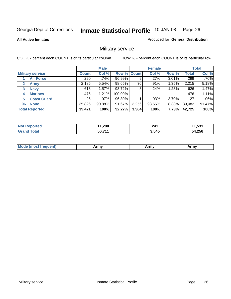#### **All Active Inmates**

#### Produced for **General Distribution**

### Military service

|                             |              | <b>Male</b> |                    |       | <b>Female</b> |       |              | <b>Total</b> |
|-----------------------------|--------------|-------------|--------------------|-------|---------------|-------|--------------|--------------|
| <b>Military service</b>     | <b>Count</b> | Col %       | <b>Row % Count</b> |       | Col %         | Row % | <b>Total</b> | Col %        |
| <b>Air Force</b>            | 290          | .74%        | 96.99%             | 9     | .27%          | 3.01% | 299          | $.70\%$      |
| $\mathbf{2}$<br><b>Army</b> | 2,185        | 5.54%       | 98.65%             | 30    | .91%          | 1.35% | 2,215        | 5.18%        |
| <b>Navy</b><br>3            | 618          | 1.57%       | 98.72%             | 8     | .24%          | 1.28% | 626          | 1.47%        |
| <b>Marines</b><br>4         | 476          | 1.21%       | 100.00%            |       |               |       | 476          | 1.11%        |
| <b>Coast Guard</b><br>5     | 26           | $.07\%$     | 96.30%             |       | .03%          | 3.70% | 27           | .06%         |
| <b>None</b><br>96           | 35,826       | 90.88%      | 91.67%             | 3,256 | 98.55%        | 8.33% | 39,082       | 91.47%       |
| <b>Total Reported</b>       | 39,421       | 100%        | 92.27%             | 3,304 | 100%          | 7.73% | 42,725       | 100%         |

| <b>Reported</b><br>' NOT | 1,290  | 241   | 1,531  |
|--------------------------|--------|-------|--------|
| ⊺otal<br><b>Grand</b>    | 50,71' | 3,545 | 54,256 |

|  | <b>Mou</b> | Army | Army | Army |
|--|------------|------|------|------|
|--|------------|------|------|------|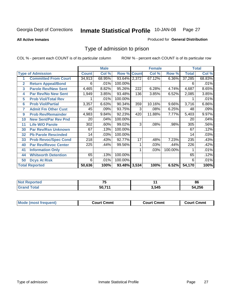#### **All Active Inmates**

#### Produced for **General Distribution**

### Type of admission to prison

|                |                             |              | <b>Male</b> |                    |     | <b>Female</b> |         |              | <b>Total</b> |
|----------------|-----------------------------|--------------|-------------|--------------------|-----|---------------|---------|--------------|--------------|
|                | <b>Type of Admission</b>    | <b>Count</b> | Col %       | <b>Row % Count</b> |     | Col %         | Row %   | <b>Total</b> | Col %        |
|                | <b>Committed From Court</b> | 34,913       | 68.95%      | 93.64% 2,372       |     | 67.12%        | 6.36%   | 37,285       | 68.83%       |
| $\overline{2}$ | <b>Return Appeal/Bond</b>   | 6            | .01%        | 100.00%            |     |               |         | 6            | .01%         |
| 3              | <b>Parole Rev/New Sent</b>  | 4,465        | 8.82%       | 95.26%             | 222 | 6.28%         | 4.74%   | 4,687        | 8.65%        |
| 4              | <b>Par Rev/No New Sent</b>  | 1,949        | 3.85%       | 93.48%             | 136 | 3.85%         | 6.52%   | 2,085        | 3.85%        |
| 5              | <b>Prob Viol/Total Rev</b>  |              | .01%        | 100.00%            |     |               |         |              | .01%         |
| 6              | <b>Prob Viol/Partial</b>    | 3,357        | 6.63%       | 90.34%             | 359 | 10.16%        | 9.66%   | 3,716        | 6.86%        |
| 7              | <b>Admit Fm Other Cust</b>  | 45           | .09%        | 93.75%             | 3   | $.08\%$       | 6.25%   | 48           | .09%         |
| 9              | <b>Prob Rev/Remainder</b>   | 4,983        | 9.84%       | 92.23%             | 420 | 11.88%        | 7.77%   | 5,403        | 9.97%        |
| 10             | <b>New Sent/Par Rev Pnd</b> | 20           | .04%        | 100.00%            |     |               |         | 20           | .04%         |
| 11             | <b>Life W/O Parole</b>      | 302          | .60%        | 99.02%             | 3   | .08%          | .98%    | 305          | .56%         |
| 30             | <b>Par Rev/Rsn Unknown</b>  | 67           | .13%        | 100.00%            |     |               |         | 67           | .12%         |
| 32             | <b>Pb Parole Rescinded</b>  | 14           | .03%        | 100.00%            |     |               |         | 14           | .03%         |
| 33             | <b>Prob Revoc/Spec Cond</b> | 218          | .43%        | 92.77%             | 17  | .48%          | 7.23%   | 235          | .43%         |
| 40             | <b>Par Rev/Revoc Center</b> | 225          | .44%        | 99.56%             |     | .03%          | .44%    | 226          | .42%         |
| 41             | <b>Information Only</b>     |              |             |                    |     | .03%          | 100.00% |              | .01%         |
| 44             | <b>Whitworth Detention</b>  | 65           | .13%        | 100.00%            |     |               |         | 65           | .12%         |
| 50             | <b>Dcys At Risk</b>         | 6            | .01%        | 100.00%            |     |               |         | 6            | .01%         |
|                | <b>Total Reported</b>       | 50,636       | 100%        | 93.48% 3,534       |     | 100%          | 6.52%   | 54,170       | 100%         |

| <b>Not Reported</b> | --     | п.    | 86     |
|---------------------|--------|-------|--------|
| Total               | 50.71' | 3,545 | 54,256 |

| <b>Mode (most frequent)</b><br><b>Court Cmmt</b><br>Court Cmmt | <b>Court Cmmt</b> |
|----------------------------------------------------------------|-------------------|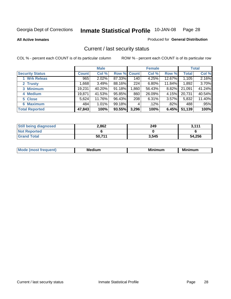**All Active Inmates**

Produced for **General Distribution**

### Current / last security status

|                        |              | <b>Male</b> |             |       | <b>Female</b> |        |              | <b>Total</b> |
|------------------------|--------------|-------------|-------------|-------|---------------|--------|--------------|--------------|
| <b>Security Status</b> | <b>Count</b> | Col %       | Row % Count |       | Col %         | Row %  | <b>Total</b> | Col %        |
| 1 Wrk Releas           | 965          | 2.02%       | 87.33%      | 140   | 4.25%         | 12.67% | 1,105        | 2.16%        |
| 2 Trusty               | .668         | 3.49%       | 88.16%      | 224   | 6.80%         | 11.84% | 1,892        | 3.70%        |
| 3 Minimum              | 19,231       | 40.20%      | 91.18%      | 0.860 | 56.43%        | 8.82%  | 21,091       | 41.24%       |
| 4 Medium               | 19,871       | 41.53%      | 95.85%      | 860   | 26.09%        | 4.15%  | 20,731       | 40.54%       |
| 5 Close                | 5,624        | 11.76%      | 96.43%      | 208   | 6.31%         | 3.57%  | 5,832        | 11.40%       |
| 6 Maximum              | 484          | 1.01%       | 99.18%      | 4     | $.12\%$       | .82%   | 488          | .95%         |
| <b>Total Reported</b>  | 47,843       | 100%        | 93.55%      | 3,296 | 100%          | 6.45%  | 51,139       | 100%         |

| <b>Still being diagnosed</b> | 2,862  | 249   | 3,111  |
|------------------------------|--------|-------|--------|
| <b>Not Reported</b>          |        |       |        |
| <b>Grand Total</b>           | 50.711 | 3,545 | 54,256 |

| M.<br>.<br>---<br>.<br>M |  |  |
|--------------------------|--|--|
|                          |  |  |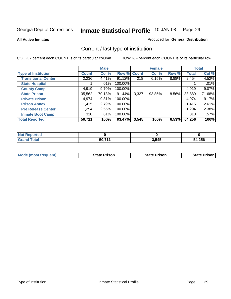**All Active Inmates**

#### Produced for **General Distribution**

### Current / last type of institution

|                            |              | <b>Male</b> |             |       | <b>Female</b> |          |              | <b>Total</b> |
|----------------------------|--------------|-------------|-------------|-------|---------------|----------|--------------|--------------|
| <b>Type of Institution</b> | <b>Count</b> | Col %       | Row % Count |       | Col %         | Row %    | <b>Total</b> | Col %        |
| <b>Transitional Center</b> | 2,236        | 4.41%       | $91.12\%$   | 218   | 6.15%         | 8.88%    | 2,454        | 4.52%        |
| <b>State Hospital</b>      |              | $.01\%$     | 100.00%     |       |               |          |              | .01%         |
| <b>County Camp</b>         | 4,919        | $9.70\%$    | 100.00%     |       |               |          | 4,919        | 9.07%        |
| <b>State Prison</b>        | 35,562       | 70.13%      | 91.44%      | 3,327 | 93.85%        | $8.56\%$ | 38,889       | 71.68%       |
| <b>Private Prison</b>      | 4,974        | 9.81%       | 100.00%     |       |               |          | 4,974        | 9.17%        |
| <b>Prison Annex</b>        | 1,415        | 2.79%       | 100.00%     |       |               |          | 1,415        | 2.61%        |
| <b>Pre Release Center</b>  | 1,294        | 2.55%       | 100.00%     |       |               |          | 1,294        | 2.38%        |
| <b>Inmate Boot Camp</b>    | 310          | .61%        | 100.00%     |       |               |          | 310          | .57%         |
| <b>Total Reported</b>      | 50,711       | 100%        | 93.47%      | 3,545 | 100%          | 6.53%    | 54,256       | 100%         |

| . Reported<br>  Not              |        |       |        |
|----------------------------------|--------|-------|--------|
| <b>Total</b><br>Gra <sup>r</sup> | 50 711 | 3,545 | 54,256 |

| <b>Mode (most frequent)</b> | <b>State Prison</b> | <b>State Prison</b> | <b>State Prison I</b> |
|-----------------------------|---------------------|---------------------|-----------------------|
|                             |                     |                     |                       |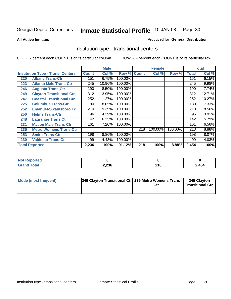**All Active Inmates**

#### Produced for **General Distribution**

### Institution type - transitional centers

|     |                                          |              | <b>Male</b> |         |              | <b>Female</b> |         |              | <b>Total</b> |
|-----|------------------------------------------|--------------|-------------|---------|--------------|---------------|---------|--------------|--------------|
|     | <b>Institution Type - Trans. Centers</b> | <b>Count</b> | Col %       | Row %   | <b>Count</b> | Col %         | Row %   | <b>Total</b> | Col %        |
| 220 | <b>Albany Trans-Ctr</b>                  | 151          | 6.75%       | 100.00% |              |               |         | 151          | 6.15%        |
| 223 | <b>Atlanta Male Trans-Ctr</b>            | 245          | 10.96%      | 100.00% |              |               |         | 245          | 9.98%        |
| 246 | <b>Augusta Trans-Ctr</b>                 | 190          | 8.50%       | 100.00% |              |               |         | 190          | 7.74%        |
| 249 | <b>Clayton Transitional Ctr</b>          | 312          | 13.95%      | 100.00% |              |               |         | 312          | 12.71%       |
| 247 | <b>Coastal Transitional Ctr</b>          | 252          | 11.27%      | 100.00% |              |               |         | 252          | 10.27%       |
| 225 | <b>Columbus Trans-Ctr</b>                | 180          | 8.05%       | 100.00% |              |               |         | 180          | 7.33%        |
| 252 | <b>Emanuel-Swainsboro Tc</b>             | 210          | 9.39%       | 100.00% |              |               |         | 210          | 8.56%        |
| 250 | <b>Helms Trans-Ctr</b>                   | 96           | 4.29%       | 100.00% |              |               |         | 96           | 3.91%        |
| 248 | <b>Lagrange Trans Ctr</b>                | 142          | 6.35%       | 100.00% |              |               |         | 142          | 5.79%        |
| 231 | <b>Macon Male Trans-Ctr</b>              | 161          | 7.20%       | 100.00% |              |               |         | 161          | 6.56%        |
| 235 | <b>Metro Womens Trans-Ctr</b>            |              |             |         | 218          | 100.00%       | 100.00% | 218          | 8.88%        |
| 253 | <b>Smith Trans-Ctr</b>                   | 198          | 8.86%       | 100.00% |              |               |         | 198          | 8.07%        |
| 230 | <b>Valdosta Trans-Ctr</b>                | 99           | 4.43%       | 100.00% |              |               |         | 99           | 4.03%        |
|     | <b>Total Reported</b>                    | 2,236        | 100%        | 91.12%  | 218          | 100%          | 8.88%   | 2,454        | 100%         |

| 'Nr<br>oortea |       |                          |       |
|---------------|-------|--------------------------|-------|
| <b>otal</b>   | 2,236 | <b>040</b><br><b>ZIO</b> | 2,454 |

| Mode (most frequent) | 249 Clayton Transitional Ctr 235 Metro Womens Trans- | 249 Clayton<br><b>Transitional Ctr</b> |
|----------------------|------------------------------------------------------|----------------------------------------|
|                      |                                                      |                                        |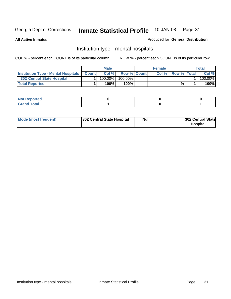**All Active Inmates**

#### Produced for **General Distribution**

### Institution type - mental hospitals

|                                                  | <b>Male</b> |                    | <b>Female</b> |                    | Total   |
|--------------------------------------------------|-------------|--------------------|---------------|--------------------|---------|
| <b>Institution Type - Mental Hospitals Count</b> | Col%        | <b>Row % Count</b> | Col%          | <b>Row % Total</b> | Col %   |
| <b>302 Central State Hospital</b>                | $100.00\%$  | 100.00%            |               |                    | 100.00% |
| <b>Total Reported</b>                            | 100%        | $100\%$            |               | %                  | 100%    |

| Not Reported |  |  |
|--------------|--|--|
| <b>otal</b>  |  |  |

| Mode (most frequent)<br>302 Central State Hospital | Null | <b>302 Central State</b><br><b>Hospital</b> |
|----------------------------------------------------|------|---------------------------------------------|
|----------------------------------------------------|------|---------------------------------------------|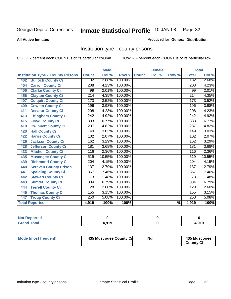#### **All Active Inmates**

#### Produced for **General Distribution**

### Institution type - county prisons

|                                          |                  | <b>Male</b> |         |              | <b>Female</b>             |                          |                  | <b>Total</b> |
|------------------------------------------|------------------|-------------|---------|--------------|---------------------------|--------------------------|------------------|--------------|
| <b>Institution Type - County Prisons</b> | <b>Count</b>     | Col %       | Row %   | <b>Count</b> | $\overline{\text{Col}}$ % | Row %                    | <b>Total</b>     | Col %        |
| <b>Bulloch County Ci</b><br>402          | 132              | 2.68%       | 100.00% |              |                           |                          | 132              | 2.68%        |
| <b>Carroll County Ci</b><br>404          | $\overline{208}$ | 4.23%       | 100.00% |              |                           |                          | $\overline{208}$ | 4.23%        |
| <b>Clarke County Ci</b><br>406           | 99               | 2.01%       | 100.00% |              |                           |                          | 99               | 2.01%        |
| <b>Clayton County Ci</b><br>456          | $\overline{214}$ | 4.35%       | 100.00% |              |                           |                          | $\overline{214}$ | 4.35%        |
| <b>Colquitt County Ci</b><br>407         | 173              | 3.52%       | 100.00% |              |                           |                          | 173              | 3.52%        |
| <b>Coweta County Ci</b><br>409           | 196              | 3.98%       | 100.00% |              |                           |                          | 196              | 3.98%        |
| <b>Decatur County Ci</b><br>411          | 208              | 4.23%       | 100.00% |              |                           |                          | 208              | 4.23%        |
| <b>Effingham County Ci</b><br>413        | $\overline{242}$ | 4.92%       | 100.00% |              |                           |                          | $\overline{242}$ | 4.92%        |
| <b>Floyd County Ci</b><br>415            | 333              | 6.77%       | 100.00% |              |                           |                          | 333              | 6.77%        |
| <b>Gwinnett County Ci</b><br>419         | $\overline{237}$ | 4.82%       | 100.00% |              |                           |                          | $\overline{237}$ | 4.82%        |
| <b>Hall County Ci</b><br>420             | 149              | 3.03%       | 100.00% |              |                           |                          | 149              | 3.03%        |
| <b>Harris County Ci</b><br>422           | 102              | 2.07%       | 100.00% |              |                           |                          | 102              | 2.07%        |
| Jackson County Ci<br>426                 | 162              | 3.29%       | 100.00% |              |                           |                          | 162              | 3.29%        |
| <b>Jefferson County Ci</b><br>428        | 181              | 3.68%       | 100.00% |              |                           |                          | 181              | 3.68%        |
| <b>Mitchell County Ci</b><br>433         | 116              | 2.36%       | 100.00% |              |                           |                          | 116              | 2.36%        |
| <b>Muscogee County Ci</b><br>435         | 519              | 10.55%      | 100.00% |              |                           |                          | 519              | 10.55%       |
| <b>Richmond County Ci</b><br>439         | 204              | 4.15%       | 100.00% |              |                           |                          | 204              | 4.15%        |
| <b>Screven County Prison</b><br>440      | $\overline{137}$ | 2.79%       | 100.00% |              |                           |                          | 137              | 2.79%        |
| <b>Spalding County Ci</b><br>441         | 367              | 7.46%       | 100.00% |              |                           |                          | $\overline{367}$ | 7.46%        |
| <b>Stewart County Ci</b><br>442          | 73               | 1.48%       | 100.00% |              |                           |                          | 73               | 1.48%        |
| <b>Sumter County Ci</b><br>443           | 334              | 6.79%       | 100.00% |              |                           |                          | 334              | 6.79%        |
| <b>Terrell County Ci</b><br>444          | 128              | 2.60%       | 100.00% |              |                           |                          | 128              | 2.60%        |
| <b>Thomas County Ci</b><br>445           | 155              | 3.15%       | 100.00% |              |                           |                          | 155              | 3.15%        |
| <b>Troup County Ci</b><br>447            | 250              | 5.08%       | 100.00% |              |                           |                          | 250              | 5.08%        |
| <b>Total Reported</b>                    | 4,919            | 100%        | 100%    |              |                           | $\overline{\frac{9}{6}}$ | 4,919            | 100%         |

| τeα                                |              |       |
|------------------------------------|--------------|-------|
| $\sim$ $\sim$ $\sim$ $\sim$ $\sim$ | $\mathbf{A}$ | +,919 |

| Mode (most frequent) | 435 Muscogee County Ci | <b>Null</b> | 435 Muscogee     |
|----------------------|------------------------|-------------|------------------|
|                      |                        |             | <b>County Ci</b> |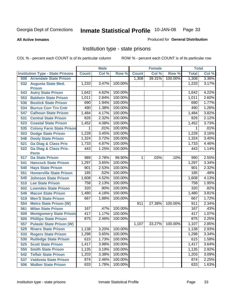#### **All Active Inmates**

#### Produced for **General Distribution**

### Institution type - state prisons

|     |                                            |              | <b>Male</b> |         |                | <b>Female</b> |         | <b>Total</b> |       |
|-----|--------------------------------------------|--------------|-------------|---------|----------------|---------------|---------|--------------|-------|
|     | <b>Institution Type - State Prisons</b>    | <b>Count</b> | Col %       | Row %   | <b>Count</b>   | Col %         | Row %   | <b>Total</b> | Col % |
| 508 | <b>Arrendale State Prison</b>              |              |             |         | 1,308          | 39.31%        | 100.00% | 1,308        | 3.36% |
| 532 | <b>Augusta State Med.</b><br><b>Prison</b> | 1,233        | 3.47%       | 100.00% |                |               |         | 1,233        | 3.17% |
| 543 | <b>Autry State Prison</b>                  | 1,642        | 4.62%       | 100.00% |                |               |         | 1,642        | 4.22% |
| 553 | <b>Baldwin State Prison</b>                | 1,011        | 2.84%       | 100.00% |                |               |         | 1,011        | 2.60% |
| 536 | <b>Bostick State Prison</b>                | 690          | 1.94%       | 100.00% |                |               |         | 690          | 1.77% |
| 534 | <b>Burrus Corr Trn Cntr</b>                | 490          | 1.38%       | 100.00% |                |               |         | 490          | 1.26% |
| 547 | <b>Calhoun State Prison</b>                | 1,484        | 4.17%       | 100.00% |                |               |         | 1,484        | 3.82% |
| 531 | <b>Central State Prison</b>                | 826          | 2.32%       | 100.00% |                |               |         | 826          | 2.12% |
| 523 | <b>Coastal State Prison</b>                | 1,452        | 4.08%       | 100.00% |                |               |         | 1,452        | 3.73% |
| 535 | <b>Colony Farm State Prison</b>            | 1            | .01%        | 100.00% |                |               |         | 1            | .01%  |
| 503 | <b>Dodge State Prison</b>                  | 1,228        | 3.45%       | 100.00% |                |               |         | 1,228        | 3.16% |
| 548 | <b>Dooly State Prison</b>                  | 1,324        | 3.72%       | 100.00% |                |               |         | 1,324        | 3.40% |
| 521 | <b>Ga Diag &amp; Class Pris</b>            | 1,733        | 4.87%       | 100.00% |                |               |         | 1,733        | 4.46% |
| 522 | <b>Ga Diag &amp; Class Pris-</b>           | 443          | 1.25%       | 100.00% |                |               |         | 443          | 1.14% |
|     | <b>Perm</b>                                |              |             |         |                |               |         |              |       |
| 517 | <b>Ga State Prison</b>                     | 989          | 2.78%       | 99.90%  | $\overline{1}$ | .03%          | .10%    | 990          | 2.55% |
| 541 | <b>Hancock State Prison</b>                | 1,297        | 3.65%       | 100.00% |                |               |         | 1,297        | 3.34% |
| 540 | <b>Hays State Prison</b>                   | 901          | 2.53%       | 100.00% |                |               |         | 901          | 2.32% |
| 551 | <b>Homerville State Prison</b>             | 185          | .52%        | 100.00% |                |               |         | 185          | .48%  |
| 545 | <b>Johnson State Prison</b>                | 1,608        | 4.52%       | 100.00% |                |               |         | 1,608        | 4.13% |
| 510 | <b>Lee State Prison</b>                    | 758          | 2.13%       | 100.00% |                |               |         | 758          | 1.95% |
| 502 | <b>Lowndes State Prison</b>                | 320          | .90%        | 100.00% |                |               |         | 320          | .82%  |
| 549 | <b>Macon State Prison</b>                  | 1,480        | 4.16%       | 100.00% |                |               |         | 1,480        | 3.81% |
| 519 | <b>Men'S State Prison</b>                  | 667          | 1.88%       | 100.00% |                |               |         | 667          | 1.72% |
| 554 | <b>Metro State Prison (W)</b>              |              |             |         | 911            | 27.38%        | 100.00% | 911          | 2.34% |
| 561 | <b>Milan State Prison</b>                  | 167          | .47%        | 100.00% |                |               |         | 167          | .43%  |
| 509 | <b>Montgomery State Prison</b>             | 417          | 1.17%       | 100.00% |                |               |         | 417          | 1.07% |
| 505 | <b>Phillips State Prison</b>               | 875          | 2.46%       | 100.00% |                |               |         | 875          | 2.25% |
| 557 | <b>Pulaski State Prison (W)</b>            |              |             |         | 1,107          | 33.27%        | 100.00% | 1,107        | 2.85% |
| 529 | <b>Rivers State Prison</b>                 | 1,138        | 3.20%       | 100.00% |                |               |         | 1,138        | 2.93% |
| 533 | <b>Rogers State Prison</b>                 | 1,298        | 3.65%       | 100.00% |                |               |         | 1,298        | 3.34% |
| 530 | <b>Rutledge State Prison</b>               | 615          | 1.73%       | 100.00% |                |               |         | 615          | 1.58% |
| 525 | <b>Scott State Prison</b>                  | 1,417        | 3.98%       | 100.00% |                |               |         | 1,417        | 3.64% |
| 550 | <b>Smith State Prison</b>                  | 1,135        | 3.19%       | 100.00% |                |               |         | 1,135        | 2.92% |
| 542 | <b>Telfair State Prison</b>                | 1,203        | 3.38%       | 100.00% |                |               |         | 1,203        | 3.09% |
| 537 | <b>Valdosta State Prison</b>               | 874          | 2.46%       | 100.00% |                |               |         | 874          | 2.25% |
| 506 | <b>Walker State Prison</b>                 | 633          | 1.78%       | 100.00% |                |               |         | 633          | 1.63% |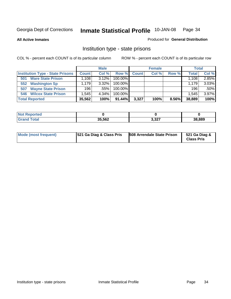**All Active Inmates**

#### Produced for **General Distribution**

### Institution type - state prisons

|                                         |              | <b>Male</b> |            |       | <b>Female</b> |       | <b>Total</b> |       |
|-----------------------------------------|--------------|-------------|------------|-------|---------------|-------|--------------|-------|
| <b>Institution Type - State Prisons</b> | <b>Count</b> | Col %       | Row %      | Count | Col %         | Row % | <b>Total</b> | Col % |
| <b>Ware State Prison</b><br>501         | .108         | $3.12\%$    | $100.00\%$ |       |               |       | 1.108        | 2.85% |
| <b>Washington Sp</b><br>552             | .179         | $3.32\%$    | $100.00\%$ |       |               |       | 1.179        | 3.03% |
| <b>Wayne State Prison</b><br>507        | 196          | .55%        | $100.00\%$ |       |               |       | 196          | .50%  |
| <b>Wilcox State Prison</b><br>546       | .545         | 4.34%       | $100.00\%$ |       |               |       | 1,545        | 3.97% |
| <b>Total Reported</b>                   | 35,562       | 100%        | $91.44\%$  | 3,327 | 100%          | 8.56% | 38,889       | 100%  |

| N <sub>of</sub><br><b>Reported</b> |        |       |        |
|------------------------------------|--------|-------|--------|
| <b>Total</b>                       | 35,562 | 3,327 | 38,889 |

| <b>Mode (most frequent)</b> | <b>521 Ga Diag &amp; Class Pris</b> | <b>508 Arrendale State Prison</b> | 521 Ga Diag &<br><b>Class Pris</b> |
|-----------------------------|-------------------------------------|-----------------------------------|------------------------------------|
|-----------------------------|-------------------------------------|-----------------------------------|------------------------------------|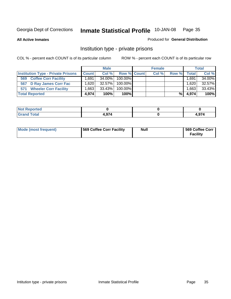**All Active Inmates**

#### Produced for **General Distribution**

### Institution type - private prisons

|                                           |                   | <b>Male</b> |             | <b>Female</b> |       |         | <b>Total</b> |
|-------------------------------------------|-------------------|-------------|-------------|---------------|-------|---------|--------------|
| <b>Institution Type - Private Prisons</b> | <b>Count</b>      | Col %       | Row % Count | Col %         | Row % | Total   | Col %        |
| <b>Coffee Corr Facility</b><br>569        | .691              | 34.00%      | 100.00%     |               |       | .691.   | 34.00%       |
| 567 D Ray James Corr Fac                  | ا 620.،           | 32.57%      | 100.00%     |               |       | 1,620   | 32.57%       |
| <b>Wheeler Corr Facility</b><br>571       | .663 <sub>1</sub> | 33.43%      | 100.00%     |               |       | ٔ 663.، | 33.43%       |
| <b>Total Reported</b>                     | 4.974             | 100%        | 100%        |               | %।    | 4,974   | 100%         |

| Reported<br>NOT     |        |                              |
|---------------------|--------|------------------------------|
| <b>Total</b><br>--- | $\sim$ | $\sim$ $\sim$ $\sim$<br>v. 1 |

| <b>Mode (most frequent)</b> | 569 Coffee Corr Facility | <b>Null</b> | 569 Coffee Corr<br><b>Facility</b> |
|-----------------------------|--------------------------|-------------|------------------------------------|
|-----------------------------|--------------------------|-------------|------------------------------------|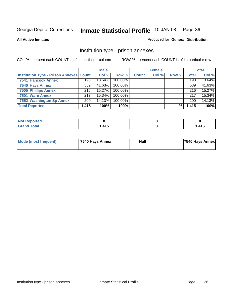#### **All Active Inmates**

#### Produced for **General Distribution**

### Institution type - prison annexes

|                                                | <b>Male</b> |           | <b>Female</b> |              |       | <b>Total</b> |              |        |
|------------------------------------------------|-------------|-----------|---------------|--------------|-------|--------------|--------------|--------|
| <b>Institution Type - Prison Annexes Count</b> |             | Col %     | Row %         | <b>Count</b> | Col % | Row %        | <b>Total</b> | Col %  |
| <b>7541 Hancock Annex</b>                      | 193         | 13.64%    | 100.00%       |              |       |              | 193          | 13.64% |
| 7540 Hays Annex                                | 589         | 41.63%    | $100.00\%$    |              |       |              | 589          | 41.63% |
| <b>7505 Phillips Annex</b>                     | 216         | $15.27\%$ | 100.00%       |              |       |              | 216          | 15.27% |
| 7501 Ware Annex                                | 217         | 15.34%    | $100.00\%$    |              |       |              | 217          | 15.34% |
| 7552 Washington Sp Annex                       | 200         | 14.13%    | 100.00%       |              |       |              | 200          | 14.13% |
| <b>Total Reported</b>                          | 1,415       | 100%      | $100\%$       |              |       | %            | 1,415        | 100%   |

| Reported<br>NOT I  |      |       |
|--------------------|------|-------|
| <b>Grand Total</b> | ,415 | , 415 |

| Mode (most frequent) | 7540 Hays Annex | <b>Null</b> | <b>7540 Hays Annex</b> |
|----------------------|-----------------|-------------|------------------------|
|                      |                 |             |                        |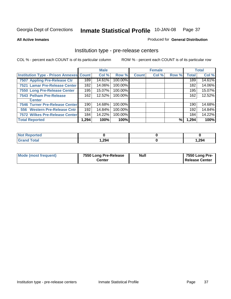### **All Active Inmates**

### Produced for **General Distribution**

## Institution type - pre-release centers

|                                         |        | <b>Male</b> |         |              | <b>Female</b> |       |              | <b>Total</b> |
|-----------------------------------------|--------|-------------|---------|--------------|---------------|-------|--------------|--------------|
| Institution Type - Prison Annexes Count |        | Col %       | Row %   | <b>Count</b> | Col %         | Row % | <b>Total</b> | Col %        |
| 7507 Appling Pre-Release Ctr            | 189    | 14.61%      | 100.00% |              |               |       | 189          | 14.61%       |
| 7521 Lamar Pre-Release Center           | 182    | 14.06%      | 100.00% |              |               |       | 182          | 14.06%       |
| 7550 Long Pre-Release Center            | 195    | 15.07%      | 100.00% |              |               |       | 195          | 15.07%       |
| 7543 Pelham Pre-Release                 | 162    | 12.52%      | 100.00% |              |               |       | 162          | 12.52%       |
| <b>Center</b>                           |        |             |         |              |               |       |              |              |
| 7546 Turner Pre-Release Center          | 190    | 14.68%      | 100.00% |              |               |       | 190          | 14.68%       |
| 556 Western Pre-Release Cntr            | 192    | 14.84%      | 100.00% |              |               |       | 192          | 14.84%       |
| 7572 Wilkes Pre-Release Center          | 184    | 14.22%      | 100.00% |              |               |       | 184          | 14.22%       |
| <b>Total Reported</b>                   | .294 ا | 100%        | 100%    |              |               | %     | 1,294        | 100%         |

| Reported                     |       |       |
|------------------------------|-------|-------|
| <b>Total</b><br><b>Grano</b> | 1,294 | 1,294 |

| Mode (most frequent) | 7550 Long Pre-Release | <b>Null</b> | 7550 Long Pre-        |
|----------------------|-----------------------|-------------|-----------------------|
|                      | Center                |             | <b>Release Center</b> |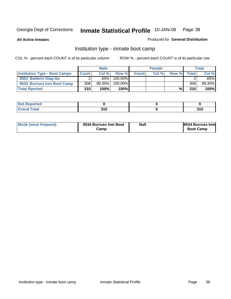**All Active Inmates**

### Produced for **General Distribution**

## Institution type - inmate boot camp

|                                      |              | <b>Male</b> |         |       | <b>Female</b> |       |       | <b>Total</b> |
|--------------------------------------|--------------|-------------|---------|-------|---------------|-------|-------|--------------|
| <b>Institution Type - Boot Camps</b> | <b>Count</b> | Col %       | Row %   | Count | Col %         | Row % | Total | Col %        |
| 9553 Baldwin Diag Ibc                |              | $.65\%$     | 100.00% |       |               |       |       | .65%l        |
| 9534 Burruss Inm Boot Camp           | 308          | 99.35%      | 100.00% |       |               |       | 308   | 99.35%       |
| <b>Total Rported</b>                 | 310          | 100%        | 100%    |       |               | %     | 310   | 100%         |

| τeα<br>$\sim$ |     |     |
|---------------|-----|-----|
| otal          | 24C | 24C |
| $\sim$        | .   | JIV |

| Mode (most frequent) | 9534 Burruss Inm Boot<br>בΣamp | <b>Null</b> | <b>9534 Burruss Inml</b><br><b>Boot Camp</b> |
|----------------------|--------------------------------|-------------|----------------------------------------------|
|----------------------|--------------------------------|-------------|----------------------------------------------|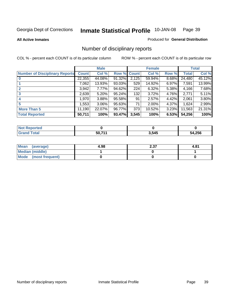**All Active Inmates**

### Produced for **General Distribution**

## Number of disciplinary reports

|                                       |              | <b>Male</b> |             |       | <b>Female</b> |       |              | <b>Total</b> |
|---------------------------------------|--------------|-------------|-------------|-------|---------------|-------|--------------|--------------|
| <b>Number of Disciplinary Reports</b> | <b>Count</b> | Col %       | Row % Count |       | Col %         | Row % | <b>Total</b> | Col %        |
|                                       | 22,355       | 44.08%      | 91.32%      | 2,125 | 59.94%        | 8.68% | 24,480       | 45.12%       |
|                                       | 7,062        | 13.93%      | 93.03%      | 529   | 14.92%        | 6.97% | 7,591        | 13.99%       |
|                                       | 3,942        | 7.77%       | 94.62%      | 224   | 6.32%         | 5.38% | 4,166        | 7.68%        |
| 3                                     | 2,639        | 5.20%       | 95.24%      | 132   | 3.72%         | 4.76% | 2,771        | 5.11%        |
|                                       | 1,970        | 3.88%       | 95.58%      | 91    | 2.57%         | 4.42% | 2,061        | 3.80%        |
| 5                                     | 553. ا       | 3.06%       | 95.63%      | 71    | 2.00%         | 4.37% | 1,624        | 2.99%        |
| <b>More Than 5</b>                    | 11,190       | 22.07%      | 96.77%      | 373   | 10.52%        | 3.23% | 11,563       | 21.31%       |
| <b>Total Reported</b>                 | 50,711       | 100%        | 93.47%      | 3,545 | 100%          | 6.53% | 54,256       | 100%         |

| - - - - - | 3,545 | .256 |
|-----------|-------|------|

| Mean (average)       | 4.98 | 2.37 | 4.81 |
|----------------------|------|------|------|
| Median (middle)      |      |      |      |
| Mode (most frequent) |      |      |      |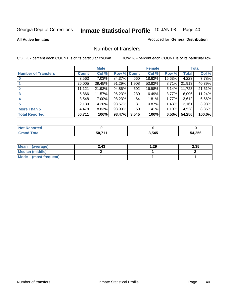### **All Active Inmates**

### Produced for **General Distribution**

## Number of transfers

|                            |         | <b>Male</b> |        |              | <b>Female</b> |          |              | <b>Total</b> |
|----------------------------|---------|-------------|--------|--------------|---------------|----------|--------------|--------------|
| <b>Number of Transfers</b> | Count l | Col %       | Row %  | <b>Count</b> | Col %         | Row %    | <b>Total</b> | Col %        |
|                            | 3,563   | $7.03\%$    | 84.37% | 660          | 18.62%        | 15.63%   | 4,223        | 7.78%        |
|                            | 20,005  | 39.45%      | 91.29% | 1,908        | 53.82%        | 8.71%    | 21,913       | 40.39%       |
| $\mathbf{2}$               | 11,121  | 21.93%      | 94.86% | 602          | 16.98%        | 5.14%    | 11,723       | 21.61%       |
| 3                          | 5,866   | 11.57%      | 96.23% | 230          | 6.49%         | $3.77\%$ | 6,096        | 11.24%       |
|                            | 3,548   | $7.00\%$    | 98.23% | 64           | 1.81%         | $1.77\%$ | 3,612        | 6.66%        |
| 5                          | 2,130   | $4.20\%$    | 98.57% | 31           | 0.87%         | 1.43%    | 2,161        | 3.98%        |
| <b>More Than 5</b>         | 4,478   | 8.83%       | 98.90% | 50           | 1.41%         | $1.10\%$ | 4,528        | 8.35%        |
| <b>Total Reported</b>      | 50,711  | 100%        | 93.47% | 3,545        | 100%          | 6.53%    | 54,256       | 100.0%       |

| N           |         |       |      |
|-------------|---------|-------|------|
| $5 - 6 - 1$ | - - - - | 3,545 | .256 |
|             | 51      |       | ״    |

| Mean (average)       | 2.43 | 29. ا | 2.35 |
|----------------------|------|-------|------|
| Median (middle)      |      |       |      |
| Mode (most frequent) |      |       |      |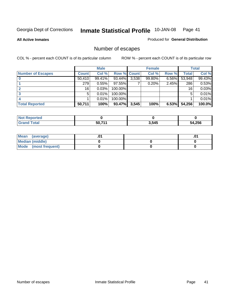**All Active Inmates**

### Produced for **General Distribution**

## Number of escapes

|                          |              | <b>Male</b> |                    |       | <b>Female</b> |          |              | <b>Total</b> |
|--------------------------|--------------|-------------|--------------------|-------|---------------|----------|--------------|--------------|
| <b>Number of Escapes</b> | <b>Count</b> | Col %       | <b>Row % Count</b> |       | Col %         | Row %    | <b>Total</b> | Col %        |
|                          | 50,410       | 99.41%      | 93.44%             | 3,538 | 99.80%        | $6.56\%$ | 53,948       | 99.43%       |
|                          | 279          | 0.55%       | $97.55\%$          |       | 0.20%         | 2.45%    | 286          | 0.53%        |
|                          | 16           | 0.03%       | 100.00%            |       |               |          | 16           | 0.03%        |
|                          | 5            | 0.01%       | 100.00%            |       |               |          |              | 0.01%        |
|                          |              | 0.01%       | $100.00\%$         |       |               |          |              | 0.01%        |
| <b>Total Reported</b>    | 50,711       | 100%        | 93.47%             | 3,545 | 100%          | 6.53%    | 54,256       | 100.0%       |

| enorted      |       |       |        |
|--------------|-------|-------|--------|
| <b>Total</b> | 50.71 | 3,545 | 54,256 |

| Mean (average)       |  | ו ש. |
|----------------------|--|------|
| Median (middle)      |  |      |
| Mode (most frequent) |  |      |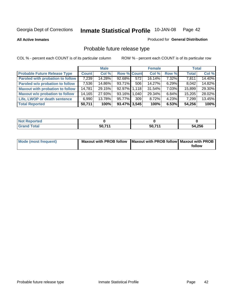**All Active Inmates**

### Produced for **General Distribution**

## Probable future release type

|                                         |              | <b>Male</b> |                    |     | <b>Female</b> |          | <b>Total</b> |        |
|-----------------------------------------|--------------|-------------|--------------------|-----|---------------|----------|--------------|--------|
| <b>Probable Future Release Type</b>     | <b>Count</b> | Col %       | <b>Row % Count</b> |     | Col %         | Row %    | <b>Total</b> | Col %  |
| <b>Paroled with probation to follow</b> | 7,239        | 14.28%      | $92.68\%$          | 572 | 16.14%        | 7.32%    | 7,811        | 14.40% |
| Paroled w/o probation to follow         | 7,536        | 14.86%      | 93.71%             | 506 | 14.27%        | $6.29\%$ | 8,042        | 14.82% |
| <b>Maxout with probation to follow</b>  | 14,781       | 29.15%      | 92.97% 1.118       |     | 31.54%        | 7.03%    | 15,899       | 29.30% |
| <b>Maxout w/o probation to follow</b>   | 14,165       | 27.93%      | 93.16% 1,040       |     | 29.34%        | $6.84\%$ | 15,205       | 28.02% |
| Life, LWOP or death sentence            | 6,990        | 13.78%      | 95.77%             | 309 | 8.72%         | $4.23\%$ | 7,299        | 13.45% |
| <b>Total Reported</b>                   | 50,711       | 100%        | $93.47\%$ 3,545    |     | 100%          | 6.53%    | 54,256       | 100%   |

| <b>Not</b><br>Reported |        |        |        |
|------------------------|--------|--------|--------|
| Total<br><b>Grand</b>  | 50,711 | 50,711 | 54,256 |

| Mode (most frequent) | Maxout with PROB follow   Maxout with PROB follow   Maxout with PROB |        |
|----------------------|----------------------------------------------------------------------|--------|
|                      |                                                                      | follow |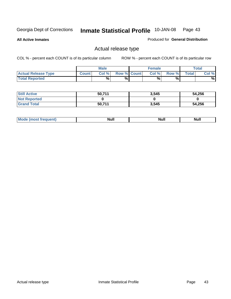**All Active Inmates**

Produced for **General Distribution**

## Actual release type

|                            |              | <b>Male</b> |                    | <b>Female</b> |        |       | $\tau$ otal |
|----------------------------|--------------|-------------|--------------------|---------------|--------|-------|-------------|
| <b>Actual Release Type</b> | <b>Count</b> | Col %       | <b>Row % Count</b> | Col %         | Row %I | Total | Col %       |
| <b>Total Reported</b>      |              | $\%$        | %                  | %             | %      |       | %           |

| <b>Still Active</b> | 50,711 | 3,545 | 54,256 |
|---------------------|--------|-------|--------|
| <b>Not Reported</b> |        |       |        |
| <b>Grand Total</b>  | 50,711 | 3,545 | 54,256 |

| M<br>____<br>_____ | NI | Null | $\cdots$ |
|--------------------|----|------|----------|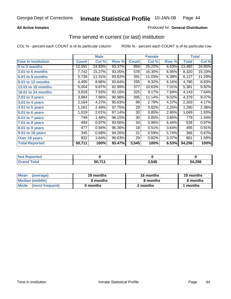### **All Active Inmates**

### Produced for **General Distribution**

## Time served in current (or last) institution

|                            |              | <b>Male</b> |        |              | <b>Female</b> |       |              | <b>Total</b> |
|----------------------------|--------------|-------------|--------|--------------|---------------|-------|--------------|--------------|
| <b>Time In Institution</b> | <b>Count</b> | Col %       | Row %  | <b>Count</b> | Col %         | Row % | <b>Total</b> | Col %        |
| 0 to 3 months              | 12,591       | 24.83%      | 93.37% | 894          | 25.22%        | 6.63% | 13,485       | 24.85%       |
| 3.01 to 6 months           | 7,742        | 15.27%      | 93.05% | 578          | 16.30%        | 6.95% | 8,320        | 15.33%       |
| 6.01 to 9 months           | 5,736        | 11.31%      | 93.62% | 391          | 11.03%        | 6.38% | 6,127        | 11.29%       |
| 9.01 to 12 months          | 4,495        | 8.86%       | 93.84% | 295          | 8.32%         | 6.16% | 4,790        | 8.83%        |
| <b>12.01 to 18 months</b>  | 5,004        | 9.87%       | 92.99% | 377          | 10.63%        | 7.01% | 5,381        | 9.92%        |
| 18.01 to 24 months         | 3,818        | 7.53%       | 92.16% | 325          | 9.17%         | 7.84% | 4,143        | 7.64%        |
| $2.01$ to 3 years          | 3,984        | 7.86%       | 90.98% | 395          | 11.14%        | 9.02% | 4,379        | 8.07%        |
| 3.01 to 4 years            | 2,164        | 4.27%       | 95.63% | 99           | 2.79%         | 4.37% | 2,263        | 4.17%        |
| 4.01 to 5 years            | 1,261        | 2.49%       | 97.75% | 29           | 0.82%         | 2.25% | 1,290        | 2.38%        |
| 5.01 to 6 years            | 1,019        | 2.01%       | 97.14% | 30           | 0.85%         | 2.86% | 1,049        | 1.93%        |
| 6.01 to 7 years            | 749          | 1.48%       | 96.15% | 30           | 0.85%         | 3.85% | 779          | 1.44%        |
| 7.01 to 8 years            | 494          | 0.97%       | 93.56% | 34           | 0.96%         | 6.44% | 528          | 0.97%        |
| 8.01 to 9 years            | 477          | 0.94%       | 96.36% | 18           | 0.51%         | 3.64% | 495          | 0.91%        |
| 9.01 to 10 years           | 345          | 0.68%       | 94.26% | 21           | 0.59%         | 5.74% | 366          | 0.67%        |
| Over 10 years              | 832          | 1.64%       | 96.63% | 29           | 0.82%         | 3.37% | 861          | 1.59%        |
| <b>Total Reported</b>      | 50,711       | 100%        | 93.47% | 3,545        | 100%          | 6.53% | 54,256       | 100%         |

| <b>Not Reported</b> |          |       |        |
|---------------------|----------|-------|--------|
| <b>Total</b>        | $-50.71$ | 3,545 | 54,256 |

| <b>Mean</b><br>(average) | 19 months | 16 months | 19 months |  |
|--------------------------|-----------|-----------|-----------|--|
| Median (middle)          | 8 months  | 8 months  | 8 months  |  |
| Mode<br>(most frequent)  | 0 months  | 2 months  | months    |  |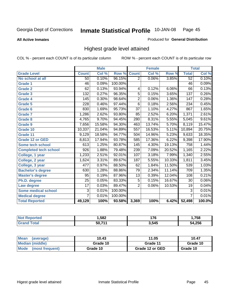**All Active Inmates**

### Produced for **General Distribution**

## Highest grade level attained

|                              |                  | <b>Male</b> |         |                  | <b>Female</b>             |        |                  | <b>Total</b> |
|------------------------------|------------------|-------------|---------|------------------|---------------------------|--------|------------------|--------------|
| <b>Grade Level</b>           | <b>Count</b>     | Col %       | Row %   | <b>Count</b>     | $\overline{\text{Col}}$ % | Row %  | <b>Total</b>     | Col %        |
| No school at all             | 50               | 0.10%       | 96.15%  | $\overline{2}$   | 0.06%                     | 3.85%  | 52               | 0.10%        |
| <b>Grade 1</b>               | 46               | 0.09%       | 100.00% |                  |                           |        | $\overline{46}$  | 0.09%        |
| <b>Grade 2</b>               | 62               | 0.13%       | 93.94%  | 4                | 0.12%                     | 6.06%  | $\overline{66}$  | 0.13%        |
| <b>Grade 3</b>               | 132              | 0.27%       | 96.35%  | $\overline{5}$   | 0.15%                     | 3.65%  | 137              | 0.26%        |
| <b>Grade 4</b>               | 145              | 0.30%       | 98.64%  | $\overline{2}$   | 0.06%                     | 1.36%  | $\overline{147}$ | 0.28%        |
| Grade 5                      | $\overline{228}$ | 0.46%       | 97.44%  | $\overline{6}$   | 0.18%                     | 2.56%  | 234              | 0.45%        |
| Grade 6                      | 830              | 1.69%       | 95.73%  | $\overline{37}$  | 1.10%                     | 4.27%  | 867              | 1.65%        |
| <b>Grade 7</b>               | 1,286            | 2.62%       | 93.80%  | 85               | 2.52%                     | 6.20%  | 1,371            | 2.61%        |
| <b>Grade 8</b>               | 4,765            | 9.70%       | 94.45%  | $\overline{280}$ | 8.31%                     | 5.55%  | 5,045            | 9.61%        |
| Grade 9                      | 7,656            | 15.58%      | 94.30%  | $\overline{463}$ | 13.74%                    | 5.70%  | 8,119            | 15.47%       |
| Grade 10                     | 10,337           | 21.04%      | 94.89%  | 557              | 16.53%                    | 5.11%  | 10,894           | 20.75%       |
| Grade 11                     | 9,129            | 18.58%      | 94.77%  | 504              | 14.96%                    | 5.23%  | 9,633            | 18.35%       |
| <b>Grade 12 or GED</b>       | 8,813            | 17.94%      | 93.78%  | 585              | 17.36%                    | 6.22%  | 9,398            | 17.90%       |
| <b>Some tech school</b>      | 613              | 1.25%       | 80.87%  | 145              | 4.30%                     | 19.13% | 758              | 1.44%        |
| <b>Completed tech school</b> | 926              | 1.88%       | 79.48%  | 239              | 7.09%                     | 20.52% | 1,165            | 2.22%        |
| College, 1 year              | 1,233            | 2.51%       | 92.01%  | 107              | 3.18%                     | 7.99%  | 1,340            | 2.55%        |
| College, 2 year              | 1,624            | 3.31%       | 89.67%  | 187              | 5.55%                     | 10.33% | 1,811            | 3.45%        |
| College, 3 year              | 477              | 0.97%       | 88.50%  | 62               | 1.84%                     | 11.50% | 539              | 1.03%        |
| <b>Bachelor's degree</b>     | 630              | 1.28%       | 88.86%  | 79               | 2.34%                     | 11.14% | 709              | 1.35%        |
| <b>Master's degree</b>       | 95               | 0.19%       | 87.96%  | 13               | 0.39%                     | 12.04% | 108              | 0.21%        |
| Ph.D. degree                 | $\overline{25}$  | 0.05%       | 83.33%  | $\overline{5}$   | 0.15%                     | 16.67% | 30               | 0.06%        |
| Law degree                   | $\overline{17}$  | 0.03%       | 89.47%  | $\overline{2}$   | 0.06%                     | 10.53% | 19               | 0.04%        |
| <b>Some medical school</b>   | 3                | 0.01%       | 100.00% |                  |                           |        | $\overline{3}$   | 0.01%        |
| <b>Medical degree</b>        | $\overline{7}$   | 0.01%       | 100.00% |                  |                           |        | $\overline{7}$   | 0.01%        |
| <b>Total Reported</b>        | 49,129           | 100%        | 93.58%  | 3,369            | 100%                      | 6.42%  | 52,498           | 100.0%       |

| ,582   | 176<br>. . v | ,758  |
|--------|--------------|-------|
| 50 711 | 3,545        | 4.256 |

| <b>Mean</b><br>(average)       | 10.43    | 11.05           | 10.47    |
|--------------------------------|----------|-----------------|----------|
| Median (middle)                | Grade 10 | Grade 11        | Grade 10 |
| <b>Mode</b><br>(most frequent) | Grade 10 | Grade 12 or GED | Grade 10 |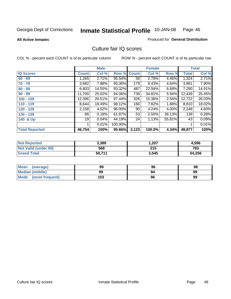### **All Active Inmates**

### Produced for **General Distribution**

## Culture fair IQ scores

|                       |              | <b>Male</b> |         |              | <b>Female</b> |        |              | <b>Total</b> |
|-----------------------|--------------|-------------|---------|--------------|---------------|--------|--------------|--------------|
| <b>IQ Scores</b>      | <b>Count</b> | Col %       | Row %   | <b>Count</b> | Col %         | Row %  | <b>Total</b> | Col %        |
| $60 - 69$             | .265         | 2.71%       | 95.54%  | 59           | 2.78%         | 4.46%  | 1,324        | 2.71%        |
| $70 - 79$             | 3,682        | 7.88%       | 95.36%  | 179          | 8.43%         | 4.64%  | 3,861        | 7.90%        |
| $80 - 89$             | 6,803        | 14.55%      | 93.32%  | 487          | 22.94%        | 6.68%  | 7,290        | 14.91%       |
| $90 - 99$             | 11,700       | 25.02%      | 94.06%  | 739          | 34.81%        | 5.94%  | 12,439       | 25.45%       |
| $100 - 109$           | 12,396       | 26.51%      | 97.44%  | 326          | 15.36%        | 2.56%  | 12,722       | 26.03%       |
| $110 - 119$           | 8,644        | 18.49%      | 98.12%  | 166          | 7.82%         | 1.88%  | 8,810        | 18.02%       |
| 120 - 129             | 2,158        | 4.62%       | 96.00%  | 90           | 4.24%         | 4.00%  | 2,248        | 4.60%        |
| 130 - 139             | 86           | 0.18%       | 61.87%  | 53           | 2.50%         | 38.13% | 139          | 0.28%        |
| 140 & Up              | 19           | 0.04%       | 44.19%  | 24           | 1.13%         | 55.81% | 43           | 0.09%        |
|                       |              | 0.01%       | 100.00% |              |               |        | 1            | 0.01%        |
| <b>Total Reported</b> | 46,754       | 100%        | 95.66%  | 2,123        | 100.0%        | 4.34%  | 48,877       | 100%         |

| <b>Not Reported</b>  | 3,389  | ,207  | 4,596  |
|----------------------|--------|-------|--------|
| Not Valid (under 60) | 568    | 215   | 783    |
| <b>Grand Total</b>   | 50.711 | 3,545 | 54,256 |

| <b>Mean</b><br>(average) | 99  | 96 | 98 |
|--------------------------|-----|----|----|
| <b>Median (middle)</b>   | 99  | 94 | 99 |
| Mode (most frequent)     | 103 | 96 | 99 |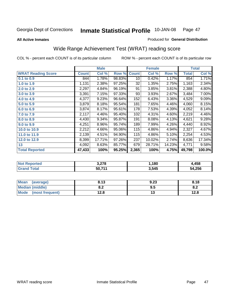**All Active Inmates**

### Produced for **General Distribution**

## Wide Range Achievement Test (WRAT) reading score

|                           |              | <b>Male</b> |        |                 | <b>Female</b> |        |              | <b>Total</b> |
|---------------------------|--------------|-------------|--------|-----------------|---------------|--------|--------------|--------------|
| <b>WRAT Reading Score</b> | <b>Count</b> | Col %       | Row %  | <b>Count</b>    | Col %         | Row %  | <b>Total</b> | Col %        |
| $0.1$ to $0.9$            | 844          | 1.78%       | 98.83% | 10 <sup>1</sup> | 0.42%         | 1.17%  | 854          | 1.71%        |
| 1.0 to 1.9                | 1,131        | 2.38%       | 97.25% | 32              | 1.35%         | 2.75%  | 1,163        | 2.34%        |
| 2.0 to 2.9                | 2,297        | 4.84%       | 96.19% | 91              | 3.85%         | 3.81%  | 2,388        | 4.80%        |
| 3.0 to 3.9                | 3,391        | 7.15%       | 97.33% | 93              | 3.93%         | 2.67%  | 3,484        | 7.00%        |
| 4.0 to 4.9                | 4,377        | 9.23%       | 96.64% | 152             | 6.43%         | 3.36%  | 4,529        | 9.09%        |
| 5.0 to 5.9                | 3,879        | 8.18%       | 95.54% | 181             | 7.65%         | 4.46%  | 4,060        | 8.15%        |
| 6.0 to 6.9                | 3,874        | 8.17%       | 95.61% | 178             | 7.53%         | 4.39%  | 4,052        | 8.14%        |
| 7.0 to 7.9                | 2,117        | 4.46%       | 95.40% | 102             | 4.31%         | 4.60%  | 2,219        | 4.46%        |
| 8.0 to 8.9                | 4,430        | 9.34%       | 95.87% | 191             | 8.08%         | 4.13%  | 4,621        | 9.28%        |
| 9.0 to 9.9                | 4,251        | 8.96%       | 95.74% | 189             | 7.99%         | 4.26%  | 4,440        | 8.92%        |
| 10.0 to 10.9              | 2,212        | 4.66%       | 95.06% | 115             | 4.86%         | 4.94%  | 2,327        | 4.67%        |
| 11.0 to 11.9              | 2,139        | 4.51%       | 94.90% | 115             | 4.86%         | 5.10%  | 2,254        | 4.53%        |
| 12.0 to 12.9              | 8,399        | 17.71%      | 97.26% | 237             | 10.02%        | 2.74%  | 8,636        | 17.34%       |
| 13                        | 4,092        | 8.63%       | 85.77% | 679             | 28.71%        | 14.23% | 4,771        | 9.58%        |
| <b>Total Reported</b>     | 47,433       | 100%        | 95.25% | 2,365           | 100%          | 4.75%  | 49,798       | 100.0%       |
|                           |              |             |        |                 |               |        |              |              |

| <b>Not Reported</b> | 3,278  | ,180  | 4,458  |
|---------------------|--------|-------|--------|
| <b>Grand Total</b>  | 50,711 | 3,545 | 54,256 |

| <b>Mean</b><br>(average)       | 8.13       | 9.23 | 8.18       |
|--------------------------------|------------|------|------------|
| <b>Median (middle)</b>         | ה ה<br>o.z | 9.5  | . c<br>o.z |
| <b>Mode</b><br>(most frequent) | 12.8       | ′∙   | 12.8       |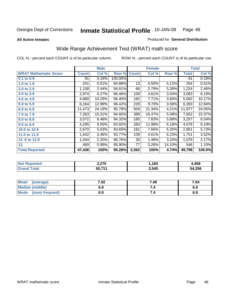**All Active Inmates**

### Produced for **General Distribution**

## Wide Range Achievement Test (WRAT) math score

|                              |              | <b>Male</b> |         |              | <b>Female</b> |        |              | <b>Total</b> |
|------------------------------|--------------|-------------|---------|--------------|---------------|--------|--------------|--------------|
| <b>WRAT Mathematic Score</b> | <b>Count</b> | Col %       | Row %   | <b>Count</b> | Col %         | Row %  | <b>Total</b> | Col %        |
| 0.1 to 0.9                   | 91           | 0.19%       | 100.00% |              |               |        | 91           | 0.18%        |
| 1.0 to 1.9                   | 241          | 0.51%       | 94.88%  | 13           | 0.55%         | 5.12%  | 254          | 0.51%        |
| 2.0 to 2.9                   | 1,158        | 2.44%       | 94.61%  | 66           | 2.79%         | 5.39%  | 1,224        | 2.46%        |
| 3.0 to 3.9                   | 2,974        | 6.27%       | 96.46%  | 109          | 4.61%         | 3.54%  | 3,083        | 6.19%        |
| 4.0 to 4.9                   | 4,880        | 10.29%      | 96.40%  | 182          | 7.71%         | 3.60%  | 5,062        | 10.17%       |
| 5.0 to 5.9                   | 6,164        | 12.99%      | 96.42%  | 229          | 9.70%         | 3.58%  | 6,393        | 12.84%       |
| 6.0 to 6.9                   | 11,473       | 24.19%      | 95.79%  | 504          | 21.34%        | 4.21%  | 11,977       | 24.05%       |
| 7.0 to 7.9                   | 7,263        | 15.31%      | 94.92%  | 389          | 16.47%        | 5.08%  | 7,652        | 15.37%       |
| 8.0 to 8.9                   | 3,072        | 6.48%       | 94.32%  | 185          | 7.83%         | 5.68%  | 3,257        | 6.54%        |
| 9.0 to 9.9                   | 4,295        | 9.05%       | 93.82%  | 283          | 11.98%        | 6.18%  | 4,578        | 9.19%        |
| 10.0 to 10.9                 | 2,670        | 5.63%       | 93.65%  | 181          | 7.66%         | 6.35%  | 2,851        | 5.73%        |
| 11.0 to 11.9                 | 1,642        | 3.46%       | 93.77%  | 109          | 4.61%         | 6.23%  | 1,751        | 3.52%        |
| 12.0 to 12.9                 | 1,044        | 2.20%       | 96.76%  | 35           | 1.48%         | 3.24%  | 1,079        | 2.17%        |
| 13                           | 469          | 0.99%       | 85.90%  | 77           | 3.26%         | 14.10% | 546          | 1.10%        |
| <b>Total Reported</b>        | 47,436       | 100%        | 95.26%  | 2,362        | 100%          | 4.74%  | 49,798       | 100.0%       |

| <b>Not Reported</b> | 3,275  | .183، | 4,458  |
|---------------------|--------|-------|--------|
| <b>Grand Total</b>  | 50,711 | 3,545 | 54,256 |

| <b>Mean</b><br>(average)       | 7.02 | 7.49 | 7.04 |
|--------------------------------|------|------|------|
| <b>Median (middle)</b>         | 6.9  |      | 6.9  |
| <b>Mode</b><br>(most frequent) | 6.9  | 7.4  | 6.9  |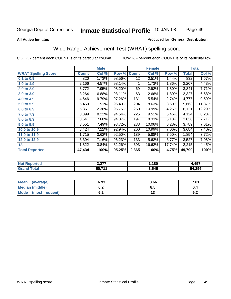### **All Active Inmates**

### Produced for **General Distribution**

## Wide Range Achievement Test (WRAT) spelling score

|                            |              | <b>Male</b> |        |                 | <b>Female</b> |        |              | <b>Total</b> |
|----------------------------|--------------|-------------|--------|-----------------|---------------|--------|--------------|--------------|
| <b>WRAT Spelling Score</b> | <b>Count</b> | Col %       | Row %  | <b>Count</b>    | Col %         | Row %  | <b>Total</b> | Col %        |
| $0.1$ to 0.9               | 820          | 1.73%       | 98.56% | $\overline{12}$ | 0.51%         | 1.44%  | 832          | 1.67%        |
| 1.0 to 1.9                 | 2,166        | 4.57%       | 98.14% | 41              | 1.73%         | 1.86%  | 2,207        | 4.43%        |
| 2.0 to 2.9                 | 3,772        | 7.95%       | 98.20% | 69              | 2.92%         | 1.80%  | 3,841        | 7.71%        |
| 3.0 to 3.9                 | 3,264        | 6.88%       | 98.11% | 63              | 2.66%         | 1.89%  | 3,327        | 6.68%        |
| 4.0 to 4.9                 | 4,646        | 9.79%       | 97.26% | 131             | 5.54%         | 2.74%  | 4,777        | 9.59%        |
| 5.0 to 5.9                 | 5,459        | 11.51%      | 96.40% | 204             | 8.63%         | 3.60%  | 5,663        | 11.37%       |
| 6.0 to 6.9                 | 5,861        | 12.36%      | 95.75% | 260             | 10.99%        | 4.25%  | 6,121        | 12.29%       |
| 7.0 to 7.9                 | 3,899        | 8.22%       | 94.54% | 225             | 9.51%         | 5.46%  | 4,124        | 8.28%        |
| 8.0 to 8.9                 | 3,641        | 7.68%       | 94.87% | 197             | 8.33%         | 5.13%  | 3,838        | 7.71%        |
| 9.0 to 9.9                 | 3,551        | 7.49%       | 93.72% | 238             | 10.06%        | 6.28%  | 3,789        | 7.61%        |
| 10.0 to 10.9               | 3,424        | 7.22%       | 92.94% | 260             | 10.99%        | 7.06%  | 3,684        | 7.40%        |
| 11.0 to 11.9               | 1,715        | 3.62%       | 92.50% | 139             | 5.88%         | 7.50%  | 1,854        | 3.72%        |
| 12.0 to 12.9               | 3,394        | 7.16%       | 96.23% | 133             | 5.62%         | 3.77%  | 3,527        | 7.08%        |
| 13                         | 1,822        | $3.84\%$    | 82.26% | 393             | 16.62%        | 17.74% | 2,215        | 4.45%        |
| <b>Total Reported</b>      | 47,434       | 100%        | 95.25% | 2,365           | 100%          | 4.75%  | 49,799       | 100%         |

| <b>Reported</b><br>"NOT - | 2.27<br>J.LI . | ,180  | 4,457  |
|---------------------------|----------------|-------|--------|
| <b>Total</b><br>'Grano    | 50,711         | 3,545 | 54,256 |

| <b>Mean</b><br>(average) | 6.93               | 8.66 | 7.01 |
|--------------------------|--------------------|------|------|
| <b>Median (middle)</b>   | ρ Λ<br>0.Z         | 8.5  | v.4  |
| Mode<br>(most frequent)  | <u>. . </u><br>U.Z | ט ו  | v.z  |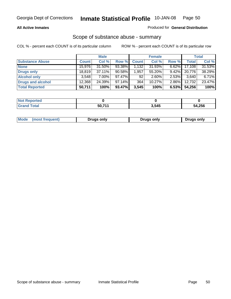### **All Active Inmates**

### Produced for **General Distribution**

### Scope of substance abuse - summary

|                        |              | <b>Male</b> |           |                  | <b>Female</b> |          |              | <b>Total</b> |
|------------------------|--------------|-------------|-----------|------------------|---------------|----------|--------------|--------------|
| <b>Substance Abuse</b> | <b>Count</b> | Col %       | Row %     | <b>Count</b>     | Col %         | Row %    | <b>Total</b> | Col %        |
| <b>None</b>            | 15,976       | 31.50%      | 93.38%    | 1.1321           | 31.93%        | $6.62\%$ | 17,108       | 31.53%       |
| Drugs only             | 18,819       | $37.11\%$   | $90.58\%$ | 1,957            | 55.20%        | $9.42\%$ | 20,776       | 38.29%       |
| <b>Alcohol only</b>    | 3.548        | 7.00%       | 97.47%    | 92               | $2.60\%$      | 2.53%    | 3,640        | 6.71%        |
| Drugs and alcohol      | 12,368       | 24.39%      | 97.14%    | 364 <sub>1</sub> | $10.27\%$     | $2.86\%$ | 12,732       | 23.47%       |
| <b>Total Reported</b>  | 50,711       | 100%        | 93.47%    | 3,545            | 100%          | 6.53%    | 54,256       | 100%         |

| <b>Not Reported</b> |       |       |        |
|---------------------|-------|-------|--------|
| <b>Grand Total</b>  | 5071' | 3,545 | 54,256 |

|  | Mode<br>(most frequent) | Drugs only | Drugs only | Drugs only |
|--|-------------------------|------------|------------|------------|
|--|-------------------------|------------|------------|------------|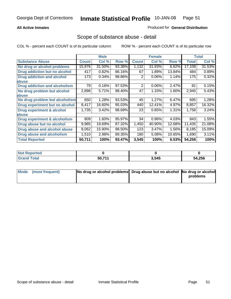### **All Active Inmates**

### Produced for **General Distribution**

### Scope of substance abuse - detail

|                                      |              | <b>Male</b> |        |              | <b>Female</b> |        |              | <b>Total</b> |
|--------------------------------------|--------------|-------------|--------|--------------|---------------|--------|--------------|--------------|
| <b>Substance Abuse</b>               | <b>Count</b> | Col %       | Row %  | <b>Count</b> | Col %         | Row %  | <b>Total</b> | Col %        |
| No drug or alcohol problems          | 15,976       | 31.50%      | 93.38% | 1,132        | 31.93%        | 6.62%  | 17,108       | 31.53%       |
| Drug addiction but no alcohol        | 417          | 0.82%       | 86.16% | 67           | 1.89%         | 13.84% | 484          | 0.89%        |
| <b>Drug addiction and alcohol</b>    | 173          | 0.34%       | 98.86% | 2            | 0.06%         | 1.14%  | 175          | 0.32%        |
| abuse                                |              |             |        |              |               |        |              |              |
| <b>Drug addiction and alcoholism</b> | 79           | 0.16%       | 97.53% | 2            | 0.06%         | 2.47%  | 81           | 0.15%        |
| No drug problem but alcohol          | 2,898        | 5.71%       | 98.40% | 47           | 1.33%         | 1.60%  | 2,945        | 5.43%        |
| <b>labuse</b>                        |              |             |        |              |               |        |              |              |
| No drug problem but alcoholism       | 650          | 1.28%       | 93.53% | 45           | 1.27%         | 6.47%  | 695          | 1.28%        |
| Drug experiment but no alcohol       | 8,417        | 16.60%      | 95.03% | 440          | 12.41%        | 4.97%  | 8,857        | 16.32%       |
| <b>Drug experiment &amp; alcohol</b> | 1,735        | 3.42%       | 98.69% | 23           | 0.65%         | 1.31%  | 1,758        | 3.24%        |
| <b>labuse</b>                        |              |             |        |              |               |        |              |              |
| Drug experiment & alcoholism         | 809          | 1.60%       | 95.97% | 34           | 0.96%         | 4.03%  | 843          | 1.55%        |
| Drug abuse but no alcohol            | 9,985        | 19.69%      | 87.32% | 1,450        | 40.90%        | 12.68% | 11,435       | 21.08%       |
| Drug abuse and alcohol abuse         | 8,062        | 15.90%      | 98.50% | 123          | 3.47%         | 1.50%  | 8,185        | 15.09%       |
| <b>Drug abuse and alcoholism</b>     | 1,510        | 2.98%       | 89.35% | 180          | 5.08%         | 10.65% | 1,690        | 3.11%        |
| <b>Total Reported</b>                | 50,711       | 100%        | 93.47% | 3,545        | 100%          | 6.53%  | 54,256       | 100%         |

| : Reportea<br><b>NOT</b> |        |       |        |
|--------------------------|--------|-------|--------|
|                          | 50 711 | 3.545 | 54,256 |

| Mode (most frequent) | No drug or alcohol problems Drug abuse but no alcohol No drug or alcohol |          |
|----------------------|--------------------------------------------------------------------------|----------|
|                      |                                                                          | problems |
|                      |                                                                          |          |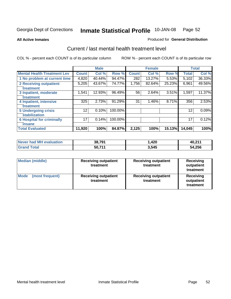**All Active Inmates**

### Produced for **General Distribution**

## Current / last mental health treatment level

|                                    |              | <b>Male</b> |         |              | <b>Female</b> |        |              | <b>Total</b> |
|------------------------------------|--------------|-------------|---------|--------------|---------------|--------|--------------|--------------|
| <b>Mental Health Treatment Lev</b> | <b>Count</b> | Col %       | Row %   | <b>Count</b> | Col%          | Row %  | <b>Total</b> | Col%         |
| 1 No problem at current time       | 4,820        | 40.44%      | 94.47%  | 282          | 13.27%        | 5.53%  | 5,102        | 36.33%       |
| <b>2 Receiving outpatient</b>      | 5,205        | 43.67%      | 74.77%  | 1,756        | 82.64%        | 25.23% | 6,961        | 49.56%       |
| treatment                          |              |             |         |              |               |        |              |              |
| 3 Inpatient, moderate              | 1,541        | 12.93%      | 96.49%  | 56           | 2.64%         | 3.51%  | 1,597        | 11.37%       |
| treatment                          |              |             |         |              |               |        |              |              |
| 4 Inpatient, intensive             | 325          | 2.73%       | 91.29%  | 31           | 1.46%         | 8.71%  | 356          | 2.53%        |
| treatment                          |              |             |         |              |               |        |              |              |
| <b>5 Undergoing crisis</b>         | 12           | 0.10%       | 100.00% |              |               |        | 12           | 0.09%        |
| stabilization                      |              |             |         |              |               |        |              |              |
| <b>6 Hospital for criminally</b>   | 17           | 0.14%       | 100.00% |              |               |        | 17           | 0.12%        |
| insane                             |              |             |         |              |               |        |              |              |
| <b>Total Evaluated</b>             | 11,920       | 100%        | 84.87%  | 2,125        | 100%          | 15.13% | 14,045       | 100%         |

| Never had MH evaluation | 38,791 | .420, | 40,211 |
|-------------------------|--------|-------|--------|
| $\tau$ otal<br>' Grand  | 50,711 | 3,545 | 54,256 |

| <b>Median (middle)</b>         | <b>Receiving outpatient</b><br>treatment | <b>Receiving outpatient</b><br>treatment | <b>Receiving</b><br>outpatient<br>treatment |
|--------------------------------|------------------------------------------|------------------------------------------|---------------------------------------------|
| <b>Mode</b><br>(most frequent) | <b>Receiving outpatient</b><br>treatment | <b>Receiving outpatient</b><br>treatment | <b>Receiving</b><br>outpatient<br>treatment |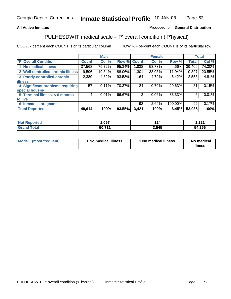### **All Active Inmates**

### Produced for **General Distribution**

# PULHESDWIT medical scale - 'P' overall condition ('P'hysical)

|                                   |              | <b>Male</b> |        |              | <b>Female</b> |         |              | <b>Total</b> |
|-----------------------------------|--------------|-------------|--------|--------------|---------------|---------|--------------|--------------|
| 'P' Overall Condition             | <b>Count</b> | Col %       | Row %  | <b>Count</b> | Col %         | Row %   | <b>Total</b> | Col %        |
| 1 No medical illness              | 37,568       | 75.72%      | 95.34% | 1,838        | 53.73%        | 4.66%   | 39,406       | 74.30%       |
| 2 Well-controlled chronic illness | 9,596        | 19.34%      | 88.06% | 1,301        | 38.03%        | 11.94%  | 10,897       | 20.55%       |
| 3 Poorly-controlled chronic       | 2,389        | 4.82%       | 93.58% | 164          | 4.79%         | 6.42%   | 2,553        | 4.81%        |
| <b>illness</b>                    |              |             |        |              |               |         |              |              |
| 4 Significant problems requiring  | 57           | 0.11%       | 70.37% | 24           | $0.70\%$      | 29.63%  | 81           | 0.15%        |
| special housing                   |              |             |        |              |               |         |              |              |
| 5 Terminal illness, < 6 months    | 4            | 0.01%       | 66.67% | 2            | $0.06\%$      | 33.33%  | 6            | 0.01%        |
| to live                           |              |             |        |              |               |         |              |              |
| 6 Inmate is pregnant              |              |             |        | 92           | 2.69%         | 100.00% | 92           | 0.17%        |
| <b>Total Reported</b>             | 49,614       | 100%        | 93.55% | 3,421        | 100%          | 6.45%   | 53,035       | 100%         |

| 'teo   | ,097               | .         | ີດາ4<br>ا عم, ا |
|--------|--------------------|-----------|-----------------|
| $\sim$ | 50.71 <sup>-</sup> | 545<br>-- | 4,256<br>54     |

| Mode | (most frequent) | 1 No medical illness | 1 No medical illness | 1 No medical<br>illness |
|------|-----------------|----------------------|----------------------|-------------------------|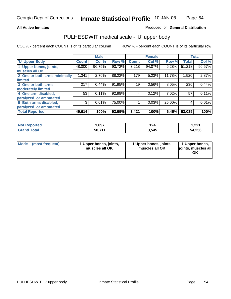### **All Active Inmates**

### Produced for **General Distribution**

## PULHESDWIT medical scale - 'U' upper body

|                              |              | <b>Male</b> |        |              | <b>Female</b> |        |              | <b>Total</b> |
|------------------------------|--------------|-------------|--------|--------------|---------------|--------|--------------|--------------|
| <b>U' Upper Body</b>         | <b>Count</b> | Col %       | Row %  | <b>Count</b> | Col %         | Row %  | <b>Total</b> | Col %        |
| 1 Upper bones, joints,       | 48,000       | 96.75%      | 93.72% | 3,218        | 94.07%        | 6.28%  | 51,218       | 96.57%       |
| muscles all OK               |              |             |        |              |               |        |              |              |
| 2 One or both arms minimally | 1,341        | 2.70%       | 88.22% | 179          | 5.23%         | 11.78% | 1,520        | 2.87%        |
| limited                      |              |             |        |              |               |        |              |              |
| 3 One or both arms           | 217          | 0.44%       | 91.95% | 19           | 0.56%         | 8.05%  | 236          | 0.44%        |
| moderately limited           |              |             |        |              |               |        |              |              |
| 4 One arm disabled,          | 53           | 0.11%       | 92.98% | 4            | 0.12%         | 7.02%  | 57           | 0.11%        |
| paralyzed, or amputated      |              |             |        |              |               |        |              |              |
| 5 Both arms disabled,        | 3            | 0.01%       | 75.00% |              | 0.03%         | 25.00% | 4            | 0.01%        |
| paralyzed, or amputated      |              |             |        |              |               |        |              |              |
| <b>Total Reported</b>        | 49,614       | 100%        | 93.55% | 3,421        | 100%          | 6.45%  | 53,035       | 100%         |

| <b>Not Reported</b>    | ,097   | 124   | າາາ<br>1.ZZ I |
|------------------------|--------|-------|---------------|
| $\tau$ otal<br>' Grand | 50,711 | 3,545 | 54,256        |

| <b>Mode</b> | (most frequent) | 1 Upper bones, joints,<br>muscles all OK | 1 Upper bones, joints,<br>muscles all OK | 1 Upper bones,<br>joints, muscles all<br>ΟK |
|-------------|-----------------|------------------------------------------|------------------------------------------|---------------------------------------------|
|-------------|-----------------|------------------------------------------|------------------------------------------|---------------------------------------------|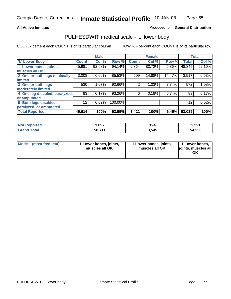### **All Active Inmates**

### Produced for **General Distribution**

## PULHESDWIT medical scale - 'L' lower body

|                                |                 | <b>Male</b> |         |              | <b>Female</b> |        |                 | <b>Total</b> |
|--------------------------------|-----------------|-------------|---------|--------------|---------------|--------|-----------------|--------------|
| 'L' Lower Body                 | <b>Count</b>    | Col %       | Row %   | <b>Count</b> | Col %         | Row %  | <b>Total</b>    | Col %        |
| 1 Lower bones, joints,         | 45,981          | 92.68%      | 94.14%  | 2,864        | 83.72%        | 5.86%  | 48,845          | 92.10%       |
| muscles all OK                 |                 |             |         |              |               |        |                 |              |
| 2 One or both legs minimally   | 3,008           | 6.06%       | 85.53%  | 509          | 14.88%        | 14.47% | 3,517           | 6.63%        |
| limited                        |                 |             |         |              |               |        |                 |              |
| 3 One or both legs             | 530             | 1.07%       | 92.66%  | 42           | 1.23%         | 7.34%  | 572             | 1.08%        |
| moderately limited             |                 |             |         |              |               |        |                 |              |
| 4 One leg disabled, paralyzed, | 83              | 0.17%       | 93.26%  | 6            | 0.18%         | 6.74%  | 89              | 0.17%        |
| or amputated                   |                 |             |         |              |               |        |                 |              |
| 5 Both legs disabled,          | 12 <sup>°</sup> | 0.02%       | 100.00% |              |               |        | 12 <sup>2</sup> | 0.02%        |
| paralyzed, or amputated        |                 |             |         |              |               |        |                 |              |
| <b>Total Reported</b>          | 49,614          | 100%        | 93.55%  | 3,421        | 100%          | 6.45%  | 53,035          | 100%         |

| <b>Reported</b><br><b>NOT</b> | ,097   | 124   | 1 הרי<br>I . <i>ll</i> |
|-------------------------------|--------|-------|------------------------|
| <b>Total</b><br>'Grano        | 50,711 | 3.545 | 54,256                 |

|  | Mode (most frequent) | 1 Lower bones, joints,<br>muscles all OK | 1 Lower bones, joints,<br>muscles all OK | 1 Lower bones,<br>joints, muscles all<br>ОK |
|--|----------------------|------------------------------------------|------------------------------------------|---------------------------------------------|
|--|----------------------|------------------------------------------|------------------------------------------|---------------------------------------------|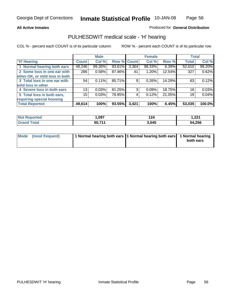**All Active Inmates**

### Produced for **General Distribution**

## PULHESDWIT medical scale - 'H' hearing

|                                |              | <b>Male</b> |             |       | <b>Female</b> |        | <b>Total</b> |        |
|--------------------------------|--------------|-------------|-------------|-------|---------------|--------|--------------|--------|
| <b>H'</b> Hearing              | <b>Count</b> | Col %       | Row % Count |       | Col %         | Row %  | <b>Total</b> | Col %  |
| 1 Normal hearing both ears     | 49,246       | 99.26%      | 93.61%      | 3,364 | 98.33%        | 6.39%  | 52,610       | 99.20% |
| 2 Some loss in one ear with    | 286          | 0.58%       | 87.46%      | 41    | 1.20%         | 12.54% | 327          | 0.62%  |
| other OK, or mild loss in both |              |             |             |       |               |        |              |        |
| 3 Total loss in one ear with   | 54           | 0.11%       | 85.71%      | 9     | 0.26%         | 14.29% | 63           | 0.12%  |
| mild loss in other             |              |             |             |       |               |        |              |        |
| 4 Severe loss in both ears     | 13           | 0.03%       | 81.25%      | 3     | 0.09%         | 18.75% | 16           | 0.03%  |
| 5 Total loss in both ears,     | 15           | 0.03%       | 78.95%      | 4     | 0.12%         | 21.05% | 19           | 0.04%  |
| requiring special housing      |              |             |             |       |               |        |              |        |
| <b>Total Reported</b>          | 49,614       | 100%        | 93.55%      | 3,421 | 100%          | 6.45%  | 53,035       | 100.0% |

| orted             | .007   | 124   | າາາ<br>1. <i>ll</i> |
|-------------------|--------|-------|---------------------|
| $f \sim f \sim f$ | 50 711 | 3,545 | 54,256<br>ы л       |

| Mode (most frequent) | 1 Normal hearing both ears   1 Normal hearing both ears   1 Normal hearing |           |
|----------------------|----------------------------------------------------------------------------|-----------|
|                      |                                                                            | both ears |
|                      |                                                                            |           |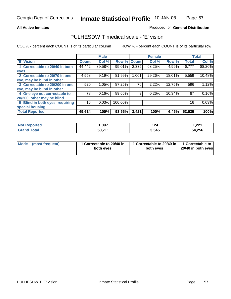### **All Active Inmates**

### Produced for **General Distribution**

## PULHESDWIT medical scale - 'E' vision

|                                 |              | <b>Male</b> |             |       | <b>Female</b> |           |              | <b>Total</b> |
|---------------------------------|--------------|-------------|-------------|-------|---------------|-----------|--------------|--------------|
| 'E' Vision                      | <b>Count</b> | Col %       | Row % Count |       | Col %         | Row %     | <b>Total</b> | Col %        |
| 1 Correctable to 20/40 in both  | 44,442       | 89.58%      | 95.01%      | 2,335 | 68.25%        | 4.99%     | 46,777       | 88.20%       |
| eyes                            |              |             |             |       |               |           |              |              |
| 2 Correctable to 20/70 in one   | 4,558        | 9.19%       | 81.99%      | 1,001 | 29.26%        | 18.01%    | 5,559        | 10.48%       |
| eye, may be blind in other      |              |             |             |       |               |           |              |              |
| 3 Correctable to 20/200 in one  | 520          | 1.05%       | 87.25%      | 76    | 2.22%         | 12.75%    | 596          | 1.12%        |
| eye, may be blind in other      |              |             |             |       |               |           |              |              |
| 4 One eye not correctable to    | 78           | 0.16%       | 89.66%      | 9     | 0.26%         | $10.34\%$ | 87           | 0.16%        |
| 20/200, other may be blind      |              |             |             |       |               |           |              |              |
| 5 Blind in both eyes, requiring | 16           | 0.03%       | 100.00%     |       |               |           | 16           | 0.03%        |
| special housing                 |              |             |             |       |               |           |              |              |
| <b>Total Reported</b>           | 49,614       | 100%        | 93.55%      | 3,421 | 100%          | 6.45%     | 53,035       | 100%         |

| <b>Not Reported</b> | ,097   | .<br>124 | ∌ מח<br>1.ZZ I |
|---------------------|--------|----------|----------------|
| Total               | 50,711 | 3,545    | 54,256         |

| Mode | (most frequent) | 1 Correctable to 20/40 in<br>both eves | 1 Correctable to 20/40 in   1 Correctable to<br>both eves | 20/40 in both eyes |
|------|-----------------|----------------------------------------|-----------------------------------------------------------|--------------------|
|------|-----------------|----------------------------------------|-----------------------------------------------------------|--------------------|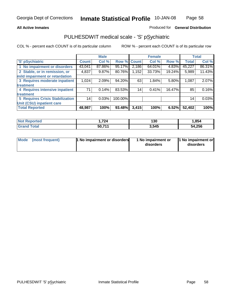### **All Active Inmates**

### Produced for **General Distribution**

## PULHESDWIT medical scale - 'S' pSychiatric

|                                        |              | <b>Male</b> |             |       | <b>Female</b> |        |              | <b>Total</b> |
|----------------------------------------|--------------|-------------|-------------|-------|---------------|--------|--------------|--------------|
| 'S' pSychiatric                        | <b>Count</b> | Col %       | Row % Count |       | Col %         | Row %  | <b>Total</b> | Col %        |
| 1 No impairment or disorders           | 43,041       | 87.86%      | 95.17%      | 2,186 | 64.01%        | 4.83%  | 45,227       | 86.31%       |
| 2 Stable, or in remission, or          | 4,837        | $9.87\%$    | 80.76%      | 1,152 | 33.73%        | 19.24% | 5,989        | 11.43%       |
| mild impairment or retardation         |              |             |             |       |               |        |              |              |
| 3 Requires moderate inpatient          | 1,024        | 2.09%       | 94.20%      | 63    | 1.84%         | 5.80%  | 1,087        | 2.07%        |
| treatment                              |              |             |             |       |               |        |              |              |
| 4 Requires intensive inpatient         | 71           | 0.14%       | 83.53%      | 14    | 0.41%         | 16.47% | 85           | 0.16%        |
| treatment                              |              |             |             |       |               |        |              |              |
| <b>5 Requires Crisis Stabilization</b> | 14           | 0.03%       | 100.00%     |       |               |        | 14           | 0.03%        |
| Unit (CSU) inpatient care              |              |             |             |       |               |        |              |              |
| <b>Total Reported</b>                  | 48,987       | 100%        | 93.48%      | 3,415 | 100%          | 6.52%  | 52,402       | 100%         |

| <b>Not Reported</b>     | 724. ا  | 130   | ,854   |
|-------------------------|---------|-------|--------|
| <b>Total</b><br>' Grand | 50,71'' | 3,545 | 54,256 |

| Mode (most frequent) | <b>1</b> No impairment or disorders | 1 No impairment or<br>disorders | 1 No impairment or<br>disorders |
|----------------------|-------------------------------------|---------------------------------|---------------------------------|
|                      |                                     |                                 |                                 |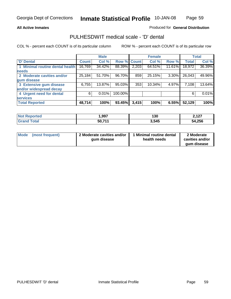Page 59

### **All Active Inmates**

### Produced for **General Distribution**

## PULHESDWIT medical scale - 'D' dental

|                                 |              | <b>Male</b> |             |       | <b>Female</b> |        |              | <b>Total</b> |
|---------------------------------|--------------|-------------|-------------|-------|---------------|--------|--------------|--------------|
| <b>D'</b> Dental                | <b>Count</b> | Col %       | Row % Count |       | Col %         | Row %  | <b>Total</b> | Col %        |
| 1 Minimal routine dental health | 16,769       | 34.42%      | 88.39%      | 2,203 | 64.51%        | 11.61% | 18,972       | 36.39%       |
| <b>needs</b>                    |              |             |             |       |               |        |              |              |
| 2 Moderate cavities and/or      | 25,184       | 51.70%      | 96.70%      | 859   | 25.15%        | 3.30%  | 26,043       | 49.96%       |
| gum disease                     |              |             |             |       |               |        |              |              |
| 3 Extensive gum disease         | 6,755        | 13.87%      | 95.03%      | 353   | 10.34%        | 4.97%  | 7,108        | 13.64%       |
| and/or widespread decay         |              |             |             |       |               |        |              |              |
| 4 Urgent need for dental        | 6            | $0.01\%$    | 100.00%     |       |               |        | 6            | 0.01%        |
| <b>services</b>                 |              |             |             |       |               |        |              |              |
| <b>Total Reported</b>           | 48,714       | 100%        | 93.45%      | 3,415 | 100%          | 6.55%  | 52,129       | 100%         |

| orted<br>NO.     | ,997   | 130   | 117<br>14 L |
|------------------|--------|-------|-------------|
| ⊺otai<br>' Gran∖ | 50,71' | 3,545 | 54,256      |

| <b>Mode</b><br>(most frequent) | 2 Moderate cavities and/or<br>qum disease | Minimal routine dental<br>health needs | 2 Moderate<br>cavities and/or<br>qum disease |
|--------------------------------|-------------------------------------------|----------------------------------------|----------------------------------------------|
|                                |                                           |                                        |                                              |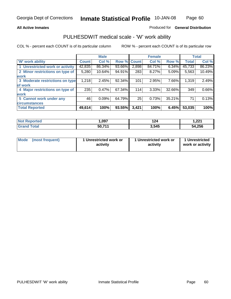### **All Active Inmates**

### Produced for **General Distribution**

## PULHESDWIT medical scale - 'W' work ability

COL % - percent each COUNT is of its particular column ROW % - percent each COUNT is of its particular row

|                                 |              | <b>Male</b> |        |              | <b>Female</b> |        |              | <b>Total</b> |
|---------------------------------|--------------|-------------|--------|--------------|---------------|--------|--------------|--------------|
| 'W' work ability                | <b>Count</b> | Col %       | Row %  | <b>Count</b> | Col %         | Row %  | <b>Total</b> | Col %        |
| 1 Unrestricted work or activity | 42,835       | 86.34%      | 93.66% | 2,898        | 84.71%        | 6.34%  | 45,733       | 86.23%       |
| 2 Minor restrictions on type of | 5,280        | 10.64%      | 94.91% | 283          | 8.27%         | 5.09%  | 5,563        | 10.49%       |
| <b>work</b>                     |              |             |        |              |               |        |              |              |
| 3 Moderate restrictions on type | 1,218        | 2.45%       | 92.34% | 101          | 2.95%         | 7.66%  | 1,319        | 2.49%        |
| of work                         |              |             |        |              |               |        |              |              |
| 4 Major restrictions on type of | 235          | 0.47%       | 67.34% | 114          | 3.33%         | 32.66% | 349          | 0.66%        |
| work                            |              |             |        |              |               |        |              |              |
| 5 Cannot work under any         | 46           | 0.09%       | 64.79% | 25           | 0.73%         | 35.21% | 71           | 0.13%        |
| <b>circumstances</b>            |              |             |        |              |               |        |              |              |
| <b>Total Reported</b>           | 49,614       | 100%        | 93.55% | 3,421        | 100%          | 6.45%  | 53,035       | 100%         |

| <b>Not Reported</b>     | ,097               | 124   | 221. ا |
|-------------------------|--------------------|-------|--------|
| <b>Total</b><br>' Grand | 50,71 <sup>4</sup> | 3,545 | 54,256 |

| Mode            | 1 Unrestricted work or | 1 Unrestricted work or | 1 Unrestricted   |
|-----------------|------------------------|------------------------|------------------|
| (most frequent) | activity               | activity               | work or activity |

Page 60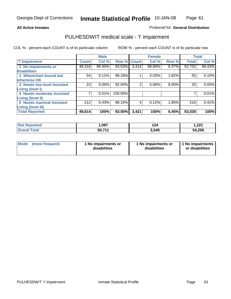Page 61

### **All Active Inmates**

### Produced for **General Distribution**

## PULHESDWIT medical scale - 'I' impairment

|                                   |              | <b>Male</b> |             |                | <b>Female</b> |       |              | <b>Total</b> |
|-----------------------------------|--------------|-------------|-------------|----------------|---------------|-------|--------------|--------------|
| <b>T' Impairment</b>              | <b>Count</b> | Col %       | Row % Count |                | Col %         | Row % | <b>Total</b> | Col %        |
| 1 No impairments or               | 49,318       | 99.40%      | 93.53%      | 3,414          | 99.80%        | 6.47% | 52,732       | 99.43%       |
| disabilities                      |              |             |             |                |               |       |              |              |
| 2 Wheelchair-bound but            | 54           | 0.11%       | 98.18%      |                | 0.03%         | 1.82% | 55           | 0.10%        |
| otherwise OK                      |              |             |             |                |               |       |              |              |
| <b>3 Needs low-level Assisted</b> | 23           | 0.05%       | 92.00%      | $\overline{2}$ | 0.06%         | 8.00% | 25           | 0.05%        |
| Living (level I)                  |              |             |             |                |               |       |              |              |
| 4 Needs moderate Assisted         |              | 0.01%       | 100.00%     |                |               |       |              | 0.01%        |
| <b>Living (level II)</b>          |              |             |             |                |               |       |              |              |
| <b>5 Needs maximal Assisted</b>   | 212          | 0.43%       | 98.15%      | 4              | 0.12%         | 1.85% | 216          | 0.41%        |
| <b>Living (level III)</b>         |              |             |             |                |               |       |              |              |
| <b>Total Reported</b>             | 49,614       | 100%        | 93.55%      | 3,421          | 100%          | 6.45% | 53,035       | 100%         |

| <b>rted</b> | ,097   | 124   | 1,221  |
|-------------|--------|-------|--------|
| <b>ota</b>  | 50,711 | 3,545 | 54,256 |

| <b>Mode</b> | (most frequent) | 1 No impairments or<br>disabilities | 1 No impairments or<br>disabilities | 1 No impairments<br>or disabilities |
|-------------|-----------------|-------------------------------------|-------------------------------------|-------------------------------------|
|-------------|-----------------|-------------------------------------|-------------------------------------|-------------------------------------|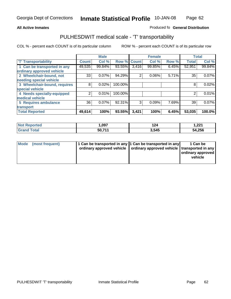#### **Inmate Statistical Profile** 10-JAN-08 Page Page 62

### All Active Inmates **All Active Inmates All Active Inmates Produced fo General Distribution**

## PULHESDWIT medical scale - 'T' transportability

|                              |              | <b>Male</b> |         |              | <b>Female</b> |       | <b>Total</b> |        |
|------------------------------|--------------|-------------|---------|--------------|---------------|-------|--------------|--------|
| <b>T' Transportability</b>   | <b>Count</b> | Col %       | Row %   | <b>Count</b> | Col %         | Row % | <b>Total</b> | Col %  |
| 1 Can be transported in any  | 49,535       | 99.84%      | 93.55%  | 3,416        | 99.85%        | 6.45% | 52,951       | 99.84% |
| ordinary approved vehicle    |              |             |         |              |               |       |              |        |
| 2 Wheelchair-bound, not      | 33           | 0.07%       | 94.29%  | 2            | 0.06%         | 5.71% | 35           | 0.07%  |
| needing special vehicle      |              |             |         |              |               |       |              |        |
| 3 Wheelchair-bound, requires | 8            | 0.02%       | 100.00% |              |               |       | 8            | 0.02%  |
| special vehicle              |              |             |         |              |               |       |              |        |
| 4 Needs specially-equipped   | 2            | 0.01%       | 100.00% |              |               |       | 2            | 0.01%  |
| medical vehicle              |              |             |         |              |               |       |              |        |
| <b>5 Requires ambulance</b>  | 36           | 0.07%       | 92.31%  | 3            | 0.09%         | 7.69% | 39           | 0.07%  |
| transport                    |              |             |         |              |               |       |              |        |
| <b>Total Reported</b>        | 49,614       | 100%        | 93.55%  | 3,421        | 100%          | 6.45% | 53,035       | 100.0% |

| oorted<br>' Not  | 097,،  | 124   | 1,221  |
|------------------|--------|-------|--------|
| GF2 <sup>r</sup> | 50,711 | 3,545 | 54,256 |

| Mode (most frequent) | 1 Can be transported in any 1 Can be transported in any | ordinary approved vehicle   ordinary approved vehicle   transported in any | 1 Can be<br>  ordinary approved  <br>vehicle |
|----------------------|---------------------------------------------------------|----------------------------------------------------------------------------|----------------------------------------------|
|                      |                                                         |                                                                            |                                              |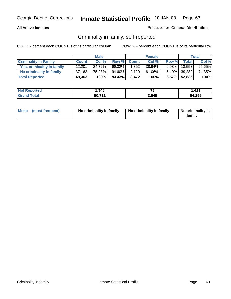### **All Active Inmates**

### Produced for **General Distribution**

## Criminality in family, self-reported

|                              |              | <b>Male</b> |           |              | <b>Female</b> |          |              | <b>Total</b> |
|------------------------------|--------------|-------------|-----------|--------------|---------------|----------|--------------|--------------|
| <b>Criminality In Family</b> | <b>Count</b> | Col %       | Row %     | <b>Count</b> | Col %         | Row %    | <b>Total</b> | Col %        |
| Yes, criminality in family   | 12,201       | 24.72%      | $90.02\%$ | 1.352        | 38.94%        | $9.98\%$ | 13,553       | 25.65%       |
| No criminality in family     | 37,162       | 75.28%      | 94.60%    | 2,120        | 61.06%        |          | 5.40% 39,282 | 74.35%       |
| <b>Total Reported</b>        | 49,363       | 100%        | 93.43%    | 3.472        | 100%          |          | 6.57% 52,835 | 100%         |

| <b>Not Reported</b> | 348, ا | --<br>ن ، | 421. ا |
|---------------------|--------|-----------|--------|
| <b>fotal</b>        | 50,711 | 3,545     | 54,256 |

|  | Mode (most frequent) | No criminality in family | No criminality in family | No criminality in<br>family |
|--|----------------------|--------------------------|--------------------------|-----------------------------|
|--|----------------------|--------------------------|--------------------------|-----------------------------|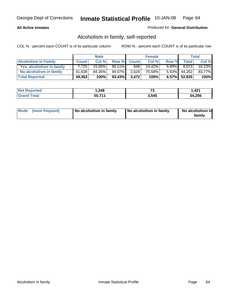### **All Active Inmates**

### Produced for **General Distribution**

## Alcoholism in family, self-reported

|                             |              | <b>Male</b> |           |              | <b>Female</b> |          |              | <b>Total</b> |
|-----------------------------|--------------|-------------|-----------|--------------|---------------|----------|--------------|--------------|
| <b>Alcoholism In Family</b> | <b>Count</b> | Col %       | Row %     | <b>Count</b> | Col %         | Row %    | <b>Total</b> | Col %        |
| Yes, alcoholism in family   | 7.725        | 15.65%      | $90.11\%$ | 848          | 24.42%        | $9.89\%$ | 8.573        | 16.23%       |
| No alcoholism in family     | 41,638       | 84.35%      | 94.07%    | 2,624        | 75.58%        | $5.93\%$ | 44,262       | 83.77%       |
| <b>Total Reported</b>       | 49,363       | 100%        | $93.43\%$ | 3.472        | 100%          |          | 6.57% 52,835 | 100%         |

| <b>Not Reported</b>     | 348. ا | --<br>ں. | .421   |
|-------------------------|--------|----------|--------|
| <b>Grand</b><br>' Total | 50,71' | 3.545    | 54,256 |

|  | Mode (most frequent) | No alcoholism in family | No alcoholism in family | No alcoholism in<br>family |
|--|----------------------|-------------------------|-------------------------|----------------------------|
|--|----------------------|-------------------------|-------------------------|----------------------------|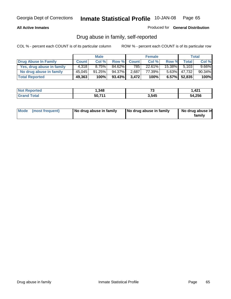### **All Active Inmates**

Produced for **General Distribution**

## Drug abuse in family, self-reported

|                           |              | <b>Male</b> |           |              | <b>Female</b> |           |              | <b>Total</b> |
|---------------------------|--------------|-------------|-----------|--------------|---------------|-----------|--------------|--------------|
| Drug Abuse In Family      | <b>Count</b> | Col %       | Row %     | <b>Count</b> | Col %         | Row %     | <b>Total</b> | Col %        |
| Yes, drug abuse in family | 4.318        | 8.75%       | $84.62\%$ | 785          | 22.61%        | $15.38\%$ | 5.103        | $9.66\%$     |
| No drug abuse in family   | 45,045       | 91.25%      | 94.37%    | 2,687        | 77.39%        | $5.63\%$  | 47,732       | 90.34%       |
| <b>Total Reported</b>     | 49,363       | 100%        | 93.43%    | 3.472        | 100%          |           | 6.57% 52,835 | 100%         |

| <b>Not Reported</b>     | 348. ا | --<br>ں. | .421   |
|-------------------------|--------|----------|--------|
| <b>Grand</b><br>' Total | 50,71' | 3.545    | 54,256 |

|  | Mode (most frequent) | No drug abuse in family | No drug abuse in family | No drug abuse in<br>family |
|--|----------------------|-------------------------|-------------------------|----------------------------|
|--|----------------------|-------------------------|-------------------------|----------------------------|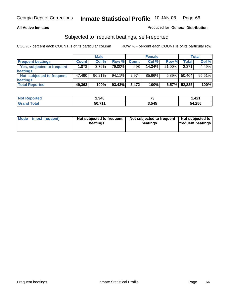### **All Active Inmates**

### Produced for **General Distribution**

## Subjected to frequent beatings, self-reported

|                                   |              | <b>Male</b> |         |              | <b>Female</b> |          |        | <b>Total</b> |
|-----------------------------------|--------------|-------------|---------|--------------|---------------|----------|--------|--------------|
| <b>Frequent beatings</b>          | <b>Count</b> | Col%        | Row %   | <b>Count</b> | Col%          | Row %    | Total  | Col %        |
| <b>Yes, subjected to frequent</b> | 1.8731       | 3.79%       | 79.00%I | 498          | 14.34%        | 21.00%   | 2,371  | 4.49%        |
| beatings                          |              |             |         |              |               |          |        |              |
| Not subjected to frequent         | 47.490       | $96.21\%$   | 94.11%  | 2.974        | 85.66%        | $5.89\%$ | 50,464 | 95.51%       |
| beatings                          |              |             |         |              |               |          |        |              |
| <b>Total Reported</b>             | 49,363       | 100%        | 93.43%  | 3,472        | 100%          | 6.57%    | 52,835 | 100%         |

| Reported<br><b>NOT</b> | .348،  | $-$<br>ں۔ | 1,421  |
|------------------------|--------|-----------|--------|
| Total<br>'Grano        | 50,711 | 3.545     | 54,256 |

| Mode | (most frequent) | Not subjected to frequent<br>beatings | Not subjected to frequent<br>beatings | Not subjected to<br><b>frequent beatings</b> |
|------|-----------------|---------------------------------------|---------------------------------------|----------------------------------------------|
|------|-----------------|---------------------------------------|---------------------------------------|----------------------------------------------|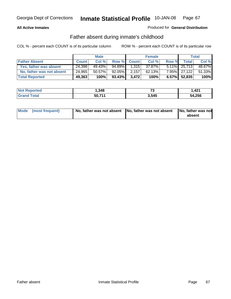### **All Active Inmates**

### Produced for **General Distribution**

## Father absent during inmate's childhood

|                           |              | <b>Male</b> |        |              | <b>Female</b> |       |                 | Total  |
|---------------------------|--------------|-------------|--------|--------------|---------------|-------|-----------------|--------|
| <b>Father Absent</b>      | <b>Count</b> | Col %       | Row %  | <b>Count</b> | Col %         | Row % | <b>Total</b>    | Col %  |
| Yes, father was absent    | 24,398       | 49.43%      | 94.89% | 1,315        | 37.87%        |       | 5.11% 25,713    | 48.67% |
| No, father was not absent | 24,965       | 50.57%      | 92.05% | 2,157        | 62.13%        |       | 7.95% 27,122    | 51.33% |
| <b>Total Reported</b>     | 49,363       | 100%        | 93.43% | 3.472        | 100%          |       | $6.57\%$ 52,835 | 100%   |

| <b>Not Reported</b>   | .348،  | --<br>ູບ | ,421   |
|-----------------------|--------|----------|--------|
| Total<br><b>Grand</b> | 50,71' | 3,545    | 54,256 |

| Mode (most frequent) |  | 「No, father was not absent ┃No, father was not absent ┃No, father was not | absent |
|----------------------|--|---------------------------------------------------------------------------|--------|
|----------------------|--|---------------------------------------------------------------------------|--------|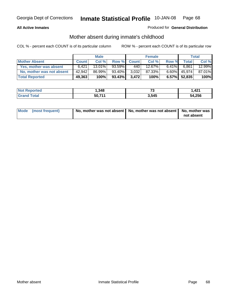### **All Active Inmates**

### Produced for **General Distribution**

## Mother absent during inmate's childhood

|                           |              | <b>Male</b> |           |              | <b>Female</b> |          |              | Total  |
|---------------------------|--------------|-------------|-----------|--------------|---------------|----------|--------------|--------|
| <b>Mother Absent</b>      | <b>Count</b> | Col %       | Row %     | <b>Count</b> | Col %         | Row %    | <b>Total</b> | Col %  |
| Yes, mother was absent    | 6.421        | $13.01\%$   | $93.59\%$ | 440          | 12.67%        | $6.41\%$ | 6.861        | 12.99% |
| No, mother was not absent | 42,942       | 86.99%      | 93.40%    | 3,032        | 87.33%        | $6.60\%$ | 45,974       | 87.01% |
| <b>Total Reported</b>     | 49,363       | 100%        | 93.43%    | 3.472        | 100%          |          | 6.57% 52,835 | 100%   |

| <b>Not Reported</b> | 348, ا | --<br>ن ، | 421. ا |
|---------------------|--------|-----------|--------|
| <b>fotal</b>        | 50,711 | 3,545     | 54,256 |

| Mode (most frequent) | No, mother was not absent   No, mother was not absent   No, mother was | not absent |
|----------------------|------------------------------------------------------------------------|------------|
|----------------------|------------------------------------------------------------------------|------------|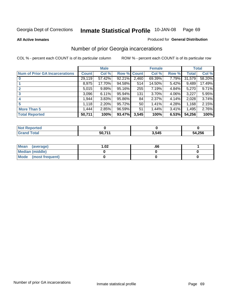### **All Active Inmates**

### Produced for **General Distribution**

## Number of prior Georgia incarcerations

|                                       |              | <b>Male</b> |                    |                 | <b>Female</b> |       |        | <b>Total</b> |
|---------------------------------------|--------------|-------------|--------------------|-----------------|---------------|-------|--------|--------------|
| <b>Num of Prior GA Incarcerations</b> | <b>Count</b> | Col %       | <b>Row % Count</b> |                 | Col %         | Row % | Total  | Col %        |
| $\bf{0}$                              | 29,119       | 57.42%      | 92.21%             | 2,460           | 69.39%        | 7.79% | 31,579 | 58.20%       |
|                                       | 8,975        | 17.70%      | 94.58%             | 514             | 14.50%        | 5.42% | 9,489  | 17.49%       |
|                                       | 5,015        | 9.89%       | 95.16%             | 255             | 7.19%         | 4.84% | 5,270  | 9.71%        |
| 3                                     | 3,096        | 6.11%       | 95.94%             | 131             | 3.70%         | 4.06% | 3,227  | 5.95%        |
|                                       | 1,944        | 3.83%       | 95.86%             | 84              | 2.37%         | 4.14% | 2,028  | 3.74%        |
| 5                                     | 1,118        | 2.20%       | 95.72%             | 50 <sub>1</sub> | 1.41%         | 4.28% | 1,168  | 2.15%        |
| <b>More Than 5</b>                    | 1,444        | 2.85%       | 96.59%             | 51              | 1.44%         | 3.41% | 1,495  | 2.76%        |
| <b>Total Reported</b>                 | 50,711       | 100%        | 93.47%             | 3,545           | 100%          | 6.53% | 54,256 | 100%         |

| Reported<br><b>NOT</b> |        |       |        |
|------------------------|--------|-------|--------|
| <b>Total</b><br>'Grano | 50.71' | 3,545 | 54,256 |

| Mean (average)       | l.O2 | .00 |  |
|----------------------|------|-----|--|
| Median (middle)      |      |     |  |
| Mode (most frequent) |      |     |  |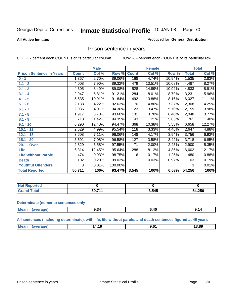### **All Active Inmates**

## Produced for **General Distribution**

## Prison sentence in years

COL % - percent each COUNT is of its particular column ROW % - percent each COUNT is of its particular row

|                                 |              | <b>Male</b> |         |              | <b>Female</b> |        |              | <b>Total</b> |
|---------------------------------|--------------|-------------|---------|--------------|---------------|--------|--------------|--------------|
| <b>Prison Sentence In Years</b> | <b>Count</b> | Col %       | Row %   | <b>Count</b> | Col %         | Row %  | <b>Total</b> | Col %        |
| $0 - 1$                         | 1,367        | 2.70%       | 89.06%  | 168          | 4.74%         | 10.94% | 1,535        | 2.83%        |
| $1.1 - 2$                       | 4,008        | 7.90%       | 89.32%  | 479          | 13.51%        | 10.68% | 4,487        | 8.27%        |
| $2.1 - 3$                       | 4,305        | 8.49%       | 89.08%  | 528          | 14.89%        | 10.92% | 4,833        | 8.91%        |
| $3.1 - 4$                       | 2,947        | 5.81%       | 91.21%  | 284          | 8.01%         | 8.79%  | 3,231        | 5.96%        |
| $4.1 - 5$                       | 5,535        | 10.91%      | 91.84%  | 492          | 13.88%        | 8.16%  | 6,027        | 11.11%       |
| $5.1 - 6$                       | 2,138        | 4.22%       | 92.63%  | 170          | 4.80%         | 7.37%  | 2,308        | 4.25%        |
| $6.1 - 7$                       | 2,036        | 4.01%       | 94.30%  | 123          | 3.47%         | 5.70%  | 2,159        | 3.98%        |
| $7.1 - 8$                       | 1,917        | 3.78%       | 93.60%  | 131          | 3.70%         | 6.40%  | 2,048        | 3.77%        |
| $8.1 - 9$                       | 718          | 1.42%       | 94.35%  | 43           | 1.21%         | 5.65%  | 761          | 1.40%        |
| $9.1 - 10$                      | 6,290        | 12.40%      | 94.47%  | 368          | 10.38%        | 5.53%  | 6,658        | 12.27%       |
| $10.1 - 12$                     | 2,529        | 4.99%       | 95.54%  | 118          | 3.33%         | 4.46%  | 2,647        | 4.88%        |
| $12.1 - 15$                     | 3,608        | 7.11%       | 96.06%  | 148          | 4.17%         | 3.94%  | 3,756        | 6.92%        |
| $15.1 - 20$                     | 3,591        | 7.08%       | 96.58%  | 127          | 3.58%         | 3.42%  | 3,718        | 6.85%        |
| 20.1 - Over                     | 2,829        | 5.58%       | 97.55%  | 71           | 2.00%         | 2.45%  | 2,900        | 5.35%        |
| <b>Life</b>                     | 6,314        | 12.45%      | 95.64%  | 288          | 8.12%         | 4.36%  | 6,602        | 12.17%       |
| <b>Life Without Parole</b>      | 474          | 0.93%       | 98.75%  | 6            | 0.17%         | 1.25%  | 480          | 0.88%        |
| <b>Death</b>                    | 102          | 0.20%       | 99.03%  |              | 0.03%         | 0.97%  | 103          | 0.19%        |
| <b>Youthful Offenders</b>       | 3            | 0.01%       | 100.00% |              |               |        | 3            | 0.01%        |
| <b>Total Reported</b>           | 50,711       | 100%        | 93.47%  | 3,545        | 100%          | 6.53%  | 54,256       | 100%         |

| ported<br><b>NOT</b> |              |       |        |
|----------------------|--------------|-------|--------|
| <b>otal</b>          | -0 74<br>50. | 3,545 | 54,256 |

### **Determinate (numeric) sentences only**

| <b>Mear</b><br>1.1100 | апе | 9.34<br>$  -$ | 41<br>___ | 9.14 |
|-----------------------|-----|---------------|-----------|------|
|                       |     |               |           |      |

**All sentences (including determinate), with life, life without parole, and death sentences figured at 45 years**

| $M\Omega$ :<br>3.89<br>ız<br>4.19<br>-------<br>____<br>___ |  |  |  |
|-------------------------------------------------------------|--|--|--|
|                                                             |  |  |  |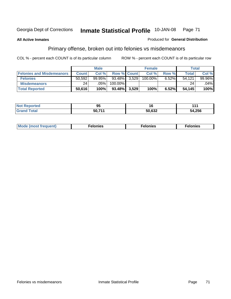### **All Active Inmates**

### Produced for **General Distribution**

## Primary offense, broken out into felonies vs misdemeanors

|                                  |              | <b>Male</b> |              | <b>Female</b> |          | Total        |           |
|----------------------------------|--------------|-------------|--------------|---------------|----------|--------------|-----------|
| <b>Felonies and Misdemeanors</b> | <b>Count</b> | Col%        | Row % Count  | Col %1        | Row %    | <b>Total</b> | Col%      |
| <b>Felonies</b>                  | 50.592       | $99.95\%$   | 93.48% 3,529 | 100.00%       | $6.52\%$ | 54.121       | $99.96\%$ |
| <b>Misdemeanors</b>              | 24           | .05%        | 100.00%      |               |          | 24           | $.04\%$   |
| <b>Total Reported</b>            | 50,616       | 100%        | 93.48% 3.529 | 100%          | 6.52%    | 54.145       | 100%      |

| <b>Not</b><br><b>Reported</b><br><b>IVOL</b> | ΩF<br>ື |        |        |
|----------------------------------------------|---------|--------|--------|
| <b>Gran</b>                                  | -50.711 | 50,632 | 54,256 |

| M | . | . | . |
|---|---|---|---|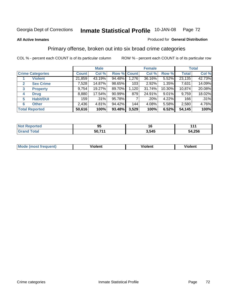### **All Active Inmates**

### Produced for **General Distribution**

## Primary offense, broken out into six broad crime categories

|              |                         |              | <b>Male</b> |                    |       | <b>Female</b> |          |              | <b>Total</b> |
|--------------|-------------------------|--------------|-------------|--------------------|-------|---------------|----------|--------------|--------------|
|              | <b>Crime Categories</b> | <b>Count</b> | Col %       | <b>Row % Count</b> |       | Col %         | Row %    | <b>Total</b> | Col %        |
|              | <b>Violent</b>          | 21,859       | 43.19%      | 94.48%             | 1,276 | 36.16%        | $5.52\%$ | 23,135       | 42.73%       |
| $\mathbf{2}$ | <b>Sex Crime</b>        | 7,528        | 14.87%      | 98.65%             | 103   | 2.92%         | $1.35\%$ | 7,631        | 14.09%       |
| 3            | <b>Property</b>         | 9,754        | 19.27%      | 89.70%             | 1,120 | 31.74%        | 10.30%   | 10,874       | 20.08%       |
| 4            | <b>Drug</b>             | 8,880        | 17.54%      | $90.99\%$          | 879   | 24.91%        | 9.01%    | 9,759        | 18.02%       |
| 5            | <b>Habit/DUI</b>        | 159          | .31%        | 95.78%             |       | ا 20%.        | 4.22%    | 166          | .31%         |
| 6            | <b>Other</b>            | 2,436        | 4.81%       | 94.42%             | 144   | 4.08%         | 5.58%    | 2,580        | 4.76%        |
|              | <b>Total Reported</b>   | 50,616       | 100%        | 93.48%             | 3,529 | 100%          | 6.52%    | 54,145       | 100%         |

| orted<br>N  | Ωı<br>JJ |       | - - -       |
|-------------|----------|-------|-------------|
| <b>otal</b> | 50,71'   | 3,545 | 4,256<br>54 |

| <b>Mo</b><br>'uent) | .<br>วlent | $- -$<br>Violent | --<br>Violent |
|---------------------|------------|------------------|---------------|
|                     |            |                  |               |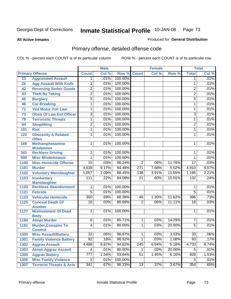**All Active Inmates**

#### Produced for **General Distribution**

# Primary offense, detailed offense code

|                 |                                                | <b>Male</b>      |       |         | <b>Female</b>   |       |        | <b>Total</b>    |       |
|-----------------|------------------------------------------------|------------------|-------|---------|-----------------|-------|--------|-----------------|-------|
|                 | <b>Primary Offense</b>                         | <b>Count</b>     | Col % | Row %   | <b>Count</b>    | Col%  | Row %  | <b>Total</b>    | Col % |
| 23              | <b>Aggravated Assault</b>                      | 1                | .01%  | 100.00% |                 |       |        | 1               | .01%  |
| 26              | <b>Agg Assault With Knife</b>                  | 1                | .01%  | 100.00% |                 |       |        | $\mathbf{1}$    | .01%  |
| 42              | <b>Receiving Stolen Goods</b>                  | $\overline{2}$   | .01%  | 100.00% |                 |       |        | $\overline{2}$  | .01%  |
| 43              | <b>Theft By Taking</b>                         | $\overline{2}$   | .01%  | 100.00% |                 |       |        | $\overline{2}$  | .01%  |
| 45              | <b>Burglary</b>                                | $\overline{5}$   | .01%  | 100.00% |                 |       |        | $\overline{5}$  | .01%  |
| 46              | <b>Car Breaking</b>                            | 1                | .01%  | 100.00% |                 |       |        | $\mathbf{1}$    | .01%  |
| $\overline{71}$ | <b>Viol Motor Veh Law</b>                      | 1                | .01%  | 100.00% |                 |       |        | 1               | .01%  |
| 73              | <b>Obstr Of Law Enf Officer</b>                | $\overline{3}$   | .01%  | 100.00% |                 |       |        | 3               | .01%  |
| 78              | <b>Terroristic Threats</b>                     | 1                | .01%  | 100.00% |                 |       |        | $\mathbf{1}$    | .01%  |
| 94              | <b>Shoplifting</b>                             | $\overline{2}$   | .01%  | 100.00% |                 |       |        | 2               | .01%  |
| 101             | <b>Riot</b>                                    | 1                | .01%  | 100.00% |                 |       |        | $\mathbf{1}$    | .01%  |
| 122             | <b>Obscenity &amp; Related</b><br><b>Offen</b> | 1                | .01%  | 100.00% |                 |       |        | $\mathbf{1}$    | .01%  |
| 169             | <b>Methamphetamine</b><br><b>Misdemnor</b>     | $\mathbf{1}$     | .01%  | 100.00% |                 |       |        | 1               | .01%  |
| 341             | <b>Reckless Driving</b>                        | 1                | .01%  | 100.00% |                 |       |        | 1               | .01%  |
| 500             | <b>Misc Misdemeanor</b>                        | 1                | .01%  | 100.00% |                 |       |        | 1               | .01%  |
| 1100            | <b>Misc Homicide Offense</b>                   | $\overline{15}$  | .03%  | 88.24%  | $\overline{2}$  | .06%  | 11.76% | $\overline{17}$ | .03%  |
| 1101            | <b>Murder</b>                                  | 4,639            | 9.17% | 94.48%  | 271             | 7.68% | 5.52%  | 4,910           | 9.07% |
| 1102            | <b>Voluntary Manslaughter</b>                  | 1,057            | 2.09% | 88.45%  | 138             | 3.91% | 11.55% | 1,195           | 2.21% |
| 1103            | <b>Involuntary</b>                             | 111              | .22%  | 84.09%  | $\overline{21}$ | .60%  | 15.91% | 132             | .24%  |
|                 | <b>Manslaughter</b>                            |                  |       |         |                 |       |        |                 |       |
| 1120            | <b>Reckless Abandonment</b>                    | 1                | .01%  | 100.00% |                 |       |        | 1               | .01%  |
| 1121            | <b>Feticide</b>                                | $\overline{5}$   | .01%  | 100.00% |                 |       |        | $\overline{5}$  | .01%  |
| 1123            | <b>Vehicular Homicide</b>                      | 350              | .69%  | 88.38%  | 46              | 1.30% | 11.62% | 396             | .73%  |
| 1125            | <b>Conceal Death Of</b><br><b>Another</b>      | $\overline{16}$  | .03%  | 88.89%  | $\overline{2}$  | .06%  | 11.11% | 18              | .03%  |
| 1127            | <b>Mistreatment Of Dead</b><br><b>Body</b>     | $\mathbf{1}$     | .01%  | 100.00% |                 |       |        | 1               | .01%  |
| 1190            | <b>Atmpt Murder</b>                            | $\overline{6}$   | .01%  | 85.71%  | $\mathbf 1$     | .03%  | 14.29% | 7               | .01%  |
| 1191            | <b>Murder, Conspire To</b><br><b>Commit</b>    | 4                | .01%  | 80.00%  | 1               | .03%  | 20.00% | $\overline{5}$  | .01%  |
| 1300            | <b>Misc Assault/Battery</b>                    | $\overline{32}$  | .06%  | 96.97%  | $\overline{1}$  | .03%  | 3.03%  | 33              | .06%  |
| 1301            | <b>Family Violence Battery</b>                 | $\overline{92}$  | .18%  | 98.92%  | $\overline{1}$  | .03%  | 1.08%  | $\overline{93}$ | .17%  |
| 1302            | <b>Aggrav Assault</b>                          | 4,488            | 8.87% | 94.82%  | 245             | 6.94% | 5.18%  | 4,733           | 8.74% |
| 1303            | <b>Atmpt Aggrav Assault</b>                    | 4                | .01%  | 80.00%  | $\mathbf{1}$    | .03%  | 20.00% | $\overline{5}$  | .01%  |
| 1305            | <b>Aggrav Battery</b>                          | $\overline{777}$ | 1.54% | 93.84%  | $\overline{51}$ | 1.45% | 6.16%  | 828             | 1.53% |
| 1306            | <b>Misc Family Violence</b>                    | $\overline{5}$   | .01%  | 100.00% |                 |       |        | $\overline{5}$  | .01%  |
| 1307            | <b>Terrorist Threats &amp; Acts</b>            | 341              | .67%  | 96.33%  | 13              | .37%  | 3.67%  | 354             | .65%  |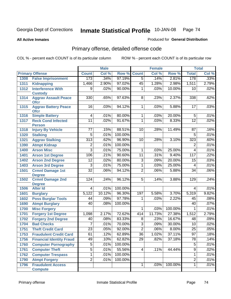#### **All Active Inmates**

#### Produced for **General Distribution**

# Primary offense, detailed offense code

|      |                                            |                  | <b>Male</b> |         |                 | <b>Female</b> |         |                 | <b>Total</b> |
|------|--------------------------------------------|------------------|-------------|---------|-----------------|---------------|---------|-----------------|--------------|
|      | <b>Primary Offense</b>                     | <b>Count</b>     | Col %       | Row %   | <b>Count</b>    | Col %         | Row %   | <b>Total</b>    | Col %        |
| 1308 | <b>False Imprisonment</b>                  | 173              | .34%        | 97.19%  | $\overline{5}$  | .14%          | 2.81%   | 178             | .33%         |
| 1311 | <b>Kidnapping</b>                          | 1,466            | 2.90%       | 97.02%  | 45              | 1.28%         | 2.98%   | 1,511           | 2.79%        |
| 1312 | <b>Interference With</b>                   | 9                | .02%        | 90.00%  | 1               | .03%          | 10.00%  | 10              | .02%         |
|      | <b>Custody</b>                             |                  |             |         |                 |               |         |                 |              |
| 1314 | <b>Aggrav Assault Peace</b>                | 330              | .65%        | 97.63%  | 8               | .23%          | 2.37%   | 338             | .62%         |
| 1315 | <b>Ofcr</b><br><b>Aggrav Battery Peace</b> | 16               | .03%        | 94.12%  | 1               | .03%          | 5.88%   | 17              | .03%         |
|      | <b>Ofcr</b>                                |                  |             |         |                 |               |         |                 |              |
| 1316 | <b>Simple Battery</b>                      | $\overline{4}$   | .01%        | 80.00%  | $\mathbf 1$     | .03%          | 20.00%  | $\overline{5}$  | .01%         |
| 1317 | <b>Reck Cond Infected</b>                  | $\overline{11}$  | .02%        | 91.67%  | 1               | .03%          | 8.33%   | $\overline{12}$ | .02%         |
|      | <b>Person</b>                              |                  |             |         |                 |               |         |                 |              |
| 1318 | <b>Injury By Vehicle</b>                   | 77               | .15%        | 88.51%  | 10              | .28%          | 11.49%  | 87              | .16%         |
| 1320 | <b>Stalking</b>                            | 5                | .01%        | 100.00% |                 |               |         | 5               | .01%         |
| 1321 | <b>Aggrav Stalking</b>                     | $\overline{313}$ | .62%        | 96.90%  | 10              | .28%          | 3.10%   | 323             | .60%         |
| 1390 | <b>Atmpt Kidnap</b>                        | 2                | .01%        | 100.00% |                 |               |         | $\overline{2}$  | .01%         |
| 1400 | <b>Arson Misc</b>                          | $\overline{3}$   | .01%        | 75.00%  | 1               | .03%          | 25.00%  | $\overline{4}$  | .01%         |
| 1401 | <b>Arson 1st Degree</b>                    | 106              | .21%        | 90.60%  | 11              | .31%          | 9.40%   | 117             | .22%         |
| 1402 | <b>Arson 2nd Degree</b>                    | $\overline{12}$  | .02%        | 80.00%  | 3               | .09%          | 20.00%  | 15              | .03%         |
| 1403 | <b>Arson 3rd Degree</b>                    | 3                | .01%        | 75.00%  | 1               | .03%          | 25.00%  | 4               | .01%         |
| 1501 | <b>Crmnl Damage 1st</b>                    | $\overline{32}$  | .06%        | 94.12%  | $\overline{2}$  | .06%          | 5.88%   | 34              | .06%         |
|      | <b>Degree</b>                              |                  |             |         |                 |               |         |                 |              |
| 1502 | <b>Crmnl Damage 2nd</b>                    | $\overline{124}$ | .24%        | 96.12%  | $\overline{5}$  | .14%          | 3.88%   | 129             | .24%         |
|      | <b>Degree</b>                              |                  |             |         |                 |               |         |                 |              |
| 1506 | <b>Alter Id</b>                            | $\overline{4}$   | .01%        | 100.00% |                 |               |         | 4               | .01%         |
| 1601 | <b>Burglary</b>                            | 5,122            | 10.12%      | 96.30%  | 197             | 5.58%         | 3.70%   | 5,319           | 9.82%        |
| 1602 | <b>Poss Burglar Tools</b>                  | 44               | .09%        | 97.78%  | 1               | .03%          | 2.22%   | 45              | .08%         |
| 1690 | <b>Atmpt Burglary</b>                      | 40               | .08%        | 100.00% |                 |               |         | 40              | .07%         |
| 1700 | <b>Misc Forgery</b>                        |                  |             |         | $\overline{1}$  | .03%          | 100.00% | 1               | .01%         |
| 1701 | <b>Forgery 1st Degree</b>                  | 1,098            | 2.17%       | 72.62%  | 414             | 11.73%        | 27.38%  | 1,512           | 2.79%        |
| 1702 | <b>Forgery 2nd Degree</b>                  | 40               | .08%        | 83.33%  | $\overline{8}$  | .23%          | 16.67%  | 48              | .09%         |
| 1704 | <b>Bad Checks</b>                          | $\overline{7}$   | .01%        | 70.00%  | $\overline{3}$  | .09%          | 30.00%  | 10              | .02%         |
| 1751 | <b>Theft Credit Card</b>                   | $\overline{23}$  | .05%        | 92.00%  | $\overline{2}$  | .06%          | 8.00%   | $\overline{25}$ | .05%         |
| 1753 | <b>Fraudulent Credit Card</b>              | 61               | 12%         | 62.89%  | $\overline{36}$ | 1.02%         | 37.11%  | $\overline{97}$ | .18%         |
| 1756 | <b>Financial Identity Fraud</b>            | 49               | .10%        | 62.82%  | $\overline{29}$ | .82%          | 37.18%  | $\overline{78}$ | .14%         |
| 1760 | <b>Computer Pornography</b>                | $\overline{5}$   | .01%        | 100.00% |                 |               |         | $\overline{5}$  | .01%         |
| 1761 | <b>Computer Theft</b>                      | $\overline{5}$   | .01%        | 55.56%  | $\overline{4}$  | .11%          | 44.44%  | $\overline{9}$  | .02%         |
| 1762 | <b>Computer Trespass</b>                   | $\overline{1}$   | .01%        | 100.00% |                 |               |         | 1               | .01%         |
| 1790 | <b>Atmpt Forgery</b>                       | $\overline{2}$   | .01%        | 100.00% |                 |               |         | $\overline{2}$  | .01%         |
| 1796 | <b>Fraudulent Access</b>                   |                  |             |         | $\overline{1}$  | .03%          | 100.00% | $\overline{1}$  | .01%         |
|      | <b>Compute</b>                             |                  |             |         |                 |               |         |                 |              |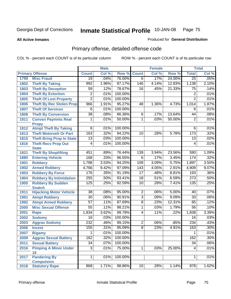**All Active Inmates**

#### Produced for **General Distribution**

# Primary offense, detailed offense code

|      |                                             |                 | <b>Male</b> |         |                 | <b>Female</b> |        |                  | <b>Total</b> |
|------|---------------------------------------------|-----------------|-------------|---------|-----------------|---------------|--------|------------------|--------------|
|      | <b>Primary Offense</b>                      | <b>Count</b>    | Col %       | Row %   | <b>Count</b>    | Col %         | Row %  | <b>Total</b>     | Col %        |
| 1799 | <b>Misc Fraud</b>                           | $\overline{19}$ | .04%        | 76.00%  | $\overline{6}$  | .17%          | 24.00% | $\overline{25}$  | .05%         |
| 1802 | <b>Theft By Taking</b>                      | 992             | 1.96%       | 87.17%  | 146             | 4.14%         | 12.83% | 1,138            | 2.10%        |
| 1803 | <b>Theft By Deception</b>                   | 59              | .12%        | 78.67%  | $\overline{16}$ | .45%          | 21.33% | 75               | .14%         |
| 1804 | <b>Theft By Extortion</b>                   | 2               | .01%        | 100.00% |                 |               |        | $\overline{c}$   | .01%         |
| 1805 | <b>Theft Of Lost Property</b>               | $\overline{2}$  | .01%        | 100.00% |                 |               |        | $\overline{2}$   | .01%         |
| 1806 | <b>Theft By Rec Stolen Prop</b>             | 966             | 1.91%       | 95.27%  | 48              | 1.36%         | 4.73%  | 1,014            | 1.87%        |
| 1807 | <b>Theft Of Services</b>                    | 6               | .01%        | 100.00% |                 |               |        | 6                | .01%         |
| 1808 | <b>Theft By Conversion</b>                  | $\overline{38}$ | .08%        | 86.36%  | 6               | .17%          | 13.64% | 44               | .08%         |
| 1811 | <b>Convsn Paymnts Real</b>                  | 1               | .01%        | 50.00%  | $\overline{1}$  | .03%          | 50.00% | $\overline{2}$   | .01%         |
|      | <b>Propy</b>                                |                 |             |         |                 |               |        |                  |              |
| 1812 | <b>Atmpt Theft By Taking</b>                | 6               | .01%        | 100.00% |                 |               |        | 6                | .01%         |
| 1813 | <b>Theft Motorveh Or Part</b>               | 163             | .32%        | 94.22%  | $\overline{10}$ | .28%          | 5.78%  | 173              | .32%         |
| 1815 | <b>Theft Bring Prop In State</b>            | $\overline{13}$ | .03%        | 100.00% |                 |               |        | 13               | .02%         |
| 1816 | <b>Theft Recv Prop Out</b>                  | 4               | .01%        | 100.00% |                 |               |        | 4                | .01%         |
| 1821 | <b>State</b><br><b>Theft By Shoplifting</b> | 451             | .89%        | 76.44%  | 139             | 3.94%         | 23.56% | 590              | 1.09%        |
| 1880 | <b>Entering Vehicle</b>                     | 168             | .33%        | 96.55%  | 6               | .17%          | 3.45%  | 174              | .32%         |
| 1901 | <b>Robbery</b>                              | 1,788           | 3.53%       | 94.25%  | 109             | 3.09%         | 5.75%  | 1,897            | 3.50%        |
| 1902 | <b>Armed Robbery</b>                        | 4,766           | 9.42%       | 97.09%  | 143             | 4.05%         | 2.91%  | 4,909            | 9.07%        |
| 1903 | <b>Robbery By Force</b>                     | 176             | .35%        | 91.19%  | 17              | .48%          | 8.81%  | 193              | .36%         |
| 1904 | <b>Robbery By Intimidation</b>              | 255             | .50%        | 93.41%  | $\overline{18}$ | .51%          | 6.59%  | $\overline{273}$ | .50%         |
| 1905 | <b>Robbery By Sudden</b>                    | 125             | .25%        | 92.59%  | 10              | .28%          | 7.41%  | 135              | .25%         |
|      | <b>Snatch</b>                               |                 |             |         |                 |               |        |                  |              |
| 1911 | <b>Hijacking Motor Vehicle</b>              | $\overline{38}$ | .08%        | 95.00%  | $\overline{2}$  | .06%          | 5.00%  | 40               | .07%         |
| 1991 | <b>Atmpt Robbery</b>                        | $\overline{30}$ | .06%        | 90.91%  | $\overline{3}$  | .09%          | 9.09%  | $\overline{33}$  | .06%         |
| 1992 | <b>Atmpt Armed Robbery</b>                  | $\overline{57}$ | .11%        | 87.69%  | $\overline{8}$  | .23%          | 12.31% | 65               | .12%         |
| 2000 | <b>Misc Sexual Offense</b>                  | 55              | .11%        | 98.21%  | $\overline{1}$  | .03%          | 1.79%  | $\overline{56}$  | .10%         |
| 2001 | <b>Rape</b>                                 | 1,834           | 3.62%       | 99.78%  | $\overline{4}$  | .11%          | .22%   | 1,838            | 3.39%        |
| 2002 | <b>Sodomy</b>                               | 16              | .03%        | 100.00% |                 |               |        | $\overline{16}$  | .03%         |
| 2003 | <b>Aggrav Sodomy</b>                        | 232             | .46%        | 99.15%  | $\overline{2}$  | .06%          | .85%   | 234              | .43%         |
| 2006 | <b>Incest</b>                               | 155             | .31%        | 95.09%  | $\overline{8}$  | .23%          | 4.91%  | 163              | .30%         |
| 2007 | <b>Bigamy</b>                               | 1               | .01%        | 100.00% |                 |               |        | 1                | .01%         |
| 2009 | <b>Aggrav Sexual Battery</b>                | 162             | .32%        | 100.00% |                 |               |        | 162              | $.30\%$      |
| 2011 | <b>Sexual Battery</b>                       | 34              | .07%        | 100.00% |                 |               |        | $\overline{34}$  | .06%         |
| 2016 | <b>Pimping A Minor Under</b>                | $\overline{3}$  | .01%        | 75.00%  | $\overline{1}$  | .03%          | 25.00% | 4                | .01%         |
|      | 18                                          |                 |             |         |                 |               |        |                  |              |
| 2017 | <b>Pandering By</b>                         | $\overline{1}$  | .01%        | 100.00% |                 |               |        | 1                | .01%         |
| 2018 | <b>Compulsion</b>                           |                 |             |         |                 |               | 1.14%  |                  |              |
|      | <b>Statutory Rape</b>                       | 868             | 1.71%       | 98.86%  | 10              | .28%          |        | 878              | 1.62%        |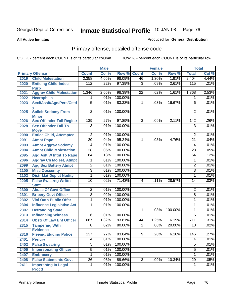**All Active Inmates**

#### Produced for **General Distribution**

# Primary offense, detailed offense code

|      |                                                 | <b>Male</b>     |         | <b>Female</b> |                |       | <b>Total</b> |                 |       |
|------|-------------------------------------------------|-----------------|---------|---------------|----------------|-------|--------------|-----------------|-------|
|      | <b>Primary Offense</b>                          | <b>Count</b>    | Col %   | Row %         | <b>Count</b>   | CoI%  | Row %        | <b>Total</b>    | Col % |
| 2019 | <b>Child Molestation</b>                        | 2,358           | 4.66%   | 98.09%        | 46             | 1.30% | 1.91%        | 2,404           | 4.44% |
| 2020 | <b>Enticing Child-Indec</b><br><b>Purp</b>      | 112             | .22%    | 97.39%        | $\overline{3}$ | .09%  | 2.61%        | 115             | .21%  |
| 2021 | <b>Aggrav Child Molestation</b>                 | 1,346           | 2.66%   | 98.39%        | 22             | .62%  | 1.61%        | 1,368           | 2.53% |
| 2022 | <b>Necrophilia</b>                              | 1               | .01%    | 100.00%       |                |       |              | 1               | .01%  |
| 2023 | Sexl/AssIt/Agn/Pers/Cstd                        | $\overline{5}$  | .01%    | 83.33%        | $\mathbf{1}$   | .03%  | 16.67%       | 6               | .01%  |
| 2025 | v<br><b>Solicit Sodomy From</b><br><b>Minor</b> | $\overline{2}$  | .01%    | 100.00%       |                |       |              | $\overline{2}$  | .01%  |
| 2026 | <b>Sex Offender Fail Registr</b>                | 139             | .27%    | 97.89%        | 3 <sup>1</sup> | .09%  | 2.11%        | 142             | .26%  |
| 2028 | <b>Sex Offender Fail To</b><br><b>Move</b>      | $\overline{3}$  | .01%    | 100.00%       |                |       |              | $\overline{3}$  | .01%  |
| 2090 | <b>Entice Child, Attempted</b>                  | $\overline{2}$  | .01%    | 100.00%       |                |       |              | $\overline{2}$  | .01%  |
| 2091 | <b>Atmpt Rape</b>                               | $\overline{20}$ | .04%    | 95.24%        | 1              | .03%  | 4.76%        | $\overline{21}$ | .04%  |
| 2093 | <b>Atmpt Aggrav Sodomy</b>                      | 4               | .01%    | 100.00%       |                |       |              | 4               | .01%  |
| 2094 | <b>Atmpt Child Molestation</b>                  | $\overline{28}$ | .06%    | 100.00%       |                |       |              | 28              | .05%  |
| 2095 | <b>Agg Aslt W Intnt To Rape</b>                 | 64              | .13%    | 100.00%       |                |       |              | 64              | .12%  |
| 2096 | <b>Aggrav Ch Molest, Atmpt</b>                  | 1               | .01%    | 100.00%       |                |       |              | 1               | .01%  |
| 2099 | <b>Agg Sex Battery Atmpt</b>                    | $\overline{2}$  | .01%    | 100.00%       |                |       |              | $\overline{c}$  | .01%  |
| 2100 | <b>Misc Obscenity</b>                           | $\overline{3}$  | .01%    | 100.00%       |                |       |              | $\overline{3}$  | .01%  |
| 2102 | <b>Distr Mat Depict Nudity</b>                  | 1               | .01%    | 100.00%       |                |       |              | 1               | .01%  |
| 2205 | <b>False Swearng Writtn</b><br><b>Stmt</b>      | 10              | .02%    | 71.43%        | 4              | .11%  | 28.57%       | 14              | .03%  |
| 2300 | <b>Abuse Of Govt Office</b>                     | $\overline{2}$  | .01%    | 100.00%       |                |       |              | $\overline{2}$  | .01%  |
| 2301 | <b>Bribery Govt Officer</b>                     | $\overline{8}$  | .02%    | 100.00%       |                |       |              | 8               | .01%  |
| 2302 | <b>Viol Oath Public Offcr</b>                   | 1               | .01%    | 100.00%       |                |       |              | 1               | .01%  |
| 2304 | <b>Influence Legislative Act</b>                | 1               | .01%    | 100.00%       |                |       |              | 1               | .01%  |
| 2307 | <b>Defrauding State</b>                         |                 |         |               | 1              | .03%  | 100.00%      | 1               | .01%  |
| 2313 | <b>Influencing Witness</b>                      | 6               | .01%    | 100.00%       |                |       |              | 6               | .01%  |
| 2314 | <b>Obstr Of Law Enf Officer</b>                 | 667             | 1.32%   | 93.81%        | 44             | 1.25% | 6.19%        | 711             | 1.31% |
| 2315 | <b>Tampering With</b><br><b>Evidence</b>        | 8               | .02%    | 80.00%        | $\overline{2}$ | .06%  | 20.00%       | 10              | .02%  |
| 2316 | <b>Fleeing/Eluding Police</b>                   | 137             | 27%     | 93.84%        | $\overline{9}$ | 26%   | 6.16%        | 146             | 27%   |
| 2401 | <b>Perjury</b>                                  | $\overline{4}$  | $.01\%$ | 100.00%       |                |       |              | 4               | .01%  |
| 2402 | <b>False Swearing</b>                           | $\overline{5}$  | $.01\%$ | 100.00%       |                |       |              | $\overline{5}$  | .01%  |
| 2405 | <b>Impersonating Officer</b>                    | $\overline{5}$  | .01%    | 100.00%       |                |       |              | $\overline{5}$  | .01%  |
| 2407 | <b>Embracery</b>                                | $\overline{1}$  | .01%    | 100.00%       |                |       |              | 1               | .01%  |
| 2408 | <b>False Statements Govt</b>                    | $\overline{26}$ | .05%    | 89.66%        | $\overline{3}$ | .09%  | 10.34%       | $\overline{29}$ | .05%  |
| 2411 | <b>Impersntng In Legal</b><br><b>Procd</b>      | 1               | .01%    | 100.00%       |                |       |              | 1               | .01%  |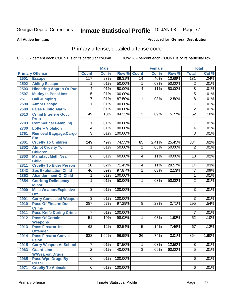**All Active Inmates**

#### Produced for **General Distribution**

# Primary offense, detailed offense code

|      |                                            |                 | <b>Male</b> |         |                | <b>Female</b> |        |                 | <b>Total</b> |
|------|--------------------------------------------|-----------------|-------------|---------|----------------|---------------|--------|-----------------|--------------|
|      | <b>Primary Offense</b>                     | <b>Count</b>    | Col %       | Row %   | <b>Count</b>   | Col %         | Row %  | <b>Total</b>    | Col %        |
| 2501 | <b>Escape</b>                              | 117             | .23%        | 89.31%  | 14             | .40%          | 10.69% | 131             | .24%         |
| 2502 | <b>Aiding Escape</b>                       | 1               | .01%        | 50.00%  | 1              | .03%          | 50.00% | $\overline{2}$  | .01%         |
| 2503 | <b>Hindering Appreh Or Pun</b>             | 4               | .01%        | 50.00%  | 4              | .11%          | 50.00% | $\overline{8}$  | .01%         |
| 2507 | <b>Mutiny In Penal Inst</b>                | 5               | .01%        | 100.00% |                |               |        | 5               | .01%         |
| 2511 | <b>Bail Jumping</b>                        | 7               | .01%        | 87.50%  | 1              | .03%          | 12.50% | $\overline{8}$  | .01%         |
| 2590 | <b>Atmpt Escape</b>                        | 1               | .01%        | 100.00% |                |               |        | 1               | .01%         |
| 2609 | <b>False Public Alarm</b>                  | $\overline{2}$  | .01%        | 100.00% |                |               |        | $\overline{2}$  | .01%         |
| 2613 | <b>Crmnl Interfere Govt</b><br><b>Prop</b> | 49              | .10%        | 94.23%  | $\overline{3}$ | .09%          | 5.77%  | $\overline{52}$ | .10%         |
| 2703 | <b>Commerical Gambling</b>                 | 1               | .01%        | 100.00% |                |               |        | 1               | .01%         |
| 2730 | <b>Lottery Violation</b>                   | $\overline{4}$  | .01%        | 100.00% |                |               |        | 4               | .01%         |
| 2761 | Removal Baggage, Cargo<br><b>Etc</b>       | $\overline{3}$  | .01%        | 100.00% |                |               |        | 3               | .01%         |
| 2801 | <b>Cruelty To Children</b>                 | 249             | .49%        | 74.55%  | 85             | 2.41%         | 25.45% | 334             | .62%         |
| 2802 | <b>Atmpt Cruelty To</b>                    | 1               | .01%        | 50.00%  | 1              | .03%          | 50.00% | $\overline{2}$  | .01%         |
|      | <b>Children</b>                            | $\overline{6}$  |             | 60.00%  |                |               | 40.00% | $\overline{10}$ | .02%         |
| 2803 | <b>Manufact Meth Near</b><br><b>Child</b>  |                 | .01%        |         | 4              | .11%          |        |                 |              |
| 2811 | <b>Cruelty To Elder Person</b>             | 10              | .02%        | 71.43%  | 4              | .11%          | 28.57% | 14              | .03%         |
| 2843 | <b>Sex Exploitation Child</b>              | 46              | .09%        | 97.87%  | 1              | .03%          | 2.13%  | $\overline{47}$ | .09%         |
| 2852 | <b>Abandonment Of Child</b>                | 1               | .01%        | 100.00% |                |               |        | 1               | .01%         |
| 2854 | <b>Cntrbtng Delingency</b><br><b>Minor</b> | 1               | .01%        | 50.00%  | 1              | .03%          | 50.00% | $\overline{2}$  | .01%         |
| 2900 | <b>Misc Weapon/Explosive</b>               | $\overline{3}$  | .01%        | 100.00% |                |               |        | 3               | .01%         |
|      | <b>Off</b>                                 |                 |             |         |                |               |        |                 |              |
| 2901 | <b>Carry Concealed Weapon</b>              | $\overline{3}$  | .01%        | 100.00% |                |               |        | $\overline{3}$  | .01%         |
| 2910 | <b>Poss Of Firearm Dur</b><br><b>Crime</b> | 287             | .57%        | 97.29%  | $\overline{8}$ | .23%          | 2.71%  | 295             | .54%         |
| 2911 | <b>Poss Knife During Crime</b>             | 7               | .01%        | 100.00% |                |               |        | $\overline{7}$  | .01%         |
| 2912 | <b>Poss Of Certain</b>                     | $\overline{51}$ | .10%        | 98.08%  | 1              | .03%          | 1.92%  | $\overline{52}$ | .10%         |
| 2913 | <b>Weapons</b><br><b>Poss Firearm 1st</b>  | 62              | .12%        | 92.54%  | $\overline{5}$ | .14%          | 7.46%  | 67              | .12%         |
|      | <b>Offender</b>                            |                 |             |         |                |               |        |                 |              |
| 2914 | <b>Poss Firearm Convct</b>                 | 838             | $1.66\%$    | 96.99%  | 26             | .74%          | 3.01%  | 864             | 1.60%        |
|      | <b>Felon</b>                               |                 |             |         |                |               |        |                 |              |
| 2915 | <b>Carry Weapon At School</b>              | 7               | .01%        | 87.50%  | 1              | .03%          | 12.50% | $\overline{8}$  | .01%         |
| 2963 | <b>Guard Line</b><br><b>W/Weapon/Drugs</b> | $\overline{2}$  | .01%        | 40.00%  | $\overline{3}$ | .09%          | 60.00% | $\overline{5}$  | .01%         |
| 2965 | <b>Poss Wpn, Drugs By</b>                  | $\overline{6}$  | .01%        | 100.00% |                |               |        | 6               | .01%         |
| 2971 | <b>Prisnr</b><br><b>Cruelty To Animals</b> | $6\vert$        | .01%        | 100.00% |                |               |        | 6               | .01%         |
|      |                                            |                 |             |         |                |               |        |                 |              |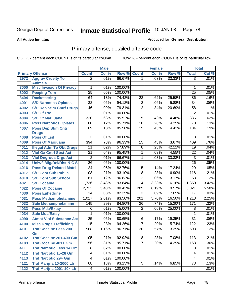**All Active Inmates**

#### Produced for **General Distribution**

# Primary offense, detailed offense code

|      |                                  |                  | <b>Male</b> |         |                 | <b>Female</b> |        |                 | <b>Total</b> |
|------|----------------------------------|------------------|-------------|---------|-----------------|---------------|--------|-----------------|--------------|
|      | <b>Primary Offense</b>           | <b>Count</b>     | Col %       | Row %   | <b>Count</b>    | Col %         | Row %  | <b>Total</b>    | Col %        |
| 2972 | <b>Aggrav Cruelty To</b>         | $\overline{2}$   | .01%        | 66.67%  | 1 <sup>1</sup>  | .03%          | 33.33% | $\overline{3}$  | .01%         |
|      | <b>Animals</b>                   |                  |             |         |                 |               |        |                 |              |
| 3000 | <b>Misc Invasion Of Privacy</b>  | 1                | .01%        | 100.00% |                 |               |        | 1               | .01%         |
| 3002 | <b>Peeping Tom</b>               | $\overline{25}$  | .05%        | 100.00% |                 |               |        | $\overline{25}$ | .05%         |
| 3404 | <b>Racketeering</b>              | 64               | .13%        | 74.42%  | $\overline{22}$ | .62%          | 25.58% | 86              | .16%         |
| 4001 | <b>S/D Narcotics Opiates</b>     | $\overline{32}$  | .06%        | 94.12%  | $\overline{2}$  | .06%          | 5.88%  | 34              | .06%         |
| 4002 | <b>S/D Dep Stim Cntrf Drugs</b>  | 46               | .09%        | 79.31%  | $\overline{12}$ | .34%          | 20.69% | 58              | .11%         |
| 4003 | <b>S/D Of Lsd</b>                | $\overline{2}$   | .01%        | 100.00% |                 |               |        | $\overline{2}$  | .01%         |
| 4004 | <b>S/D Of Marijuana</b>          | $\overline{320}$ | .63%        | 95.52%  | 15              | .43%          | 4.48%  | 335             | .62%         |
| 4006 | <b>Poss Narcotics Opiates</b>    | 60               | .12%        | 85.71%  | 10              | .28%          | 14.29% | $\overline{70}$ | .13%         |
| 4007 | <b>Poss Dep Stim Cntrf</b>       | 89               | .18%        | 85.58%  | $\overline{15}$ | .43%          | 14.42% | 104             | .19%         |
|      | <b>Drugs</b>                     |                  |             |         |                 |               |        |                 |              |
| 4008 | <b>Poss Of Lsd</b>               | $\overline{3}$   | .01%        | 100.00% |                 |               |        | $\overline{3}$  | .01%         |
| 4009 | <b>Poss Of Marijuana</b>         | 394              | .78%        | 96.33%  | $\overline{15}$ | .43%          | 3.67%  | 409             | .76%         |
| 4011 | <b>Illegal Attm To Obt Drugs</b> | $\overline{11}$  | .02%        | 57.89%  | $\overline{8}$  | .23%          | 42.11% | 19              | .04%         |
| 4012 | <b>Viol Ga Cntrl Sbst Act</b>    | $\overline{21}$  | .04%        | 95.45%  | 1               | .03%          | 4.55%  | $\overline{22}$ | .04%         |
| 4013 | <b>Viol Dngrous Drgs Act</b>     | $\overline{2}$   | .01%        | 66.67%  | 1               | .03%          | 33.33% | $\overline{3}$  | .01%         |
| 4014 | <b>Uniwfl Mfg/Del/Dist N-C S</b> | $\overline{26}$  | .05%        | 100.00% |                 |               |        | $\overline{26}$ | .05%         |
| 4016 | <b>Poss Drug Related Matri</b>   | $\overline{24}$  | .05%        | 82.76%  | $\overline{5}$  | .14%          | 17.24% | $\overline{29}$ | .05%         |
| 4017 | <b>S/D Cont Sub Public</b>       | 108              | .21%        | 93.10%  | $\overline{8}$  | .23%          | 6.90%  | 116             | .21%         |
| 4018 | <b>S/D Cont Sub School</b>       | 61               | .12%        | 96.83%  | $\overline{2}$  | .06%          | 3.17%  | 63              | .12%         |
| 4021 | <b>S/D Cocaine</b>               | 1,736            | 3.43%       | 93.84%  | 114             | 3.23%         | 6.16%  | 1,850           | 3.42%        |
| 4022 | <b>Poss Of Cocaine</b>           | 2,732            | 5.40%       | 90.43%  | 289             | 8.19%         | 9.57%  | 3,021           | 5.58%        |
| 4030 | <b>Poss Ephedrine</b>            | $\overline{14}$  | .03%        | 82.35%  | $\overline{3}$  | .09%          | 17.65% | $\overline{17}$ | .03%         |
| 4031 | <b>Poss Methamphetamine</b>      | 1,017            | 2.01%       | 83.50%  | 201             | 5.70%         | 16.50% | 1,218           | 2.25%        |
| 4032 | <b>Sale Methamphetamine</b>      | 145              | .29%        | 84.80%  | $\overline{26}$ | .74%          | 15.20% | 171             | .32%         |
| 4033 | <b>Poss Mda/Extsy</b>            | 6                | .01%        | 75.00%  | $\overline{2}$  | .06%          | 25.00% | $\overline{8}$  | .01%         |
| 4034 | <b>Sale Mda/Extsy</b>            | 1                | .01%        | 100.00% |                 |               |        | 1               | .01%         |
| 4090 | <b>Atmpt Viol Substance Act</b>  | $\overline{25}$  | .05%        | 80.65%  | 6               | .17%          | 19.35% | $\overline{31}$ | .06%         |
| 4100 | <b>Misc Drugs Trafficking</b>    | 115              | .23%        | 94.26%  | $\overline{7}$  | .20%          | 5.74%  | 122             | .23%         |
| 4101 | <b>Traf Cocaine Less 200</b>     | 588              | 1.16%       | 96.71%  | $\overline{20}$ | .57%          | 3.29%  | 608             | 1.12%        |
|      | Gm                               |                  |             |         |                 |               |        |                 |              |
| 4102 | <b>Traf Cocaine 201-400 Gm</b>   | 105              | .21%        | 92.92%  | 8 <sup>1</sup>  | .23%          | 7.08%  | 113             | .21%         |
| 4103 | <b>Traf Cocaine 401+ Gm</b>      | 156              | .31%        | 95.71%  | $\overline{7}$  | .20%          | 4.29%  | 163             | .30%         |
| 4111 | <b>Traf Narcotic Less 14 Gm</b>  | $\overline{8}$   | .02%        | 100.00% |                 |               |        | 8               | .01%         |
| 4112 | <b>Traf Narcotic 15-28 Gm</b>    | $\overline{4}$   | .01%        | 100.00% |                 |               |        | 4               | .01%         |
| 4113 | <b>Traf Narcotic 29+ Gm</b>      | $\overline{4}$   | .01%        | 100.00% |                 |               |        | 4               | .01%         |
| 4121 | Traf Marijna 10-2000 Lb          | 68               | .13%        | 93.15%  | 5               | .14%          | 6.85%  | $\overline{73}$ | .13%         |
| 4122 | Traf Marijna 2001-10k Lb         | 4 <sup>1</sup>   | .01%        | 100.00% |                 |               |        | 4               | .01%         |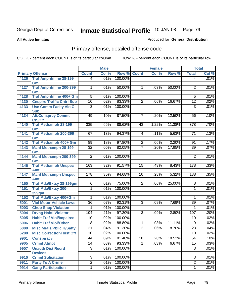**All Active Inmates**

#### Produced for **General Distribution**

# Primary offense, detailed offense code

|      |                                       |                  | <b>Male</b> |         |                | <b>Female</b> |        |                 | <b>Total</b> |
|------|---------------------------------------|------------------|-------------|---------|----------------|---------------|--------|-----------------|--------------|
|      | <b>Primary Offense</b>                | <b>Count</b>     | Col %       | Row %   | <b>Count</b>   | Col %         | Row %  | <b>Total</b>    | Col %        |
| 4126 | <b>Traf Amphtmine 28-199</b>          | $\vert 4 \vert$  | .01%        | 100.00% |                |               |        | $\overline{4}$  | .01%         |
|      | Gm                                    |                  |             |         |                |               |        |                 |              |
| 4127 | <b>Traf Amphtmine 200-399</b>         | $\mathbf{1}$     | .01%        | 50.00%  | $\mathbf 1$    | .03%          | 50.00% | 2               | .01%         |
| 4128 | Gm<br>Traf Amphtmine 400+ Gm          | $\overline{5}$   | .01%        | 100.00% |                |               |        | 5               | .01%         |
| 4130 | <b>Cnspire Traffic Cntrl Sub</b>      | 10               | .02%        | 83.33%  | $\overline{2}$ | .06%          | 16.67% | $\overline{12}$ | .02%         |
| 4133 | <b>Use Comm Facity Vio C</b>          | $\overline{3}$   | .01%        | 100.00% |                |               |        | $\overline{3}$  | .01%         |
|      | <b>Sub</b>                            |                  |             |         |                |               |        |                 |              |
| 4134 | <b>Att/Consprcy Commt</b>             | 49               | .10%        | 87.50%  | 7              | .20%          | 12.50% | 56              | .10%         |
|      | C/S/Of                                |                  |             |         |                |               |        |                 |              |
| 4140 | <b>Traf Methamph 28-199</b>           | 335              | .66%        | 88.62%  | 43             | 1.22%         | 11.38% | 378             | .70%         |
|      | Gm                                    |                  |             |         |                |               |        |                 |              |
| 4141 | <b>Traf Methamph 200-399</b>          | 67               | .13%        | 94.37%  | 4              | .11%          | 5.63%  | 71              | .13%         |
| 4142 | Gm<br>Traf Methamph 400+ Gm           | 89               | .18%        | 97.80%  | $\overline{2}$ | .06%          | 2.20%  | 91              | .17%         |
| 4143 | <b>Manf Methamph 28-199</b>           | $\overline{32}$  | .06%        | 82.05%  | $\overline{7}$ | .20%          | 17.95% | $\overline{39}$ | .07%         |
|      | Gm                                    |                  |             |         |                |               |        |                 |              |
| 4144 | Manf Methamph 200-399                 | $\overline{2}$   | .01%        | 100.00% |                |               |        | $\overline{2}$  | .01%         |
|      | Gm                                    |                  |             |         |                |               |        |                 |              |
| 4146 | <b>Traf Methamph Unspec</b>           | 163              | .32%        | 91.57%  | 15             | .43%          | 8.43%  | 178             | .33%         |
|      | Amt                                   |                  |             |         |                |               |        |                 |              |
| 4147 | <b>Manf Methamph Unspec</b>           | $\overline{178}$ | .35%        | 94.68%  | 10             | .28%          | 5.32%  | 188             | .35%         |
| 4150 | Amt<br><b>Traf Mda/Extsy 28-199gm</b> | 6                | .01%        | 75.00%  | $\overline{2}$ | .06%          | 25.00% | 8               | .01%         |
| 4151 | <b>Traf Mda/Extsy 200-</b>            | 1                | .01%        | 100.00% |                |               |        | 1               | .01%         |
|      | <b>399gm</b>                          |                  |             |         |                |               |        |                 |              |
| 4152 | Traf Mda/Extsy 400+Gm                 | 1                | .01%        | 100.00% |                |               |        | 1               | .01%         |
| 5001 | <b>Viol Motor Vehicle Laws</b>        | $\overline{36}$  | .07%        | 92.31%  | $\overline{3}$ | .09%          | 7.69%  | 39              | .07%         |
| 5003 | <b>Chop Shop Violation</b>            | 1                | .01%        | 100.00% |                |               |        | 1               | .01%         |
| 5004 | <b>Drvng Habtl Violator</b>           | 104              | .21%        | 97.20%  | $\overline{3}$ | .09%          | 2.80%  | 107             | .20%         |
| 5005 | <b>Habit Traf Viol/Impaired</b>       | 10               | .02%        | 100.00% |                |               |        | 10              | .02%         |
| 5006 | <b>Habit Traf Viol/Other</b>          | 8                | .02%        | 88.89%  | 1              | .03%          | 11.11% | 9               | .02%         |
| 6000 | <b>Misc Mrals/Pblic H/Safty</b>       | $\overline{21}$  | .04%        | 91.30%  | $\overline{2}$ | .06%          | 8.70%  | $\overline{23}$ | .04%         |
| 6200 | <b>Misc CorrectionI Inst Off</b>      | 10               | .02%        | 100.00% |                |               |        | 10              | .02%         |
| 9901 | <b>Conspiracy</b>                     | 44               | .09%        | 81.48%  | 10             | .28%          | 18.52% | 54              | .10%         |
| 9905 | <b>Crmnl Atmpt</b>                    | 14               | .03%        | 93.33%  | 1.             | .03%          | 6.67%  | 15              | .03%         |
| 9907 | <b>Unauth Dist Recrd</b>              | $\overline{3}$   | .01%        | 100.00% |                |               |        | $\overline{3}$  | .01%         |
|      | <b>Devices</b>                        |                  |             |         |                |               |        |                 |              |
| 9910 | <b>Crmnl Solicitation</b>             | $\overline{3}$   | .01%        | 100.00% |                |               |        | 3               | .01%         |
| 9911 | <b>Party To A Crime</b>               | $\overline{2}$   | .01%        | 100.00% |                |               |        | $\overline{2}$  | .01%         |
| 9914 | <b>Gang Participation</b>             | $\overline{1}$   | .01%        | 100.00% |                |               |        | $\overline{1}$  | .01%         |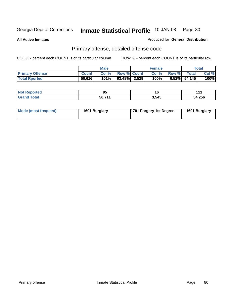**All Active Inmates**

Produced for **General Distribution**

# Primary offense, detailed offense code

|                        |              | <b>Male</b> |                    | <b>Female</b> |                 | Total |
|------------------------|--------------|-------------|--------------------|---------------|-----------------|-------|
| <b>Primary Offense</b> | <b>Count</b> | Col%        | <b>Row % Count</b> | Col%          | Row % Total     | Col % |
| <b>Total Rported</b>   | 50,616       | 101%        | $93.48\%$ 3,529    | 100%          | $6.52\%$ 54,145 | 100%  |

| <b>NOT</b><br>oortea | . .<br>-- | 1 V   | . .    |
|----------------------|-----------|-------|--------|
| <b>otal</b>          | 50 711    | 3,545 | 54,256 |

| Mode (most frequent) | 1601 Burglary | 1701 Forgery 1st Degree | 1601 Burglary |
|----------------------|---------------|-------------------------|---------------|
|----------------------|---------------|-------------------------|---------------|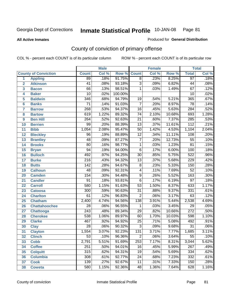#### **All Active Inmates**

#### Produced for **General Distribution**

# County of conviction of primary offense

|                         |                             |                  | <b>Male</b> |         |                 | <b>Female</b> |        |                  | <b>Total</b> |
|-------------------------|-----------------------------|------------------|-------------|---------|-----------------|---------------|--------|------------------|--------------|
|                         | <b>County of Conviction</b> | <b>Count</b>     | Col %       | Row %   | <b>Count</b>    | Col %         | Row %  | <b>Total</b>     | Col %        |
| 1                       | <b>Appling</b>              | 89               | .18%        | 91.75%  | $\overline{8}$  | .23%          | 8.25%  | 97               | .18%         |
| $\overline{2}$          | <b>Atkinson</b>             | $\overline{41}$  | .08%        | 93.18%  | $\overline{3}$  | .09%          | 6.82%  | 44               | .08%         |
| $\overline{\mathbf{3}}$ | <b>Bacon</b>                | 66               | .13%        | 98.51%  | 1               | .03%          | 1.49%  | $\overline{67}$  | .12%         |
| 4                       | <b>Baker</b>                | $\overline{10}$  | .02%        | 100.00% |                 |               |        | 10               | .02%         |
| 5                       | <b>Baldwin</b>              | $\overline{346}$ | .68%        | 94.79%  | 19              | .54%          | 5.21%  | 365              | .67%         |
| 6                       | <b>Banks</b>                | $\overline{71}$  | .14%        | 91.03%  | $\overline{7}$  | .20%          | 8.97%  | $\overline{78}$  | .14%         |
| 7                       | <b>Barrow</b>               | 268              | .53%        | 94.37%  | 16              | .45%          | 5.63%  | 284              | .52%         |
| 8                       | <b>Bartow</b>               | 619              | 1.22%       | 89.32%  | 74              | 2.10%         | 10.68% | 693              | 1.28%        |
| 9                       | <b>Ben Hill</b>             | 264              | .52%        | 92.63%  | $\overline{21}$ | .60%          | 7.37%  | 285              | .53%         |
| 10                      | <b>Berrien</b>              | 99               | .20%        | 88.39%  | $\overline{13}$ | .37%          | 11.61% | $\overline{112}$ | .21%         |
| 11                      | <b>Bibb</b>                 | 1,054            | 2.08%       | 95.47%  | $\overline{50}$ | 1.42%         | 4.53%  | 1,104            | 2.04%        |
| 12                      | <b>Bleckley</b>             | $\overline{96}$  | .19%        | 88.89%  | $\overline{12}$ | .34%          | 11.11% | 108              | .20%         |
| $\overline{13}$         | <b>Brantley</b>             | $\overline{48}$  | .09%        | 87.27%  | $\overline{7}$  | .20%          | 12.73% | $\overline{55}$  | .10%         |
| 14                      | <b>Brooks</b>               | $\overline{80}$  | .16%        | 98.77%  | $\overline{1}$  | .03%          | 1.23%  | $\overline{81}$  | .15%         |
| 15                      | <b>Bryan</b>                | 94               | .19%        | 94.00%  | $\overline{6}$  | .17%          | 6.00%  | 100              | .18%         |
| 16                      | <b>Bulloch</b>              | 492              | .97%        | 94.25%  | $\overline{30}$ | .85%          | 5.75%  | 522              | .96%         |
| 17                      | <b>Burke</b>                | $\overline{216}$ | .43%        | 94.32%  | $\overline{13}$ | .37%          | 5.68%  | $\overline{229}$ | .42%         |
| 18                      | <b>Butts</b>                | 142              | .28%        | 94.67%  | $\overline{8}$  | .23%          | 5.33%  | 150              | .28%         |
| 19                      | <b>Calhoun</b>              | 48               | .09%        | 92.31%  | 4               | .11%          | 7.69%  | $\overline{52}$  | .10%         |
| 20                      | <b>Camden</b>               | 154              | .30%        | 94.48%  | $\overline{9}$  | .26%          | 5.52%  | 163              | .30%         |
| 21                      | <b>Candler</b>              | $\overline{91}$  | .18%        | 93.81%  | $\overline{6}$  | .17%          | 6.19%  | $\overline{97}$  | .18%         |
| 22                      | <b>Carroll</b>              | 580              | 1.15%       | 91.63%  | $\overline{53}$ | 1.50%         | 8.37%  | 633              | 1.17%        |
| 23                      | <b>Catoosa</b>              | 300              | .59%        | 90.63%  | $\overline{31}$ | .88%          | 9.37%  | 331              | .61%         |
| 24                      | <b>Charlton</b>             | 61               | .12%        | 96.83%  | $\overline{2}$  | .06%          | 3.17%  | 63               | .12%         |
| 25                      | <b>Chatham</b>              | 2,400            | 4.74%       | 94.56%  | 138             | 3.91%         | 5.44%  | 2,538            | 4.69%        |
| 26                      | <b>Chattahoochee</b>        | $\overline{28}$  | .06%        | 96.55%  | $\mathbf 1$     | .03%          | 3.45%  | $\overline{29}$  | .05%         |
| 27                      | <b>Chattooga</b>            | $\overline{243}$ | .48%        | 89.34%  | $\overline{29}$ | .82%          | 10.66% | $\overline{272}$ | .50%         |
| 28                      | <b>Cherokee</b>             | 538              | 1.06%       | 89.97%  | 60              | 1.70%         | 10.03% | 598              | 1.10%        |
| 29                      | <b>Clarke</b>               | 467              | .92%        | 94.92%  | $\overline{25}$ | .71%          | 5.08%  | 492              | .91%         |
| 30                      | <b>Clay</b>                 | $\overline{28}$  | .06%        | 90.32%  | $\overline{3}$  | .09%          | 9.68%  | $\overline{31}$  | .06%         |
| 31                      | <b>Clayton</b>              | 1,554            | 3.07%       | 92.23%  | 131             | 3.71%         | 7.77%  | 1,685            | 3.11%        |
| 32                      | <b>Clinch</b>               | 53               | .10%        | 96.36%  | 2               | .06%          | 3.64%  | 55               | .10%         |
| 33                      | <b>Cobb</b>                 | 2,791            | 5.51%       | 91.69%  | 253             | 7.17%         | 8.31%  | 3,044            | 5.62%        |
| 34                      | <b>Coffee</b>               | 251              | .50%        | 94.01%  | 16              | .45%          | 5.99%  | 267              | .49%         |
| 35                      | <b>Colquitt</b>             | 315              | .62%        | 94.31%  | 19              | .54%          | 5.69%  | 334              | .62%         |
| 36                      | <b>Columbia</b>             | 308              | .61%        | 92.77%  | 24              | .68%          | 7.23%  | 332              | .61%         |
| 37                      | <b>Cook</b>                 | 139              | .27%        | 92.67%  | 11              | .31%          | 7.33%  | 150              | .28%         |
| 38                      | <b>Coweta</b>               | 580              | 1.15%       | 92.36%  | 48              | 1.36%         | 7.64%  | 628              | 1.16%        |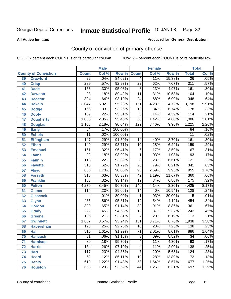**All Active Inmates**

#### Produced for **General Distribution**

# County of conviction of primary offense

|    |                             |                  | <b>Male</b> |         | <b>Female</b>   |       |        | <b>Total</b>     |         |
|----|-----------------------------|------------------|-------------|---------|-----------------|-------|--------|------------------|---------|
|    | <b>County of Conviction</b> | <b>Count</b>     | Col %       | Row %   | <b>Count</b>    | Col % | Row %  | <b>Total</b>     | Col %   |
| 39 | <b>Crawford</b>             | $\overline{22}$  | .04%        | 84.62%  | $\overline{4}$  | .11%  | 15.38% | $\overline{26}$  | .05%    |
| 40 | <b>Crisp</b>                | 289              | .57%        | 92.93%  | $\overline{22}$ | .62%  | 7.07%  | 311              | .57%    |
| 41 | <b>Dade</b>                 | 153              | .30%        | 95.03%  | 8               | .23%  | 4.97%  | 161              | .30%    |
| 42 | <b>Dawson</b>               | $\overline{93}$  | .18%        | 89.42%  | $\overline{11}$ | .31%  | 10.58% | 104              | .19%    |
| 43 | <b>Decatur</b>              | 324              | .64%        | 93.10%  | $\overline{24}$ | .68%  | 6.90%  | 348              | .64%    |
| 44 | <b>Dekalb</b>               | 3,047            | 6.02%       | 95.28%  | 151             | 4.28% | 4.72%  | 3,198            | 5.91%   |
| 45 | <b>Dodge</b>                | 166              | .33%        | 93.26%  | $\overline{12}$ | .34%  | 6.74%  | 178              | .33%    |
| 46 | <b>Dooly</b>                | 109              | .22%        | 95.61%  | 5               | .14%  | 4.39%  | 114              | .21%    |
| 47 | <b>Dougherty</b>            | 1,036            | 2.05%       | 95.40%  | $\overline{50}$ | 1.42% | 4.60%  | 1,086            | 2.01%   |
| 48 | <b>Douglas</b>              | 1,103            | 2.18%       | 90.04%  | 122             | 3.46% | 9.96%  | 1,225            | 2.26%   |
| 49 | <b>Early</b>                | 84               | .17%        | 100.00% |                 |       |        | $\overline{84}$  | .16%    |
| 50 | <b>Echols</b>               | $\overline{11}$  | .02%        | 100.00% |                 |       |        | $\overline{11}$  | .02%    |
| 51 | <b>Effingham</b>            | $\overline{147}$ | .29%        | 91.30%  | 14              | .40%  | 8.70%  | 161              | .30%    |
| 52 | <b>Elbert</b>               | $\overline{149}$ | .29%        | 93.71%  | 10              | .28%  | 6.29%  | 159              | .29%    |
| 53 | <b>Emanuel</b>              | 161              | .32%        | 96.41%  | $\overline{6}$  | .17%  | 3.59%  | 167              | .31%    |
| 54 | <b>Evans</b>                | $\overline{92}$  | .18%        | 98.92%  | $\mathbf{1}$    | .03%  | 1.08%  | 93               | .17%    |
| 55 | <b>Fannin</b>               | 113              | .22%        | 93.39%  | $\overline{8}$  | .23%  | 6.61%  | $\overline{121}$ | .22%    |
| 56 | <b>Fayette</b>              | $\overline{313}$ | .62%        | 91.79%  | $\overline{28}$ | .79%  | 8.21%  | 341              | .63%    |
| 57 | <b>Floyd</b>                | 860              | 1.70%       | 90.05%  | 95              | 2.69% | 9.95%  | 955              | 1.76%   |
| 58 | <b>Forsyth</b>              | $\overline{318}$ | .63%        | 88.33%  | $\overline{42}$ | 1.19% | 11.67% | 360              | .66%    |
| 59 | <b>Franklin</b>             | 163              | .32%        | 93.14%  | $\overline{12}$ | .34%  | 6.86%  | $\overline{175}$ | .32%    |
| 60 | <b>Fulton</b>               | 4,279            | 8.45%       | 96.70%  | 146             | 4.14% | 3.30%  | 4,425            | 8.17%   |
| 61 | Gilmer                      | 114              | .23%        | 89.06%  | 14              | .40%  | 10.94% | 128              | .24%    |
| 62 | <b>Glascock</b>             | 4                | .01%        | 80.00%  | 1               | .03%  | 20.00% | 5                | .01%    |
| 63 | <b>Glynn</b>                | 435              | .86%        | 95.81%  | $\overline{19}$ | .54%  | 4.19%  | 454              | .84%    |
| 64 | <b>Gordon</b>               | 329              | .65%        | 91.14%  | $\overline{32}$ | .91%  | 8.86%  | 361              | .67%    |
| 65 | <b>Grady</b>                | 229              | .45%        | 94.63%  | $\overline{13}$ | .37%  | 5.37%  | $\overline{242}$ | .45%    |
| 66 | <b>Greene</b>               | 106              | .21%        | 93.81%  | 7               | .20%  | 6.19%  | 113              | .21%    |
| 67 | <b>Gwinnett</b>             | 1,807            | 3.57%       | 93.24%  | 131             | 3.71% | 6.76%  | 1,938            | 3.58%   |
| 68 | <b>Habersham</b>            | 128              | .25%        | 92.75%  | 10              | .28%  | 7.25%  | 138              | .25%    |
| 69 | <b>Hall</b>                 | 815              | 1.61%       | 91.99%  | $\overline{71}$ | 2.01% | 8.01%  | 886              | 1.64%   |
| 70 | <b>Hancock</b>              | 31               | .06%        | 91.18%  | 3               | .09%  | 8.82%  | 34               | $.06\%$ |
| 71 | <b>Haralson</b>             | 89               | .18%        | 95.70%  | $\overline{4}$  | .11%  | 4.30%  | $\overline{93}$  | .17%    |
| 72 | <b>Harris</b>               | $\overline{134}$ | .26%        | 97.10%  | 4               | .11%  | 2.90%  | 138              | .25%    |
| 73 | <b>Hart</b>                 | 117              | .23%        | 94.35%  | $\overline{7}$  | .20%  | 5.65%  | 124              | .23%    |
| 74 | <b>Heard</b>                | 62               | .12%        | 86.11%  | 10              | .28%  | 13.89% | 72               | .13%    |
| 75 | <b>Henry</b>                | 619              | 1.22%       | 91.43%  | 58              | 1.64% | 8.57%  | 677              | 1.25%   |
| 76 | <b>Houston</b>              | 653              | 1.29%       | 93.69%  | 44              | 1.25% | 6.31%  | 697              | 1.29%   |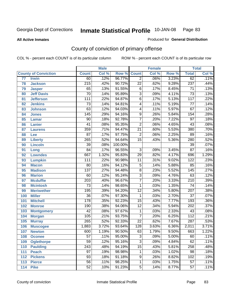Produced for **General Distribution**

#### **All Active Inmates**

# County of conviction of primary offense

|                 |                             |                  | <b>Male</b> |         |                 | <b>Female</b> |          |                  | <b>Total</b> |
|-----------------|-----------------------------|------------------|-------------|---------|-----------------|---------------|----------|------------------|--------------|
|                 | <b>County of Conviction</b> | <b>Count</b>     | Col %       | Row %   | <b>Count</b>    | Col %         | Row %    | <b>Total</b>     | Col %        |
| $\overline{77}$ | <b>Irwin</b>                | 60               | .12%        | 96.77%  | $\overline{2}$  | .06%          | 3.23%    | 62               | .11%         |
| 78              | <b>Jackson</b>              | $\overline{215}$ | .42%        | 90.72%  | $\overline{22}$ | .62%          | 9.28%    | 237              | .44%         |
| 79              | <b>Jasper</b>               | 65               | .13%        | 91.55%  | $\,6$           | .17%          | 8.45%    | $\overline{71}$  | .13%         |
| 80              | <b>Jeff Davis</b>           | $\overline{70}$  | .14%        | 95.89%  | $\overline{3}$  | .09%          | 4.11%    | $\overline{73}$  | .13%         |
| 81              | <b>Jefferson</b>            | 111              | .22%        | 94.87%  | $\overline{6}$  | .17%          | 5.13%    | $\overline{117}$ | .22%         |
| 82              | <b>Jenkins</b>              | $\overline{73}$  | .14%        | 94.81%  | $\overline{4}$  | .11%          | 5.19%    | $\overline{77}$  | .14%         |
| 83              | <b>Johnson</b>              | 63               | .12%        | 94.03%  | 4               | .11%          | 5.97%    | 67               | .12%         |
| 84              | <b>Jones</b>                | 145              | .29%        | 94.16%  | $\overline{9}$  | .26%          | 5.84%    | 154              | .28%         |
| 85              | <b>Lamar</b>                | $\overline{90}$  | .18%        | 92.78%  | $\overline{7}$  | .20%          | 7.22%    | $\overline{97}$  | .18%         |
| 86              | <b>Lanier</b>               | $\overline{41}$  | .08%        | 95.35%  | $\overline{2}$  | .06%          | 4.65%    | 43               | .08%         |
| 87              | <b>Laurens</b>              | 359              | .71%        | 94.47%  | $\overline{21}$ | .60%          | 5.53%    | 380              | .70%         |
| 88              | Lee                         | $\overline{87}$  | .17%        | 97.75%  | $\overline{2}$  | .06%          | 2.25%    | 89               | .16%         |
| 89              | <b>Liberty</b>              | 265              | .52%        | 94.64%  | $\overline{15}$ | .43%          | 5.36%    | 280              | .52%         |
| 90              | <b>Lincoln</b>              | $\overline{39}$  | .08%        | 100.00% |                 |               |          | $\overline{39}$  | .07%         |
| 91              | Long                        | $\overline{84}$  | .17%        | 96.55%  | $\overline{3}$  | .09%          | 3.45%    | $\overline{87}$  | .16%         |
| 92              | <b>Lowndes</b>              | 667              | 1.32%       | 95.83%  | 29              | .82%          | 4.17%    | 696              | 1.29%        |
| 93              | <b>Lumpkin</b>              | 111              | .22%        | 90.98%  | $\overline{11}$ | .31%          | 9.02%    | $\overline{122}$ | .23%         |
| 94              | <b>Macon</b>                | $\overline{80}$  | .16%        | 94.12%  | $\overline{5}$  | .14%          | 5.88%    | 85               | .16%         |
| 95              | <b>Madison</b>              | 137              | .27%        | 94.48%  | $\overline{8}$  | .23%          | 5.52%    | $\overline{145}$ | .27%         |
| 96              | <b>Marion</b>               | 60               | .12%        | 95.24%  | $\overline{3}$  | .09%          | 4.76%    | 63               | .12%         |
| 97              | <b>Mcduffie</b>             | $\overline{203}$ | .40%        | 96.67%  | $\overline{7}$  | .20%          | 3.33%    | $\overline{210}$ | .39%         |
| 98              | <b>Mcintosh</b>             | $\overline{73}$  | .14%        | 98.65%  | $\mathbf{1}$    | .03%          | 1.35%    | $\overline{74}$  | .14%         |
| 99              | <b>Meriwether</b>           | 195              | .39%        | 94.20%  | $\overline{12}$ | .34%          | 5.80%    | 207              | .38%         |
| 100             | <b>Miller</b>               | $\overline{36}$  | .07%        | 97.30%  | 1               | .03%          | 2.70%    | $\overline{37}$  | .07%         |
| 101             | <b>Mitchell</b>             | 178              | .35%        | 92.23%  | $\overline{15}$ | .43%          | 7.77%    | 193              | .36%         |
| 102             | <b>Monroe</b>               | 190              | .38%        | 94.06%  | $\overline{12}$ | .34%          | 5.94%    | 202              | .37%         |
| 103             | <b>Montgomery</b>           | 42               | .08%        | 97.67%  | $\mathbf 1$     | .03%          | 2.33%    | 43               | .08%         |
| 104             | <b>Morgan</b>               | 105              | .21%        | 93.75%  | 7               | .20%          | 6.25%    | $\overline{112}$ | .21%         |
| 105             | <b>Murray</b>               | 265              | .52%        | 92.33%  | $\overline{22}$ | .62%          | 7.67%    | 287              | .53%         |
| 106             | <b>Muscogee</b>             | 1,883            | 3.72%       | 93.64%  | 128             | 3.63%         | 6.36%    | 2,011            | 3.71%        |
| 107             | <b>Newton</b>               | 600              | 1.19%       | 90.50%  | 63              | 1.79%         | 9.50%    | 663              | 1.22%        |
| 108             | <b>Oconee</b>               | 57               | .11%        | 95.00%  | 3               | .09%          | $5.00\%$ | 60               | .11%         |
| 109             | <b>Oglethorpe</b>           | $\overline{59}$  | .12%        | 95.16%  | $\overline{3}$  | .09%          | 4.84%    | 62               | .11%         |
| 110             | <b>Paulding</b>             | $\overline{243}$ | .48%        | 94.19%  | $\overline{15}$ | .43%          | 5.81%    | 258              | .48%         |
| 111             | <b>Peach</b>                | $\overline{97}$  | .19%        | 98.98%  | 1               | .03%          | 1.02%    | 98               | .18%         |
| 112             | <b>Pickens</b>              | 93               | .18%        | 91.18%  | 9               | .26%          | 8.82%    | 102              | .19%         |
| 113             | <b>Pierce</b>               | $\overline{56}$  | .11%        | 98.25%  | $\mathbf{1}$    | .03%          | 1.75%    | $\overline{57}$  | .11%         |
| 114             | <b>Pike</b>                 | 52               | .10%        | 91.23%  | $\overline{5}$  | .14%          | 8.77%    | $\overline{57}$  | .11%         |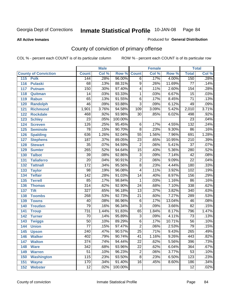Produced for **General Distribution**

#### **All Active Inmates**

# County of conviction of primary offense

|                             |                  | <b>Male</b> |         |                 | <b>Female</b> |        |                  | <b>Total</b> |
|-----------------------------|------------------|-------------|---------|-----------------|---------------|--------|------------------|--------------|
| <b>County of Conviction</b> | <b>Count</b>     | Col %       | Row %   | <b>Count</b>    | Col %         | Row %  | <b>Total</b>     | Col %        |
| 115<br><b>Polk</b>          | 144              | .28%        | 96.00%  | $\overline{6}$  | .17%          | 4.00%  | 150              | .28%         |
| 116<br><b>Pulaski</b>       | 68               | .13%        | 88.31%  | $\overline{9}$  | .26%          | 11.69% | 77               | .14%         |
| 117<br><b>Putnam</b>        | 150              | .30%        | 97.40%  | 4               | .11%          | 2.60%  | 154              | .28%         |
| 118<br>Quitman              | 14               | .03%        | 93.33%  | 1               | .03%          | 6.67%  | $\overline{15}$  | .03%         |
| 119<br><b>Rabun</b>         | 65               | .13%        | 91.55%  | $\overline{6}$  | .17%          | 8.45%  | $\overline{71}$  | .13%         |
| <b>Randolph</b><br>120      | 46               | .09%        | 93.88%  | $\overline{3}$  | .09%          | 6.12%  | 49               | .09%         |
| <b>Richmond</b><br>121      | 1,901            | 3.76%       | 94.58%  | 109             | 3.09%         | 5.42%  | 2,010            | 3.71%        |
| 122<br><b>Rockdale</b>      | 468              | .92%        | 93.98%  | $\overline{30}$ | .85%          | 6.02%  | 498              | .92%         |
| 123<br><b>Schley</b>        | $\overline{23}$  | .05%        | 100.00% |                 |               |        | $\overline{23}$  | .04%         |
| 124<br><b>Screven</b>       | 126              | .25%        | 95.45%  | 6               | .17%          | 4.55%  | 132              | .24%         |
| <b>Seminole</b><br>125      | $\overline{78}$  | .15%        | 90.70%  | 8               | .23%          | 9.30%  | $\overline{86}$  | .16%         |
| 126<br><b>Spalding</b>      | 636              | 1.26%       | 92.04%  | 55              | 1.56%         | 7.96%  | 691              | 1.28%        |
| 127<br><b>Stephens</b>      | 187              | .37%        | 89.05%  | $\overline{23}$ | .65%          | 10.95% | $\overline{210}$ | .39%         |
| 128<br><b>Stewart</b>       | $\overline{35}$  | .07%        | 94.59%  | $\overline{2}$  | .06%          | 5.41%  | $\overline{37}$  | .07%         |
| 129<br><b>Sumter</b>        | 265              | .52%        | 94.64%  | $\overline{15}$ | .43%          | 5.36%  | 280              | .52%         |
| 130<br><b>Talbot</b>        | $\overline{39}$  | .08%        | 92.86%  | $\overline{3}$  | .09%          | 7.14%  | 42               | .08%         |
| 131<br><b>Taliaferro</b>    | $\overline{20}$  | .04%        | 90.91%  | $\overline{2}$  | .06%          | 9.09%  | $\overline{22}$  | .04%         |
| 132<br><b>Tattnall</b>      | 172              | .34%        | 95.56%  | $\overline{8}$  | .23%          | 4.44%  | 180              | .33%         |
| 133<br><b>Taylor</b>        | $\overline{98}$  | .19%        | 96.08%  | $\overline{4}$  | .11%          | 3.92%  | 102              | .19%         |
| <b>Telfair</b><br>134       | $\overline{142}$ | .28%        | 91.03%  | 14              | .40%          | 8.97%  | 156              | .29%         |
| 135<br><b>Terrell</b>       | 85               | .17%        | 98.84%  | $\mathbf{1}$    | .03%          | 1.16%  | $\overline{86}$  | .16%         |
| 136<br><b>Thomas</b>        | $\overline{314}$ | .62%        | 92.90%  | $\overline{24}$ | .68%          | 7.10%  | 338              | .62%         |
| <b>Tift</b><br>137          | $\overline{327}$ | .65%        | 96.18%  | $\overline{13}$ | .37%          | 3.82%  | 340              | .63%         |
| <b>Toombs</b><br>138        | 268              | .53%        | 92.73%  | $\overline{21}$ | .60%          | 7.27%  | 289              | .53%         |
| 139<br><b>Towns</b>         | $\overline{40}$  | .08%        | 86.96%  | 6               | .17%          | 13.04% | 46               | .08%         |
| <b>Treutlen</b><br>140      | $\overline{79}$  | .16%        | 96.34%  | $\overline{3}$  | .09%          | 3.66%  | $\overline{82}$  | .15%         |
| 141<br><b>Troup</b>         | 731              | 1.44%       | 91.83%  | 65              | 1.84%         | 8.17%  | 796              | 1.47%        |
| 142<br><b>Turner</b>        | $\overline{70}$  | .14%        | 95.89%  | $\overline{3}$  | .09%          | 4.11%  | 73               | .13%         |
| 143<br><b>Twiggs</b>        | $\overline{50}$  | .10%        | 89.29%  | $\overline{6}$  | .17%          | 10.71% | $\overline{56}$  | .10%         |
| <b>Union</b><br>144         | $\overline{77}$  | .15%        | 97.47%  | $\overline{2}$  | .06%          | 2.53%  | 79               | .15%         |
| 145<br><b>Upson</b>         | $\overline{240}$ | .47%        | 90.57%  | $\overline{25}$ | .71%          | 9.43%  | $\overline{265}$ | .49%         |
| 146<br><b>Walker</b>        | 402              | .79%        | 90.74%  | 41              | 1.16%         | 9.26%  | 443              | .82%         |
| 147<br><b>Walton</b>        | $\overline{374}$ | .74%        | 94.44%  | $\overline{22}$ | .62%          | 5.56%  | 396              | .73%         |
| 148<br><b>Ware</b>          | $\overline{342}$ | .68%        | 93.96%  | $\overline{22}$ | .62%          | 6.04%  | 364              | .67%         |
| <b>Warren</b><br>149        | $\overline{51}$  | .10%        | 96.23%  | $\overline{2}$  | .06%          | 3.77%  | $\overline{53}$  | .10%         |
| <b>Washington</b><br>150    | 115              | .23%        | 93.50%  | 8               | .23%          | 6.50%  | 123              | .23%         |
| 151<br><b>Wayne</b>         | 170              | .34%        | 91.40%  | 16              | .45%          | 8.60%  | 186              | .34%         |
| <b>Webster</b><br>152       | 12               | .02%        | 100.00% |                 |               |        | 12               | .02%         |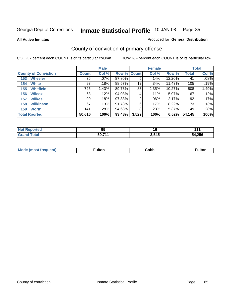**All Active Inmates**

### Produced for **General Distribution**

# County of conviction of primary offense

|                             |              | <b>Male</b> |             |       | <b>Female</b> |        |              | <b>Total</b> |
|-----------------------------|--------------|-------------|-------------|-------|---------------|--------|--------------|--------------|
| <b>County of Conviction</b> | <b>Count</b> | Col %       | Row % Count |       | Col %         | Row %  | <b>Total</b> | Col %        |
| <b>Wheeler</b><br>153       | 36           | $.07\%$     | 87.80%      | 5     | .14%          | 12.20% | 41           | .08%         |
| <b>White</b><br>154         | 93           | .18%        | 88.57%      | 12    | .34%          | 11.43% | 105          | .19%         |
| <b>Whitfield</b><br>155     | 725          | 1.43%       | 89.73%      | 83    | 2.35%         | 10.27% | 808          | 1.49%        |
| <b>Wilcox</b><br>156        | 63           | .12%        | 94.03%      | 4     | .11%          | 5.97%  | 67           | .12%         |
| <b>Wilkes</b><br>157        | 90           | .18%        | 97.83%      | 2     | $.06\%$       | 2.17%  | 92           | .17%         |
| <b>Wilkinson</b><br>158     | 67           | .13%        | 91.78%      | 6     | .17%          | 8.22%  | 73           | $.13\%$      |
| <b>Worth</b><br>159         | 141          | .28%        | $94.63\%$   | 8     | .23%          | 5.37%  | 149          | .28%         |
| <b>Total Rported</b>        | 50,616       | 100%        | 93.48%      | 3,529 | 100%          | 6.52%  | 54,145       | 100%         |

| <b>eported</b><br>NO | ΩF<br>◡ | 16    |        |
|----------------------|---------|-------|--------|
| <b>otal</b>          | 50,711  | 3,545 | 54,256 |

| Mc | ™ulton | Cobb |  |
|----|--------|------|--|
|    |        |      |  |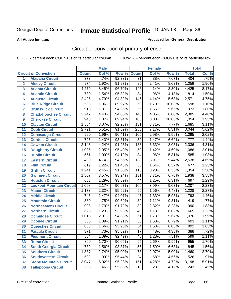**All Active Inmates**

Produced for **General Distribution**

# Circuit of conviction of primary offense

|                         |                                 |                  | <b>Male</b> |        |                 | <b>Female</b> |        |                  | <b>Total</b> |
|-------------------------|---------------------------------|------------------|-------------|--------|-----------------|---------------|--------|------------------|--------------|
|                         | <b>Circuit of Conviction</b>    | <b>Count</b>     | Col %       | Row %  | <b>Count</b>    | Col %         | Row %  | <b>Total</b>     | Col %        |
| 1                       | <b>Alapaha Circuit</b>          | 373              | .74%        | 92.33% | $\overline{31}$ | .88%          | 7.67%  | 404              | .75%         |
| $\overline{2}$          | <b>Alcovy Circuit</b>           | 974              | 1.92%       | 91.97% | 85              | 2.41%         | 8.03%  | 1,059            | 1.96%        |
| $\overline{\mathbf{3}}$ | <b>Atlanta Circuit</b>          | 4,279            | 8.45%       | 96.70% | 146             | 4.14%         | 3.30%  | 4,425            | 8.17%        |
| 4                       | <b>Atlantic Circuit</b>         | 780              | 1.54%       | 95.82% | 34              | .96%          | 4.18%  | 814              | 1.50%        |
| 5                       | <b>Augusta Circuit</b>          | 2,425            | 4.79%       | 94.32% | 146             | 4.14%         | 5.68%  | 2,571            | 4.75%        |
| 6                       | <b>Blue Ridge Circuit</b>       | 538              | 1.06%       | 89.97% | 60              | 1.70%         | 10.03% | 598              | 1.10%        |
| 7                       | <b>Brunswick Circuit</b>        | $\overline{918}$ | 1.81%       | 94.35% | $\overline{55}$ | 1.56%         | 5.65%  | 973              | 1.80%        |
| 8                       | <b>Chattahoochee Circuit</b>    | 2,242            | 4.43%       | 94.00% | 143             | 4.05%         | 6.00%  | 2,385            | 4.40%        |
| 9                       | <b>Cherokee Circuit</b>         | 948              | 1.87%       | 89.94% | 106             | 3.00%         | 10.06% | 1,054            | 1.95%        |
| 10                      | <b>Clayton Circuit</b>          | 1,554            | 3.07%       | 92.23% | 131             | 3.71%         | 7.77%  | 1,685            | 3.11%        |
| 11                      | <b>Cobb Circuit</b>             | 2,791            | 5.51%       | 91.69% | 253             | 7.17%         | 8.31%  | 3,044            | 5.62%        |
| 12                      | <b>Conasauga Circuit</b>        | 990              | 1.96%       | 90.41% | 105             | 2.98%         | 9.59%  | 1,095            | 2.02%        |
| 13                      | <b>Cordele Circuit</b>          | $\overline{725}$ | 1.43%       | 93.31% | $\overline{52}$ | 1.47%         | 6.69%  | $\overline{777}$ | 1.44%        |
| 14                      | <b>Coweta Circuit</b>           | 2,148            | 4.24%       | 91.95% | 188             | 5.33%         | 8.05%  | 2,336            | 4.31%        |
| 15                      | <b>Dougherty Circuit</b>        | 1,036            | 2.05%       | 95.40% | 50              | 1.42%         | 4.60%  | 1,086            | 2.01%        |
| 16                      | <b>Dublin Circuit</b>           | 551              | 1.09%       | 94.19% | 34              | .96%          | 5.81%  | 585              | 1.08%        |
| 17                      | <b>Eastern Circuit</b>          | 2,400            | 4.74%       | 94.56% | 138             | 3.91%         | 5.44%  | 2,538            | 4.69%        |
| 18                      | <b>Flint Circuit</b>            | 619              | 1.22%       | 91.43% | $\overline{58}$ | 1.64%         | 8.57%  | 677              | 1.25%        |
| 19                      | <b>Griffin Circuit</b>          | 1,241            | 2.45%       | 91.65% | 113             | 3.20%         | 8.35%  | 1,354            | 2.50%        |
| 20                      | <b>Gwinnett Circuit</b>         | 1,807            | 3.57%       | 93.24% | 131             | 3.71%         | 6.76%  | 1,938            | 3.58%        |
| 21                      | <b>Houston Circuit</b>          | 653              | 1.29%       | 93.69% | 44              | 1.25%         | 6.31%  | 697              | 1.29%        |
| 22                      | <b>Lookout Mountain Circuit</b> | 1,098            | 2.17%       | 90.97% | 109             | 3.09%         | 9.03%  | 1,207            | 2.23%        |
| 23                      | <b>Macon Circuit</b>            | 1,173            | 2.32%       | 95.52% | $\overline{55}$ | 1.56%         | 4.48%  | 1,228            | 2.27%        |
| 24                      | <b>Middle Circuit</b>           | 746              | 1.47%       | 94.07% | 47              | 1.33%         | 5.93%  | 793              | 1.46%        |
| 25                      | <b>Mountain Circuit</b>         | 380              | .75%        | 90.69% | $\overline{39}$ | 1.11%         | 9.31%  | 419              | .77%         |
| 26                      | <b>Northeastern Circuit</b>     | 908              | 1.79%       | 91.72% | $\overline{82}$ | 2.32%         | 8.28%  | 990              | 1.83%        |
| 27                      | <b>Northern Circuit</b>         | 625              | 1.23%       | 93.98% | 40              | 1.13%         | 6.02%  | 665              | 1.23%        |
| 28                      | <b>Ocmulgee Circuit</b>         | 1,015            | 2.01%       | 94.33% | 61              | 1.73%         | 5.67%  | 1,076            | 1.99%        |
| 29                      | <b>Oconee Circuit</b>           | 550              | 1.09%       | 91.21% | $\overline{53}$ | 1.50%         | 8.79%  | 603              | 1.11%        |
| 30                      | <b>Ogeechee Circuit</b>         | 838              | 1.66%       | 93.95% | $\overline{54}$ | 1.53%         | 6.05%  | 892              | 1.65%        |
| 31                      | <b>Pataula Circuit</b>          | $\overline{371}$ | .73%        | 95.62% | 17              | .48%          | 4.38%  | 388              | .72%         |
| 32                      | <b>Piedmont Circuit</b>         | 554              | 1.09%       | 92.49% | 45              | 1.28%         | 7.51%  | 599              | 1.11%        |
| 33                      | <b>Rome Circuit</b>             | 860              | 1.70%       | 90.05% | 95              | 2.69%         | 9.95%  | 955              | 1.76%        |
| 34                      | <b>South Georgia Circuit</b>    | 789              | 1.56%       | 93.37% | 56              | 1.59%         | 6.63%  | 845              | 1.56%        |
| 35                      | <b>Southern Circuit</b>         | 1,387            | 2.74%       | 95.00% | 73              | 2.07%         | 5.00%  | 1,460            | 2.70%        |
| 36                      | <b>Southwestern Circuit</b>     | 502              | .99%        | 95.44% | 24              | .68%          | 4.56%  | 526              | .97%         |
| 37                      | <b>Stone Mountain Circuit</b>   | 3,047            | 6.02%       | 95.28% | 151             | 4.28%         | 4.72%  | 3,198            | 5.91%        |
| 38                      | <b>Tallapoosa Circuit</b>       | 233              | .46%        | 95.88% | 10              | .28%          | 4.12%  | 243              | .45%         |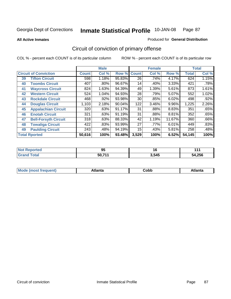**All Active Inmates**

#### Produced for **General Distribution**

# Circuit of conviction of primary offense

|    |                              |              | <b>Male</b> |        |              | <b>Female</b> |          |              | <b>Total</b> |
|----|------------------------------|--------------|-------------|--------|--------------|---------------|----------|--------------|--------------|
|    | <b>Circuit of Conviction</b> | <b>Count</b> | Col %       | Row %  | <b>Count</b> | Col %         | Row %    | <b>Total</b> | Col %        |
| 39 | <b>Tifton Circuit</b>        | 598          | 1.18%       | 95.83% | 26           | .74%          | 4.17%    | 624          | 1.15%        |
| 40 | <b>Toombs Circuit</b>        | 407          | .80%        | 96.67% | 14           | .40%          | 3.33%    | 421          | .78%         |
| 41 | <b>Waycross Circuit</b>      | 824          | 1.63%       | 94.39% | 49           | 1.39%         | 5.61%    | 873          | 1.61%        |
| 42 | <b>Western Circuit</b>       | 524          | 1.04%       | 94.93% | 28           | .79%          | 5.07%    | 552          | 1.02%        |
| 43 | <b>Rockdale Circuit</b>      | 468          | .92%        | 93.98% | 30           | .85%          | 6.02%    | 498          | .92%         |
| 44 | <b>Douglas Circuit</b>       | 1,103        | 2.18%       | 90.04% | 122          | 3.46%         | $9.96\%$ | 1,225        | 2.26%        |
| 45 | <b>Appalachian Circuit</b>   | 320          | .63%        | 91.17% | 31           | .88%          | 8.83%    | 351          | .65%         |
| 46 | <b>Enotah Circuit</b>        | 321          | .63%        | 91.19% | 31           | .88%          | 8.81%    | 352          | .65%         |
| 47 | <b>Bell-Forsyth Circuit</b>  | 318          | .63%        | 88.33% | 42           | 1.19%         | 11.67%   | 360          | .66%         |
| 48 | <b>Towaliga Circuit</b>      | 422          | .83%        | 93.99% | 27           | .77%          | 6.01%    | 449          | .83%         |
| 49 | <b>Paulding Circuit</b>      | 243          | .48%        | 94.19% | 15           | .43%          | 5.81%    | 258          | .48%         |
|    | <b>Total Rported</b>         | 50,616       | 100%        | 93.48% | 3,529        | 100%          | 6.52%    | 54,145       | 100%         |

| тео          | - -<br>Ωı<br>ສວ | 16    | 44     |
|--------------|-----------------|-------|--------|
| <b>Total</b> | 50 711          | 3,545 | 54,256 |

| M, | $+1 - - + -$<br>annu -<br>uu | ∶obb<br>- - - - - | .<br>чна<br>- --------- |
|----|------------------------------|-------------------|-------------------------|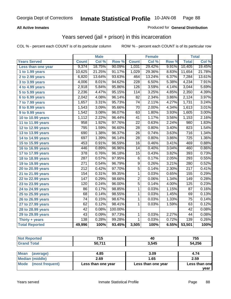### **All Active Inmates**

### Produced for **General Distribution**

## Years served (jail + prison) in this incarceration

|                              |                  | <b>Male</b> |         |                  | <b>Female</b> |       |                  | <b>Total</b> |
|------------------------------|------------------|-------------|---------|------------------|---------------|-------|------------------|--------------|
| <b>Years Served</b>          | <b>Count</b>     | Col %       | Row %   | <b>Count</b>     | Col %         | Row % | <b>Total</b>     | Col%         |
| Less than one year           | 9,374            | 18.75%      | 90.09%  | 1,031            | 29.42%        | 9.91% | 10,405           | 19.45%       |
| 1 to 1.99 years              | 10,625           | 21.25%      | 91.17%  | 1,029            | 29.36%        | 8.83% | 11,654           | 21.78%       |
| 2 to 2.99 years              | 6,820            | 13.64%      | 93.63%  | 464              | 13.24%        | 6.37% | 7,284            | 13.61%       |
| $3$ to 3.99 years            | 4,006            | 8.01%       | 94.62%  | $\overline{228}$ | 6.50%         | 5.38% | 4,234            | 7.91%        |
| 4 to 4.99 years              | 2,918            | 5.84%       | 95.86%  | 126              | 3.59%         | 4.14% | 3,044            | 5.69%        |
| 5 to 5.99 years              | 2,236            | 4.47%       | 95.15%  | 114              | 3.25%         | 4.85% | 2,350            | 4.39%        |
| 6 to 6.99 years              | 2,042            | 4.08%       | 96.14%  | $\overline{82}$  | 2.34%         | 3.86% | 2,124            | 3.97%        |
| $\overline{7}$ to 7.99 years | 1,657            | 3.31%       | 95.73%  | 74               | 2.11%         | 4.27% | 1,731            | 3.24%        |
| 8 to 8.99 years              | 1,543            | 3.09%       | 95.66%  | $\overline{70}$  | 2.00%         | 4.34% | 1,613            | 3.01%        |
| 9 to 9.99 years              | 1,542            | 3.08%       | 96.07%  | 63               | 1.80%         | 3.93% | 1,605            | 3.00%        |
| 10 to 10.99 years            | 1,112            | 2.22%       | 96.44%  | 41               | 1.17%         | 3.56% | 1,153            | 2.16%        |
| 11 to 11.99 years            | 958              | 1.92%       | 97.76%  | $\overline{22}$  | 0.63%         | 2.24% | 980              | 1.83%        |
| 12 to 12.99 years            | 795              | 1.59%       | 96.60%  | $\overline{28}$  | 0.80%         | 3.40% | 823              | 1.54%        |
| 13 to 13.99 years            | 690              | 1.38%       | 96.37%  | $\overline{26}$  | 0.74%         | 3.63% | $\overline{716}$ | 1.34%        |
| 14 to 14.99 years            | 697              | 1.39%       | 96.14%  | $\overline{28}$  | 0.80%         | 3.86% | $\overline{725}$ | 1.36%        |
| 15 to 15.99 years            | 453              | 0.91%       | 96.59%  | $\overline{16}$  | 0.46%         | 3.41% | 469              | 0.88%        |
| 16 to 16.99 years            | 446              | 0.89%       | 96.96%  | 14               | 0.40%         | 3.04% | 460              | 0.86%        |
| 17 to 17.99 years            | $\overline{378}$ | 0.76%       | 96.18%  | $\overline{15}$  | 0.43%         | 3.82% | 393              | 0.73%        |
| 18 to 18.99 years            | 287              | 0.57%       | 97.95%  | $\overline{6}$   | 0.17%         | 2.05% | 293              | 0.55%        |
| 19 to 19.99 years            | $\overline{271}$ | 0.54%       | 96.79%  | $\overline{9}$   | 0.26%         | 3.21% | 280              | 0.52%        |
| 20 to 20.99 years            | $\overline{212}$ | 0.42%       | 97.70%  | $\overline{5}$   | 0.14%         | 2.30% | $\overline{217}$ | 0.41%        |
| 21 to 21.99 years            | 154              | 0.31%       | 99.35%  | 1                | 0.03%         | 0.65% | 155              | 0.29%        |
| 22 to 22.99 years            | 147              | 0.29%       | 98.66%  | $\overline{2}$   | 0.06%         | 1.34% | 149              | 0.28%        |
| 23 to 23.99 years            | 120              | 0.24%       | 96.00%  | $\overline{5}$   | 0.14%         | 4.00% | $\overline{125}$ | 0.23%        |
| 24 to 24.99 years            | 86               | 0.17%       | 98.85%  | 1                | 0.03%         | 1.15% | 87               | 0.16%        |
| 25 to 25.99 years            | 68               | 0.14%       | 98.55%  | $\mathbf{1}$     | 0.03%         | 1.45% | 69               | 0.13%        |
| 26 to 26.99 years            | 74               | 0.15%       | 98.67%  | 1                | 0.03%         | 1.33% | $\overline{75}$  | 0.14%        |
| 27 to 27.99 years            | 62               | 0.12%       | 98.41%  | 1                | 0.03%         | 1.59% | 63               | 0.12%        |
| 28 to 28.99 years            | $\overline{42}$  | 0.08%       | 100.00% |                  |               |       | $\overline{42}$  | 0.08%        |
| 29 to 29.99 years            | 43               | 0.09%       | 97.73%  | $\mathbf{1}$     | 0.03%         | 2.27% | 44               | 0.08%        |
| Thirty + years               | 138              | 0.28%       | 99.28%  | $\mathbf{1}$     | 0.03%         | 0.72% | 139              | 0.26%        |
| <b>Total Reported</b>        | 49,996           | 100%        | 93.45%  | 3,505            | 100%          | 6.55% | 53,501           | 100%         |

| rtea | 74E<br>10 | 40    | ---<br>755  |
|------|-----------|-------|-------------|
|      | 50.71'    | 3.545 | 4,256<br>ΛØ |

| Mean<br>(average)       | 4.85               | 3.09               | 4.74          |
|-------------------------|--------------------|--------------------|---------------|
| Median (middle)         | 2.69               | 1.65               | 2.59          |
| Mode<br>(most frequent) | Less than one year | Less than one year | Less than one |
|                         |                    |                    | vear          |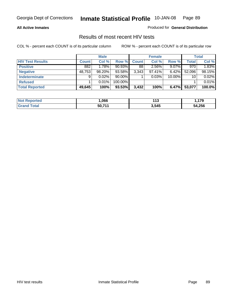#### **All Active Inmates**

Produced for **General Distribution**

### Results of most recent HIV tests

|                         |              | <b>Male</b> |           |              | <b>Female</b> |          |              | Total  |
|-------------------------|--------------|-------------|-----------|--------------|---------------|----------|--------------|--------|
| <b>HIV Test Results</b> | <b>Count</b> | Col %       | Row %     | <b>Count</b> | Col %         | Row %    | <b>Total</b> | Col %  |
| <b>Positive</b>         | 882          | 1.78%       | $90.93\%$ | 88           | $2.56\%$      | $9.07\%$ | 970          | 1.83%  |
| <b>Negative</b>         | 48,753       | $98.20\%$   | 93.58%    | 3,343        | 97.41%        | 6.42%    | 52,096       | 98.15% |
| <b>Indeterminate</b>    | 9            | 0.02%       | $90.00\%$ |              | 0.03%         | 10.00%   | 10           | 0.02%  |
| <b>Refused</b>          |              | $0.01\%$    | 100.00%   |              |               |          |              | 0.01%  |
| <b>Total Reported</b>   | 49,645       | 100%        | 93.53%    | 3,432        | 100%          | 6.47%    | 53,077       | 100.0% |

| <b>Not</b><br>Reported       | ,066   | 1 4 O<br>. | 179    |
|------------------------------|--------|------------|--------|
| <b>Total</b><br><b>Grand</b> | 50,711 | 3,545      | 54,256 |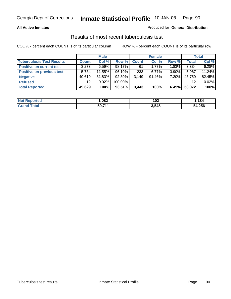#### **All Active Inmates**

### Produced for **General Distribution**

### Results of most recent tuberculosis test

|                                  |                 | <b>Male</b> |         |              | <b>Female</b> |          |              | Total  |
|----------------------------------|-----------------|-------------|---------|--------------|---------------|----------|--------------|--------|
| <b>Tuberculosis Test Results</b> | <b>Count</b>    | Col %       | Row %   | <b>Count</b> | Col %         | Row %    | <b>Total</b> | Col %  |
| <b>Positive on current test</b>  | 3,273           | 6.59%       | 98.17%  | 61           | 1.77%         | 1.83%    | 3,334        | 6.28%  |
| <b>Positive on previous test</b> | 5.734           | 11.55%      | 96.10%  | 233          | $6.77\%$      | $3.90\%$ | 5.967        | 11.24% |
| <b>Negative</b>                  | 40,610          | 81.83%      | 92.80%  | 3.149        | $91.46\%$     | 7.20%    | 43,759       | 82.45% |
| <b>Refused</b>                   | 12 <sup>2</sup> | $0.02\%$    | 100.00% |              |               |          | 12           | 0.02%  |
| <b>Total Reported</b>            | 49,629          | 100%        | 93.51%  | 3,443        | 100%          | 6.49%    | 53,072       | 100%   |

| <b>Not Reported</b>   | .082   | 102<br>$-$ | .184   |
|-----------------------|--------|------------|--------|
| <b>Grand</b><br>Total | 50,711 | 3,545      | 54,256 |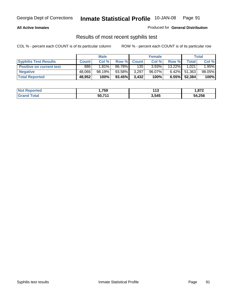### **All Active Inmates**

Produced for **General Distribution**

### Results of most recent syphilis test

|                                 |        | <b>Male</b> |           |              | <b>Female</b> |           |        | Total  |
|---------------------------------|--------|-------------|-----------|--------------|---------------|-----------|--------|--------|
| <b>Syphilis Test Results</b>    | Count  | Col %       | Row %     | <b>Count</b> | Col %         | Row %     | Total  | Col %  |
| <b>Positive on current test</b> | 886    | $1.81\%$    | 86.78%    | 135          | 3.93%         | $13.22\%$ | 1,021  | 1.95%  |
| <b>Negative</b>                 | 48.066 | 98.19%      | 93.58%    | 3,297        | 96.07%        | $6.42\%$  | 51,363 | 98.05% |
| <b>Total Reported</b>           | 48,952 | 100%        | $93.45\%$ | 3,432        | 100%          | $6.55\%$  | 52,384 | 100%   |

| <b>Not Reported</b> | 759, ا | 44C<br>. I J | 1,872  |
|---------------------|--------|--------------|--------|
| <b>Grand Total</b>  | 50,711 | 3,545        | 54,256 |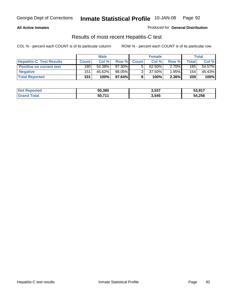### **All Active Inmates**

Produced for **General Distribution**

### Results of most recent Hepatitis-C test

|                                 |              | <b>Male</b> |        |              | <b>Female</b> |          |                  | Total  |
|---------------------------------|--------------|-------------|--------|--------------|---------------|----------|------------------|--------|
| <b>Hepatitis-C Test Results</b> | <b>Count</b> | Col %       | Row %I | <b>Count</b> | Col %         | Row %    | $\tau$ otal      | Col %  |
| <b>Positive on current test</b> | 180          | 54.38%      | 97.30% |              | $62.50\%$     | $2.70\%$ | 185              | 54.57% |
| <b>Negative</b>                 | 151          | 45.62%      | 98.05% |              | 37.50%        | $1.95\%$ | 154 <sub>1</sub> | 45.43% |
| <b>Total Reported</b>           | 331          | 100%        | 97.64% |              | 100%          | 2.36%    | 339              | 100%   |

| <b>Not Reported</b> | 50,380 | 3,537 | 53,917 |
|---------------------|--------|-------|--------|
| Grand Total         | 50,711 | 3,545 | 54,256 |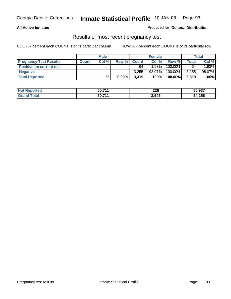### **All Active Inmates**

#### Produced for **General Distribution**

### Results of most recent pregnancy test

|                                 |              | <b>Male</b> |          |              | <b>Female</b> |         |              | <b>Total</b> |
|---------------------------------|--------------|-------------|----------|--------------|---------------|---------|--------------|--------------|
| <b>Pregnancy Test Results</b>   | <b>Count</b> | Col%        | Row %    | <b>Count</b> | Col %         | Row %   | <b>Total</b> | Col %        |
| <b>Positive on current test</b> |              |             |          | 64           | $1.93\%$      | 100.00% | 64           | 1.93%        |
| <b>Negative</b>                 |              |             |          | 3.255        | 98.07%        | 100.00% | 3,255        | 98.07%       |
| <b>Total Reported</b>           |              | %           | $0.00\%$ | 3,319        | 100%          | 100.00% | 3,319        | 100%         |

| <b>Not Reported</b> | 50,711 | 226   | 50,937 |
|---------------------|--------|-------|--------|
| <b>Grand Total</b>  | 50.711 | 3,545 | 54,256 |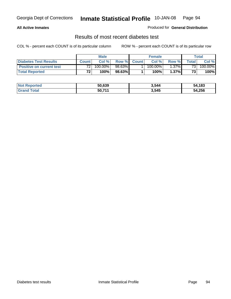### **All Active Inmates**

#### Produced for **General Distribution**

### Results of most recent diabetes test

|                                 | <b>Male</b>     |         |         | <b>Female</b> |            |          | Total |         |
|---------------------------------|-----------------|---------|---------|---------------|------------|----------|-------|---------|
| <b>Diabetes Test Results</b>    | <b>Count</b>    | Col %   | Row %   | <b>Count</b>  | Col %      | Row %I   | Total | Col %   |
| <b>Positive on current test</b> | 72 <sub>1</sub> | 100.00% | 98.63%I |               | $100.00\%$ | $1.37\%$ | 731   | 100.00% |
| <b>Total Reported</b>           | 72 <sub>1</sub> | 100%    | 98.63%  |               | 100%       | 1.37%    | 73    | 100%    |

| <b>Not R</b><br><b>Reported</b> | 50.639 | 3,544 | 54,183 |
|---------------------------------|--------|-------|--------|
| Total<br>Gran                   | 50,711 | 3,545 | 54,256 |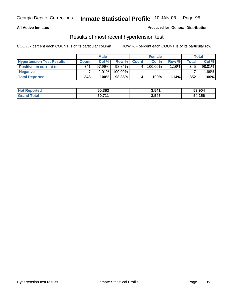### **All Active Inmates**

### Produced for **General Distribution**

### Results of most recent hypertension test

|                                  | <b>Male</b>  |        |         | <b>Female</b> |         |          | <b>Total</b> |        |
|----------------------------------|--------------|--------|---------|---------------|---------|----------|--------------|--------|
| <b>Hypertension Test Results</b> | <b>Count</b> | Col %  | Row %   | <b>Count</b>  | Col%    | Row %    | Total        | Col %  |
| <b>Positive on current test</b>  | 341          | 97.99% | 98.84%  |               | 100.00% | $1.16\%$ | 345          | 98.01% |
| <b>Negative</b>                  |              | 2.01%  | 100.00% |               |         |          |              | .99%   |
| <b>Total Reported</b>            | 348          | 100%   | 98.86%  |               | 100%    | 1.14%    | 352          | 100%   |

| <b>Not Reported</b> | 50,363 | 3,541 | 53,904 |
|---------------------|--------|-------|--------|
| <b>Grand Total</b>  | 50,711 | 3,545 | 54,256 |